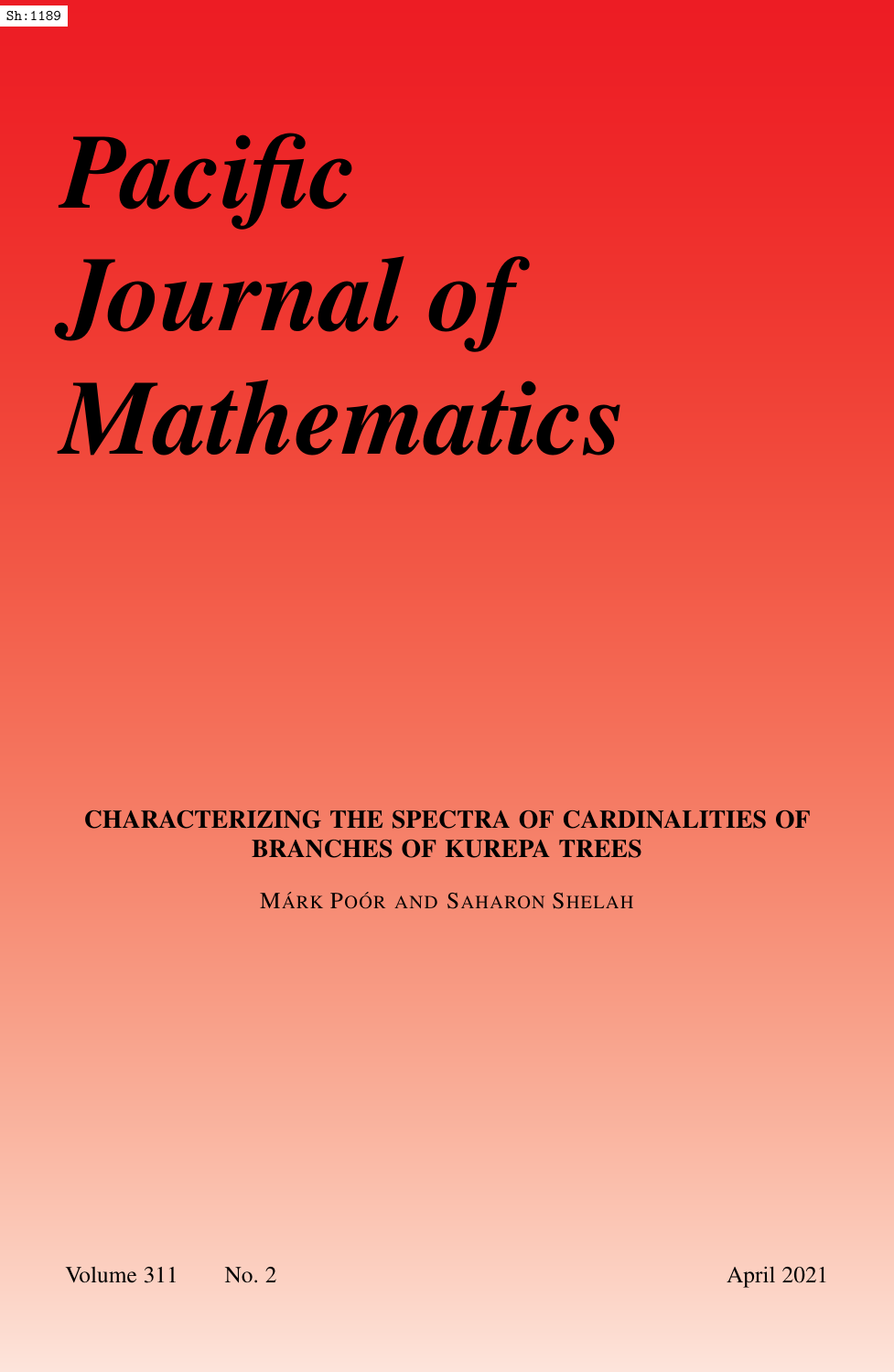# *Pacific Journal of Mathematics*

# CHARACTERIZING THE SPECTRA OF CARDINALITIES OF BRANCHES OF KUREPA TREES

MÁRK POÓR AND SAHARON SHELAH

Volume 311 No. 2 April 2021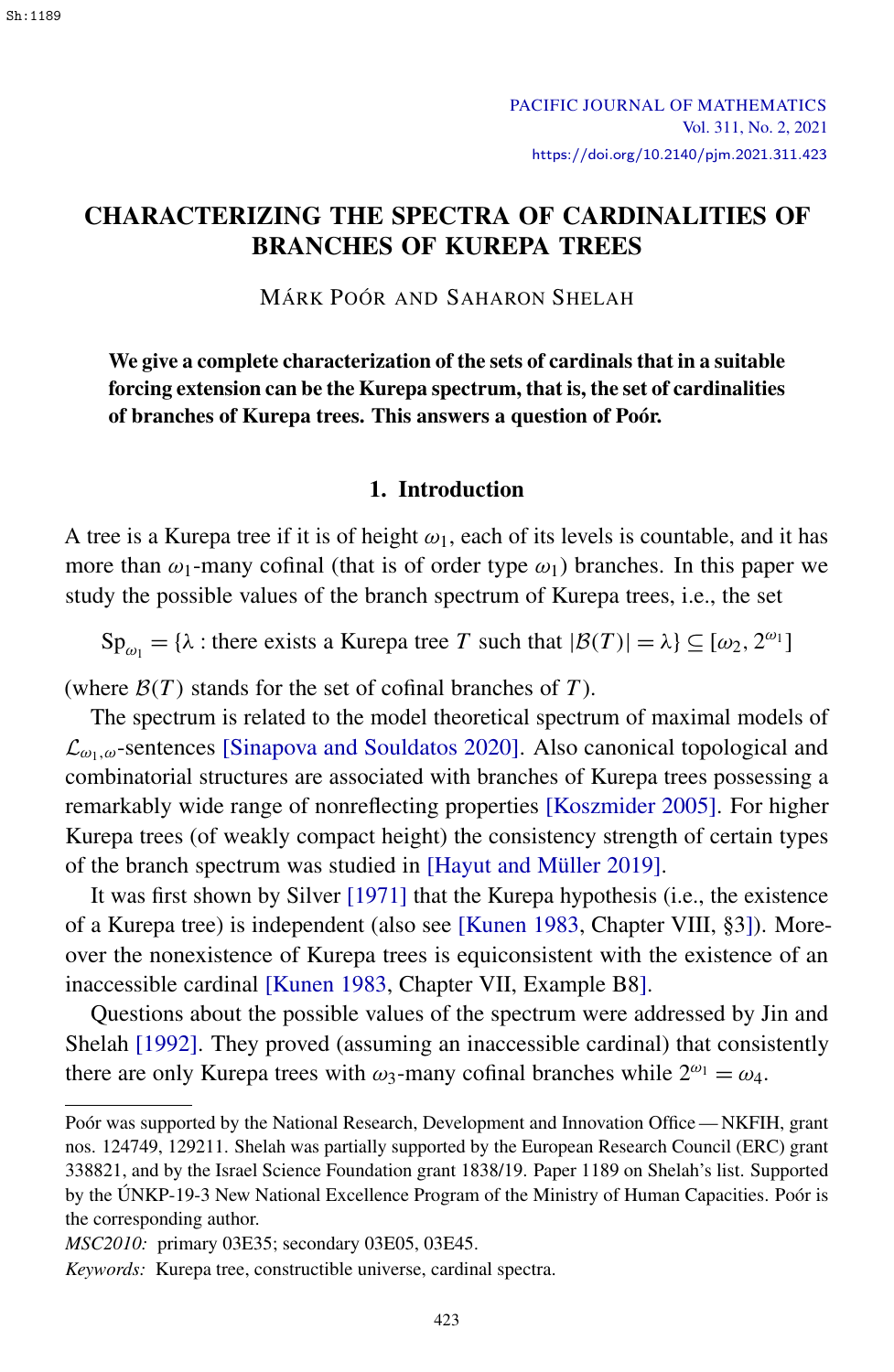### <span id="page-1-0"></span>CHARACTERIZING THE SPECTRA OF CARDINALITIES OF BRANCHES OF KUREPA TREES

MÁRK POÓR AND SAHARON SHELAH

We give a complete characterization of the sets of cardinals that in a suitable forcing extension can be the Kurepa spectrum, that is, the set of cardinalities of branches of Kurepa trees. This answers a question of Poór.

#### 1. Introduction

A tree is a Kurepa tree if it is of height  $\omega_1$ , each of its levels is countable, and it has more than  $\omega_1$ -many cofinal (that is of order type  $\omega_1$ ) branches. In this paper we study the possible values of the branch spectrum of Kurepa trees, i.e., the set

Sp<sub> $\omega_1$ </sub> = { $\lambda$  : there exists a Kurepa tree *T* such that  $|\mathcal{B}(T)| = \lambda$ }  $\subseteq [\omega_2, 2^{\omega_1}]$ 

(where  $\mathcal{B}(T)$  stands for the set of cofinal branches of  $T$ ).

The spectrum is related to the model theoretical spectrum of maximal models of  $\mathcal{L}_{\omega_1,\omega}$ -sentences [\[Sinapova and Souldatos 2020\]](#page-31-0). Also canonical topological and combinatorial structures are associated with branches of Kurepa trees possessing a remarkably wide range of nonreflecting properties [\[Koszmider 2005\]](#page-30-0). For higher Kurepa trees (of weakly compact height) the consistency strength of certain types of the branch spectrum was studied in [\[Hayut and Müller 2019\]](#page-30-1).

It was first shown by Silver [\[1971\]](#page-31-1) that the Kurepa hypothesis (i.e., the existence of a Kurepa tree) is independent (also see [\[Kunen 1983,](#page-30-2) Chapter VIII, §3]). Moreover the nonexistence of Kurepa trees is equiconsistent with the existence of an inaccessible cardinal [\[Kunen 1983,](#page-30-2) Chapter VII, Example B8].

Questions about the possible values of the spectrum were addressed by Jin and Shelah [\[1992\]](#page-31-2). They proved (assuming an inaccessible cardinal) that consistently there are only Kurepa trees with  $\omega_3$ -many cofinal branches while  $2^{\omega_1} = \omega_4$ .

Poór was supported by the National Research, Development and Innovation Office — NKFIH, grant nos. 124749, 129211. Shelah was partially supported by the European Research Council (ERC) grant 338821, and by the Israel Science Foundation grant 1838/19. Paper 1189 on Shelah's list. Supported by the ÚNKP-19-3 New National Excellence Program of the Ministry of Human Capacities. Poór is the corresponding author.

*MSC2010:* primary 03E35; secondary 03E05, 03E45.

*Keywords:* Kurepa tree, constructible universe, cardinal spectra.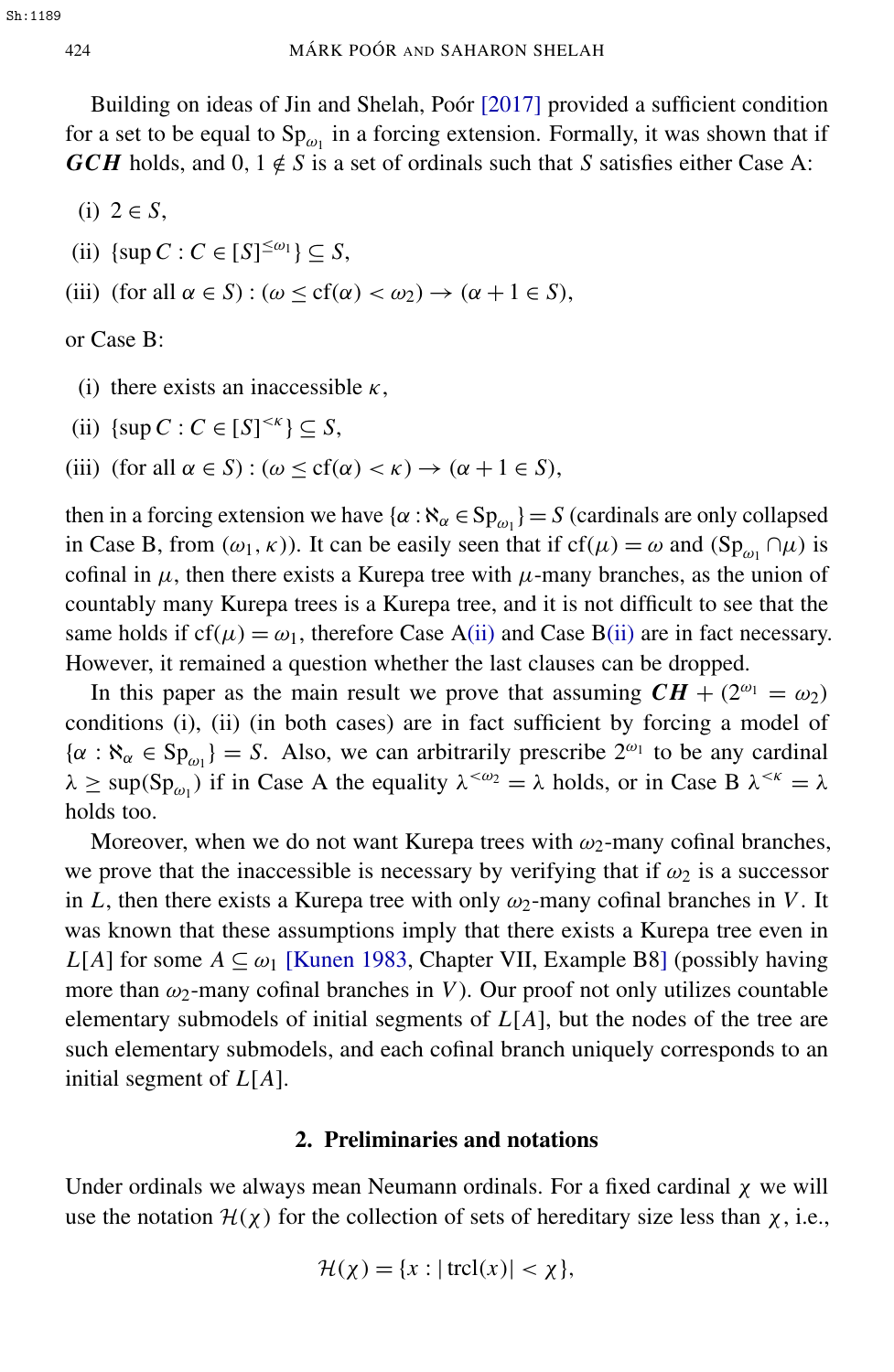Building on ideas of Jin and Shelah, Poór [\[2017\]](#page-30-3) provided a sufficient condition for a set to be equal to  $Sp_{\omega_1}$  in a forcing extension. Formally, it was shown that if *GCH* holds, and 0,  $1 \notin S$  is a set of ordinals such that *S* satisfies either Case A:

- (i) 2 ∈ *S*,
- <span id="page-2-0"></span>(ii)  $\{\sup C : C \in [S]^{\leq \omega_1}\} \subseteq S$ ,
- (iii) (for all  $\alpha \in S$ ) : ( $\omega \leq cf(\alpha) < \omega_2$ )  $\rightarrow (\alpha + 1 \in S)$ ,

or Case B:

- (i) there exists an inaccessible  $\kappa$ ,
- <span id="page-2-1"></span>(ii)  $\{\sup C : C \in [S]^{< \kappa}\} \subseteq S$ ,
- (iii) (for all  $\alpha \in S$ ) : ( $\omega \leq cf(\alpha) < \kappa$ )  $\rightarrow (\alpha + 1 \in S)$ ,

then in a forcing extension we have  $\{\alpha : \aleph_{\alpha} \in \text{Sp}_{\omega_1}\}=S$  (cardinals are only collapsed in Case B, from  $(\omega_1, \kappa)$ ). It can be easily seen that if  $cf(\mu) = \omega$  and  $(Sp_{\omega_1} \cap \mu)$  is cofinal in  $\mu$ , then there exists a Kurepa tree with  $\mu$ -many branches, as the union of countably many Kurepa trees is a Kurepa tree, and it is not difficult to see that the same holds if  $cf(\mu) = \omega_1$ , therefore Case [A\(ii\)](#page-2-0) and Case [B\(ii\)](#page-2-1) are in fact necessary. However, it remained a question whether the last clauses can be dropped.

In this paper as the main result we prove that assuming  $CH + (2^{\omega_1} = \omega_2)$ conditions (i), (ii) (in both cases) are in fact sufficient by forcing a model of  $\{\alpha : \aleph_{\alpha} \in \mathrm{Sp}_{\omega_1}\} = S$ . Also, we can arbitrarily prescribe  $2^{\omega_1}$  to be any cardinal  $\lambda \ge \sup(Sp_{\omega_1})$  if in Case A the equality  $\lambda^{<\omega_2} = \lambda$  holds, or in Case B  $\lambda^{<\kappa} = \lambda$ holds too.

Moreover, when we do not want Kurepa trees with  $\omega_2$ -many cofinal branches, we prove that the inaccessible is necessary by verifying that if  $\omega_2$  is a successor in *L*, then there exists a Kurepa tree with only  $\omega_2$ -many cofinal branches in *V*. It was known that these assumptions imply that there exists a Kurepa tree even in *L*[*A*] for some  $A \subseteq \omega_1$  [\[Kunen 1983,](#page-30-2) Chapter VII, Example B8] (possibly having more than  $\omega_2$ -many cofinal branches in *V*). Our proof not only utilizes countable elementary submodels of initial segments of *L*[*A*], but the nodes of the tree are such elementary submodels, and each cofinal branch uniquely corresponds to an initial segment of *L*[*A*].

#### 2. Preliminaries and notations

Under ordinals we always mean Neumann ordinals. For a fixed cardinal  $\chi$  we will use the notation  $\mathcal{H}(\chi)$  for the collection of sets of hereditary size less than  $\chi$ , i.e.,

$$
\mathcal{H}(\chi) = \{x : |\operatorname{trcl}(x)| < \chi\},
$$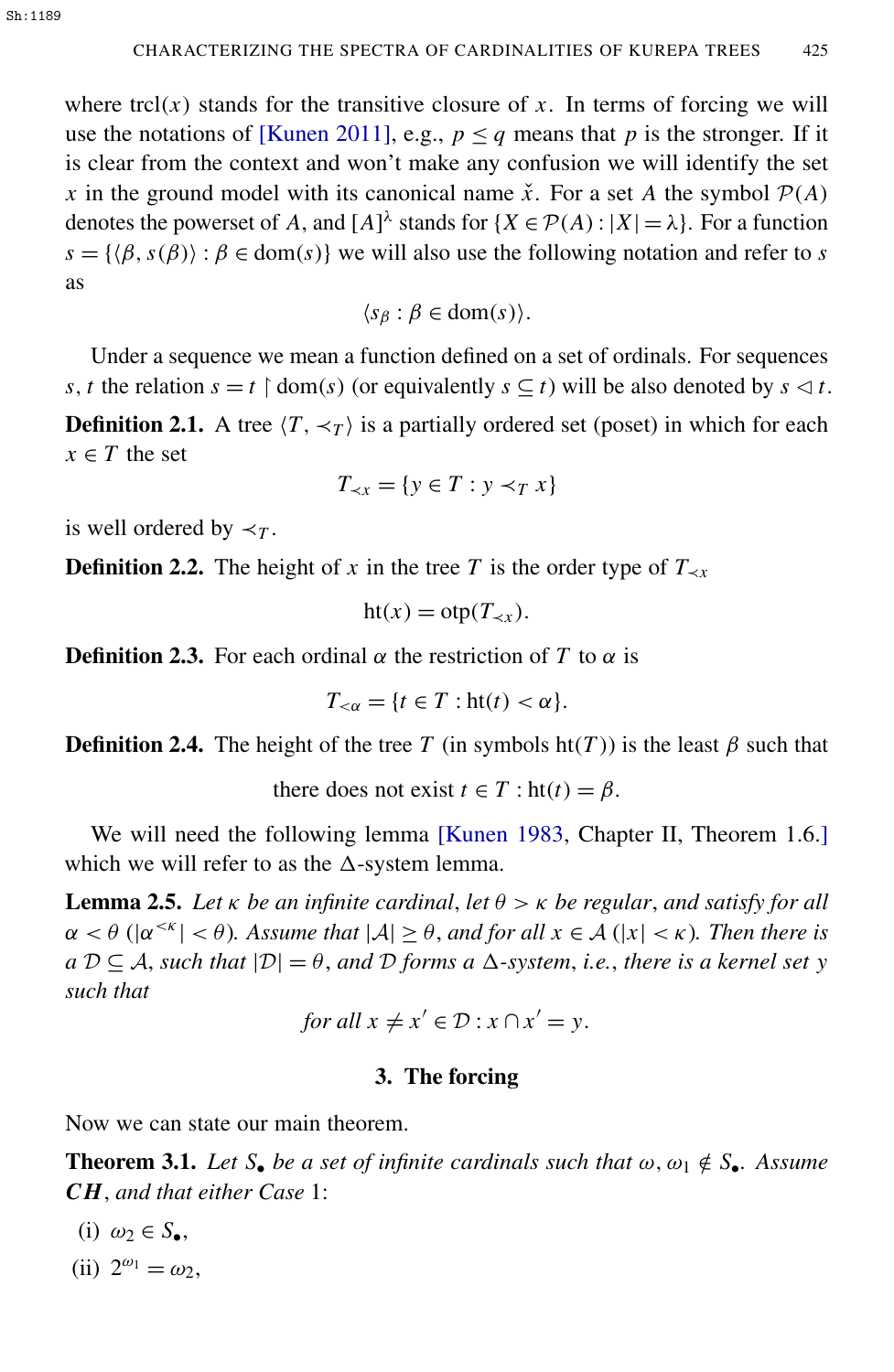where trcl( $x$ ) stands for the transitive closure of  $x$ . In terms of forcing we will use the notations of [\[Kunen 2011\]](#page-30-4), e.g.,  $p \leq q$  means that *p* is the stronger. If it is clear from the context and won't make any confusion we will identify the set *x* in the ground model with its canonical name  $\check{x}$ . For a set *A* the symbol  $\mathcal{P}(A)$ denotes the powerset of *A*, and  $[A]^{\lambda}$  stands for  $\{X \in \mathcal{P}(A) : |X| = \lambda\}$ . For a function  $s = \{(\beta, s(\beta)) : \beta \in \text{dom}(s)\}\$ we will also use the following notation and refer to *s* as

 $\langle s_\beta : \beta \in \text{dom}(s) \rangle$ .

Under a sequence we mean a function defined on a set of ordinals. For sequences *s*, *t* the relation  $s = t \restriction \text{dom}(s)$  (or equivalently  $s \subseteq t$ ) will be also denoted by  $s \triangleleft t$ . **Definition 2.1.** A tree  $\langle T, \prec_T \rangle$  is a partially ordered set (poset) in which for each  $x \in T$  the set

$$
T_{\prec x} = \{ y \in T : y \prec_T x \}
$$

is well ordered by  $\prec_T$ .

**Definition 2.2.** The height of *x* in the tree *T* is the order type of  $T_{\prec x}$ 

$$
ht(x) = otp(T_{\prec x}).
$$

**Definition 2.3.** For each ordinal  $\alpha$  the restriction of *T* to  $\alpha$  is

<span id="page-3-1"></span>
$$
T_{<\alpha} = \{t \in T : \text{ht}(t) < \alpha\}.
$$

**Definition 2.4.** The height of the tree *T* (in symbols  $ht(T)$ ) is the least  $\beta$  such that

there does not exist  $t \in T$ : ht $(t) = \beta$ .

We will need the following lemma [\[Kunen 1983,](#page-30-2) Chapter II, Theorem 1.6.] which we will refer to as the  $\Delta$ -system lemma.

**Lemma 2.5.** Let  $\kappa$  *be an infinite cardinal, let*  $\theta > \kappa$  *be regular, and satisfy for all*  $\alpha < \theta$  ( $|\alpha^{\leq \kappa}| < \theta$ ). Assume that  $|\mathcal{A}| \geq \theta$ , and for all  $x \in \mathcal{A}$  ( $|x| < \kappa$ ). Then there is  $a \mathcal{D} \subseteq \mathcal{A}$ , *such that*  $|\mathcal{D}| = \theta$ , *and*  $\mathcal{D}$  *forms a*  $\Delta$ -*system*, *i.e.*, *there is a kernel set y such that*

for all 
$$
x \neq x' \in \mathcal{D}: x \cap x' = y
$$
.

#### <span id="page-3-0"></span>3. The forcing

Now we can state our main theorem.

**Theorem 3.1.** Let  $S_{\bullet}$  be a set of infinite cardinals such that  $\omega, \omega_1 \notin S_{\bullet}$ . Assume *CH*, *and that either Case* 1:

- (i)  $\omega_2 \in S_{\bullet}$ ,
- (ii)  $2^{\omega_1} = \omega_2$ ,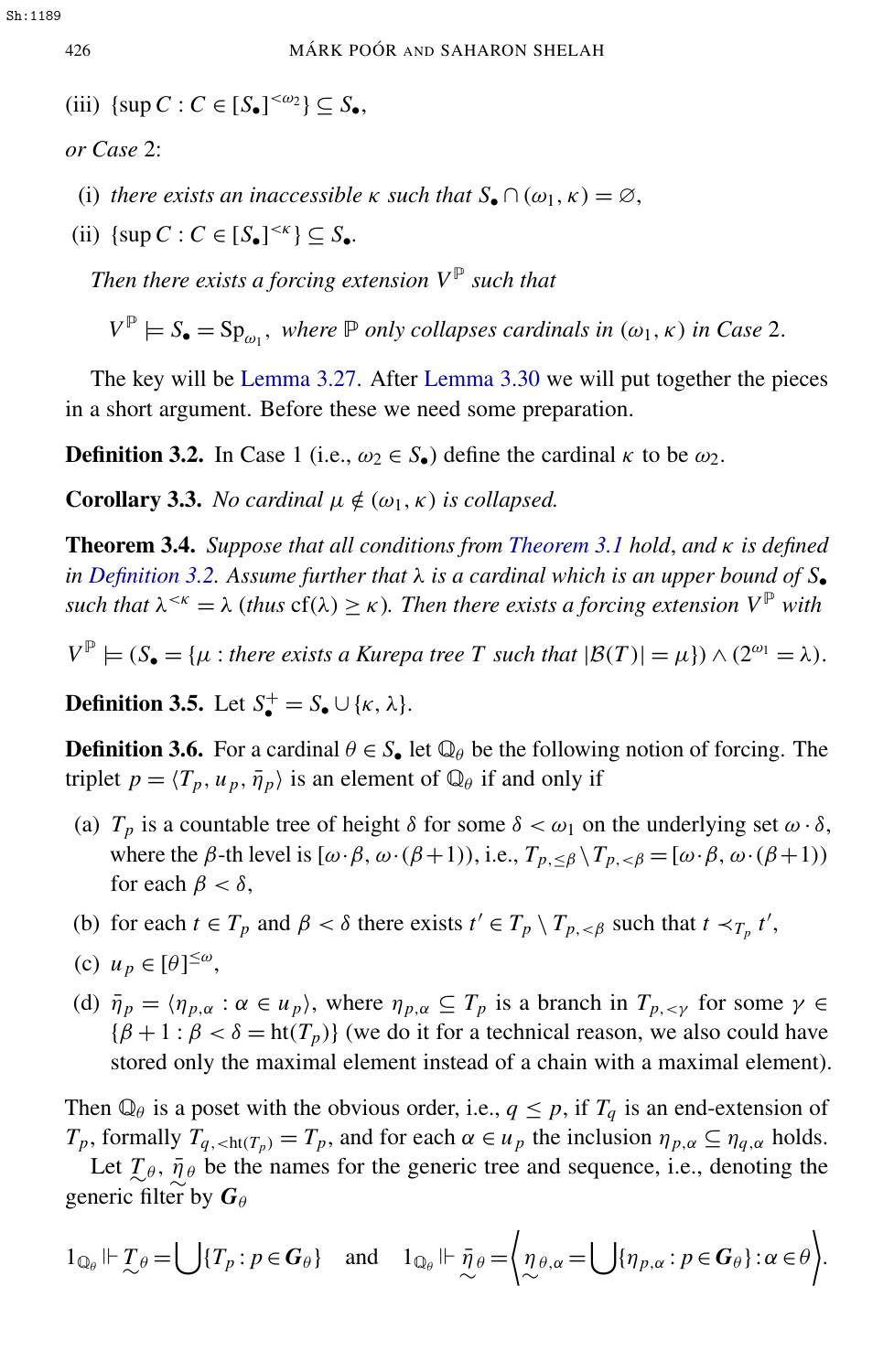<span id="page-4-4"></span>(iii)  $\{\sup C : C \in [S_{\bullet}]^{<\omega_2}\} \subseteq S_{\bullet}$ ,

*or Case* 2:

- (i) *there exists an inaccessible*  $\kappa$  *such that*  $S_{\bullet} \cap (\omega_1, \kappa) = \emptyset$ ,
- <span id="page-4-5"></span>(ii)  $\{\sup C : C \in [S_{\bullet}]^{\leq \kappa}\} \subseteq S_{\bullet}.$

*Then there exists a forcing extension*  $V^{\mathbb{P}}$  *such that* 

<span id="page-4-0"></span> $V^{\mathbb{P}} \models S_{\bullet} = \text{Sp}_{\omega_1}$ , *where*  $\mathbb P$  *only collapses cardinals in*  $(\omega_1, \kappa)$  *in Case* 2.

The key will be [Lemma 3.27.](#page-9-0) After [Lemma 3.30](#page-16-0) we will put together the pieces in a short argument. Before these we need some preparation.

**Definition 3.2.** In Case 1 (i.e.,  $\omega_2 \in S$ ) define the cardinal  $\kappa$  to be  $\omega_2$ .

**Corollary 3.3.** *No cardinal*  $\mu \notin (\omega_1, \kappa)$  *is collapsed.* 

<span id="page-4-3"></span>Theorem 3.4. *Suppose that all conditions from [Theorem 3.1](#page-3-0) hold*, *and* κ *is defined in [Definition 3.2.](#page-4-0)* Assume further that  $\lambda$  *is a cardinal which is an upper bound of*  $S_{\bullet}$ *such that*  $\lambda^{< \kappa} = \lambda$  (*thus* cf( $\lambda$ )  $\geq \kappa$ ). Then there exists a forcing extension  $V^{\mathbb{P}}$  with

 $V^{\mathbb{P}} \models (S_{\bullet} = {\mu : \text{there exists a Kurepa tree } T \text{ such that } |\mathcal{B}(T)| = \mu}) \wedge (2^{\omega_1} = \lambda).$ 

**Definition 3.5.** Let  $S_{\bullet}^{+} = S_{\bullet} \cup \{\kappa, \lambda\}.$ 

<span id="page-4-2"></span>**Definition 3.6.** For a cardinal  $\theta \in S_{\bullet}$  let  $\mathbb{Q}_{\theta}$  be the following notion of forcing. The triplet  $p = \langle T_p, u_p, \overline{\eta}_p \rangle$  is an element of  $\mathbb{Q}_{\theta}$  if and only if

- <span id="page-4-1"></span>(a)  $T_p$  is a countable tree of height  $\delta$  for some  $\delta < \omega_1$  on the underlying set  $\omega \cdot \delta$ , where the  $\beta$ -th level is  $[\omega \cdot \beta, \omega \cdot (\beta + 1))$ , i.e.,  $T_{p, \leq \beta} \setminus T_{p, \leq \beta} = [\omega \cdot \beta, \omega \cdot (\beta + 1))$ for each  $\beta < \delta$ ,
- (b) for each  $t \in T_p$  and  $\beta < \delta$  there exists  $t' \in T_p \setminus T_{p, < \beta}$  such that  $t \prec_{T_p} t'$ ,
- (c)  $u_p \in [\theta]^{\leq \omega}$ ,
- (d)  $\bar{\eta}_p = \langle \eta_{p,\alpha} : \alpha \in u_p \rangle$ , where  $\eta_{p,\alpha} \subseteq T_p$  is a branch in  $T_{p,\leq \gamma}$  for some  $\gamma \in$  ${\beta + 1 : \beta < \delta = ht(T_p)}$  (we do it for a technical reason, we also could have stored only the maximal element instead of a chain with a maximal element).

Then  $\mathbb{Q}_{\theta}$  is a poset with the obvious order, i.e.,  $q \leq p$ , if  $T_q$  is an end-extension of *T*<sub>*p*</sub>, formally *T*<sub>*q*, <ht(*T*<sub>*p*</sub>) = *T*<sub>*p*</sub>, and for each  $\alpha \in u_p$  the inclusion  $\eta_{p,\alpha} \subseteq \eta_{q,\alpha}$  holds.</sub>

Let  $\mathcal{I}_{\theta}$ ,  $\bar{\eta}_{\theta}$  be the names for the generic tree and sequence, i.e., denoting the generic filter by  $G_{\theta}$ 

$$
1_{\mathbb{Q}_{\theta}} \Vdash \mathcal{I}_{\theta} = \bigcup \{ T_{p} : p \in G_{\theta} \} \quad \text{and} \quad 1_{\mathbb{Q}_{\theta}} \Vdash \bar{\eta}_{\theta} = \left\langle \mathcal{I}_{\theta,\alpha} = \bigcup \{ \eta_{p,\alpha} : p \in G_{\theta} \} : \alpha \in \theta \right\rangle.
$$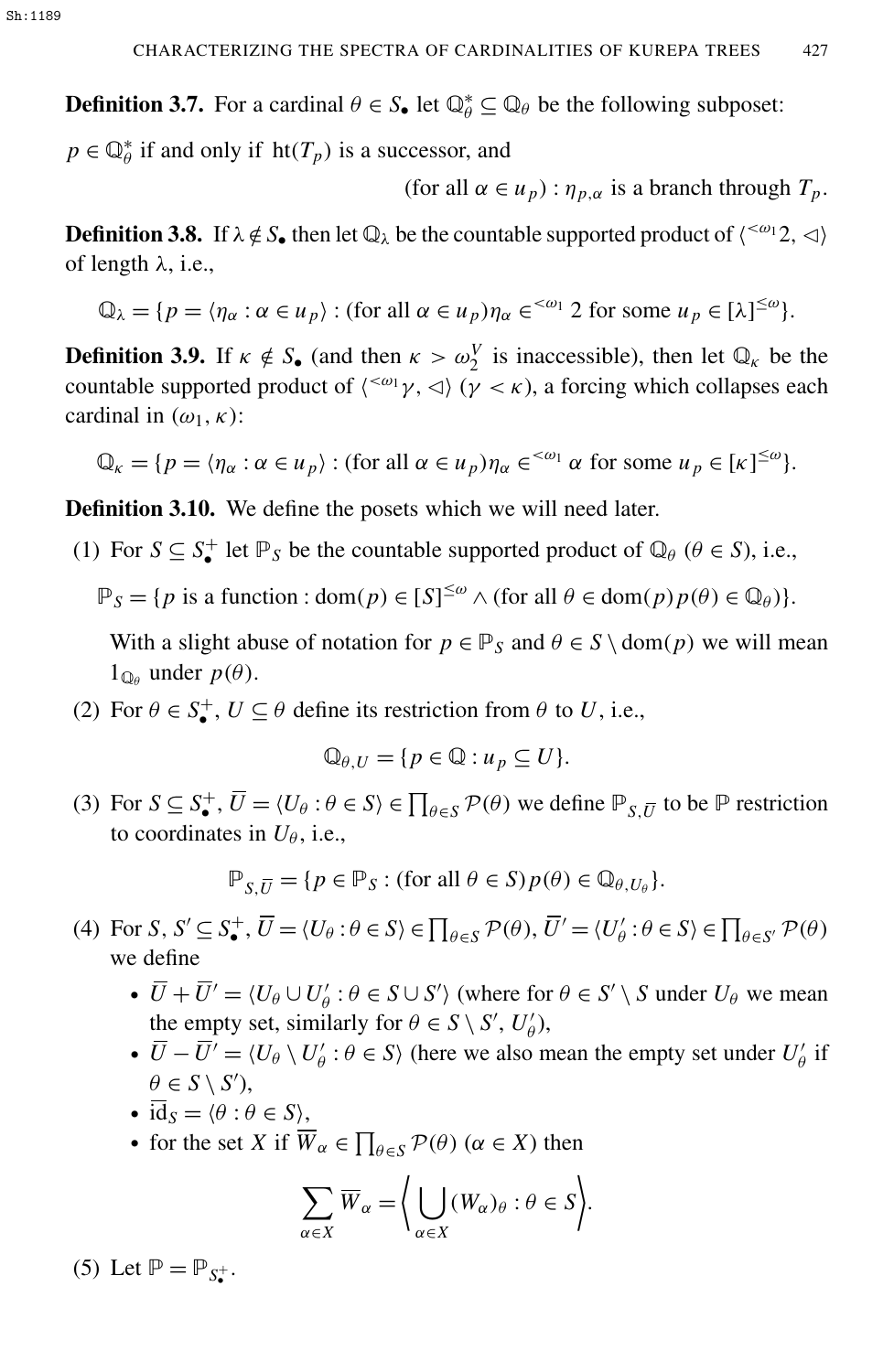**Definition 3.7.** For a cardinal  $\theta \in S_{\bullet}$  let  $\mathbb{Q}_{\theta}^{*} \subseteq \mathbb{Q}_{\theta}$  be the following subposet:

 $p \in \mathbb{Q}_{\theta}^*$  $\phi$ <sup>\*</sup> if and only if ht(*T<sub>p</sub>*) is a successor, and

(for all  $\alpha \in u_p$ ) :  $\eta_{p,\alpha}$  is a branch through  $T_p$ .

**Definition 3.8.** If  $\lambda \notin S_{\bullet}$  then let  $\mathbb{Q}_{\lambda}$  be the countable supported product of  $\langle \leq^{\omega_1} 2, \leq \rangle$ of length  $\lambda$ , i.e.,

$$
\mathbb{Q}_{\lambda} = \{ p = \langle \eta_{\alpha} : \alpha \in u_p \rangle : (\text{for all } \alpha \in u_p) \eta_{\alpha} \in \langle \alpha_1 \rangle \text{ for some } u_p \in [\lambda] \leq \omega \}.
$$

<span id="page-5-2"></span>**Definition 3.9.** If  $\kappa \notin S_{\bullet}$  (and then  $\kappa > \omega_2^V$  is inaccessible), then let  $\mathbb{Q}_{\kappa}$  be the countable supported product of  $\langle \langle \omega_1 \gamma, \Delta \rangle \ (\gamma \langle \kappa \rangle)$ , a forcing which collapses each cardinal in  $(\omega_1, \kappa)$ :

$$
\mathbb{Q}_{\kappa} = \{ p = \langle \eta_{\alpha} : \alpha \in u_p \rangle : (\text{for all } \alpha \in u_p) \eta_{\alpha} \in^{\langle \omega_1 \rangle} \alpha \text{ for some } u_p \in [\kappa]^{ \leq \omega} \}.
$$

<span id="page-5-1"></span>Definition 3.10. We define the posets which we will need later.

<span id="page-5-0"></span>(1) For  $S \subseteq S^+$  let  $\mathbb{P}_S$  be the countable supported product of  $\mathbb{Q}_\theta$  ( $\theta \in S$ ), i.e.,

 $\mathbb{P}_S = \{p \text{ is a function}: \text{dom}(p) \in [S]^{\leq \omega} \land (\text{for all } \theta \in \text{dom}(p)p(\theta) \in \mathbb{Q}_\theta)\}.$ 

With a slight abuse of notation for  $p \in \mathbb{P}_S$  and  $\theta \in S \setminus \text{dom}(p)$  we will mean  $1_{\mathbb{Q}_{\theta}}$  under  $p(\theta)$ .

(2) For  $\theta \in S^+$ ,  $U \subseteq \theta$  define its restriction from  $\theta$  to *U*, i.e.,

$$
\mathbb{Q}_{\theta,U} = \{ p \in \mathbb{Q} : u_p \subseteq U \}.
$$

(3) For  $S \subseteq S_{\bullet}^+$ ,  $\overline{U} = \langle U_{\theta} : \theta \in S \rangle \in \prod_{\theta \in S} \mathcal{P}(\theta)$  we define  $\mathbb{P}_{S,\overline{U}}$  to be  $\mathbb P$  restriction to coordinates in  $U_{\theta}$ , i.e.,

 $\mathbb{P}_{S,\overline{U}} = \{p \in \mathbb{P}_S : (\text{for all } \theta \in S) p(\theta) \in \mathbb{Q}_{\theta,U_{\theta}}\}.$ 

- (4) For *S*,  $S' \subseteq S_{\bullet}^{+}$ ,  $\overline{U} = \langle U_{\theta} : \theta \in S \rangle \in \prod_{\theta \in S} \mathcal{P}(\theta)$ ,  $\overline{U}' = \langle U_{\theta}' \rangle$  $\mathcal{C}_{\theta}': \theta \in S \rangle \in \prod_{\theta \in S'} \mathcal{P}(\theta)$ we define
	- $\overline{\overline{U}}+\overline{\overline{U}}'=\langle U_\theta \cup U'_\theta \rangle$  $\mathcal{C}_{\theta}'$ :  $\theta \in S \cup S'$  (where for  $\theta \in S' \setminus S$  under  $U_{\theta}$  we mean the empty set, similarly for  $\theta \in S \setminus S'$ ,  $U'_{\theta}$  $_{\theta}^{\prime}),$
	- $\bullet \ \ \bar{U}-\bar{U}'=\langle U_\theta \setminus U'_\theta \rangle$  $\theta'$  :  $\theta \in S$  (here we also mean the empty set under  $U'_{\theta}$  $_{\theta}^{\prime}$  if  $\theta \in S \setminus S'$
	- $\overline{id}_S = \langle \theta : \theta \in S \rangle$ ,
	- for the set *X* if  $\overline{W}_{\alpha} \in \prod_{\theta \in S} \mathcal{P}(\theta)$  ( $\alpha \in X$ ) then

$$
\sum_{\alpha \in X} \overline{W}_{\alpha} = \left\langle \bigcup_{\alpha \in X} (W_{\alpha})_{\theta} : \theta \in S \right\rangle.
$$

(5) Let  $\mathbb{P} = \mathbb{P}_{S_{\bullet}^+}$ .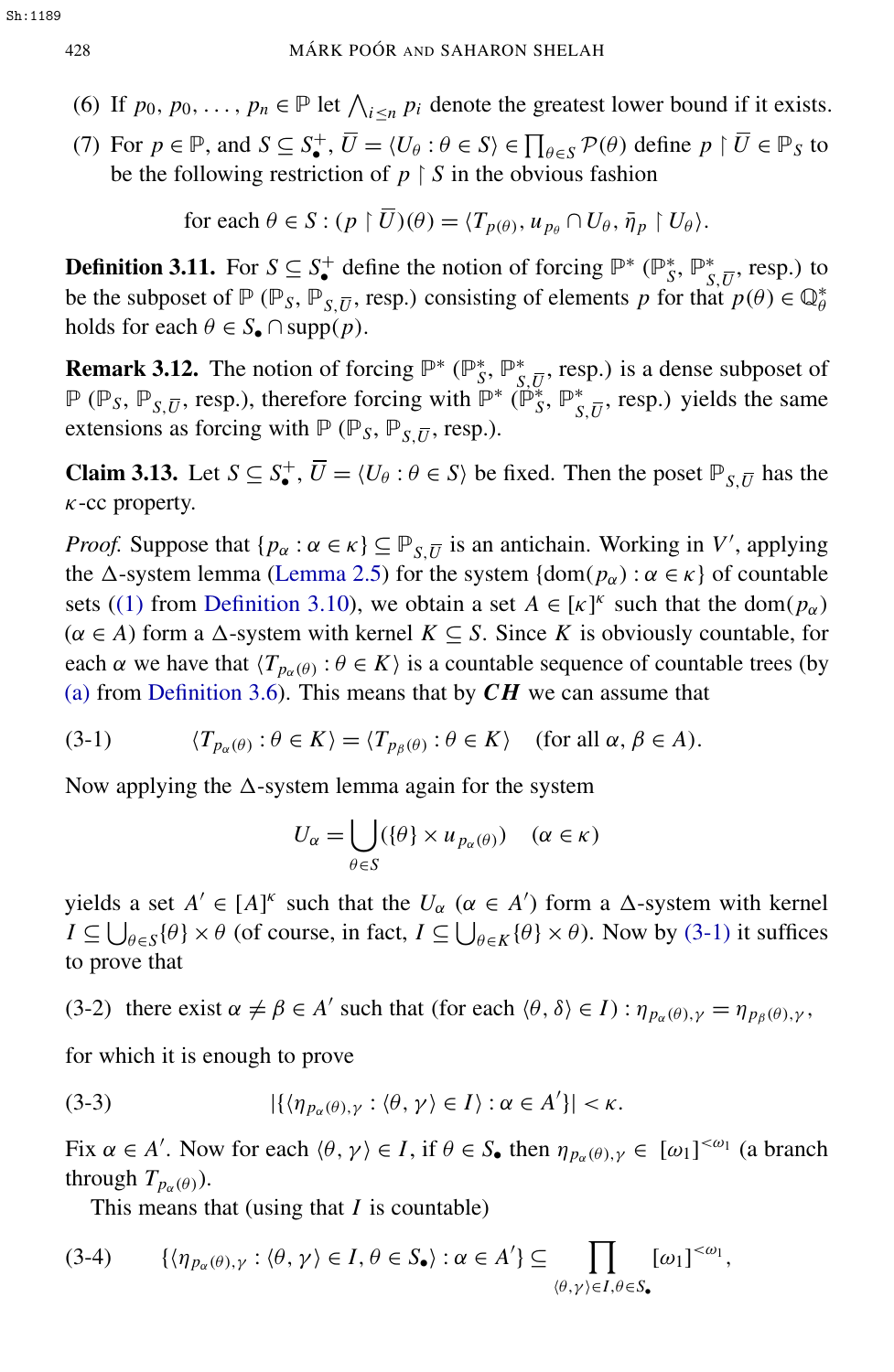- (6) If  $p_0, p_0, \ldots, p_n \in \mathbb{P}$  let  $\bigwedge_{i \leq n} p_i$  denote the greatest lower bound if it exists.
- (7) For  $p \in \mathbb{P}$ , and  $S \subseteq S^+_{\bullet}$ ,  $\overline{U} = \langle U_\theta : \theta \in S \rangle \in \prod_{\theta \in S} \mathcal{P}(\theta)$  define  $p \upharpoonright \overline{U} \in \mathbb{P}_S$  to be the following restriction of  $p \restriction S$  in the obvious fashion

for each 
$$
\theta \in S : (p \restriction \overline{U})(\theta) = \langle T_{p(\theta)}, u_{p_{\theta}} \cap U_{\theta}, \overline{\eta}_{p} \restriction U_{\theta} \rangle
$$
.

<span id="page-6-3"></span>**Definition 3.11.** For  $S \subseteq S^+$  define the notion of forcing  $\mathbb{P}^*$  ( $\mathbb{P}^*_S$ *S* , P ∗  $\frac{*}{s,\overline{U}}$ , resp.) to be the subposet of  $\mathbb{P}(\mathbb{P}_S, \mathbb{P}_{S, \overline{U}}, \text{resp.})$  consisting of elements *p* for that  $p(\theta) \in \mathbb{Q}_{\theta}^*$ holds for each  $\theta \in S_{\bullet} \cap \text{supp}(p)$ .

<span id="page-6-2"></span>**Remark 3.12.** The notion of forcing  $\mathbb{P}^*$  ( $\mathbb{P}_S^*$ ) *S* , P ∗  $\sum_{S,\overline{U}}^*$ , resp.) is a dense subposet of  $\mathbb{P}$  ( $\mathbb{P}_s$ ,  $\mathbb{P}_{s,\overline{U}}$ , resp.), therefore forcing with  $\mathbb{P}^*$  ( $\mathbb{P}_s^*$ ) ∞<br>*S*<sup>,</sup> P\*  $\int_{S,\overline{U}}^*$ , resp.) yields the same extensions as forcing with  $P(P_S, P_{S,\overline{U}}, \text{resp.}).$ 

Claim 3.13. Let *S* ⊆ *S*<sup>+</sup>,  $\overline{U}$  =  $\langle U_\theta : \theta \in S \rangle$  be fixed. Then the poset  $\mathbb{P}_{S,\overline{U}}$  has the  $\kappa$ -cc property.

*Proof.* Suppose that  $\{p_{\alpha} : \alpha \in \kappa\} \subseteq \mathbb{P}_{S,\overline{U}}$  is an antichain. Working in *V*', applying the  $\Delta$ -system lemma [\(Lemma 2.5\)](#page-3-1) for the system {dom( $p_\alpha$ ) :  $\alpha \in \kappa$ } of countable sets [\(\(1\)](#page-5-0) from [Definition 3.10\)](#page-5-1), we obtain a set  $A \in [\kappa]^k$  such that the dom( $p_\alpha$ )  $(\alpha \in A)$  form a  $\Delta$ -system with kernel  $K \subseteq S$ . Since *K* is obviously countable, for each  $\alpha$  we have that  $\langle T_{p_\alpha(\theta)} : \theta \in K \rangle$  is a countable sequence of countable trees (by [\(a\)](#page-4-1) from [Definition 3.6\)](#page-4-2). This means that by *CH* we can assume that

(3-1) 
$$
\langle T_{p_\alpha(\theta)} : \theta \in K \rangle = \langle T_{p_\beta(\theta)} : \theta \in K \rangle
$$
 (for all  $\alpha, \beta \in A$ ).

Now applying the  $\Delta$ -system lemma again for the system

<span id="page-6-1"></span><span id="page-6-0"></span>
$$
U_{\alpha} = \bigcup_{\theta \in S} (\{\theta\} \times u_{p_{\alpha}(\theta)}) \quad (\alpha \in \kappa)
$$

yields a set  $A' \in [A]^{\kappa}$  such that the  $U_{\alpha}$  ( $\alpha \in A'$ ) form a  $\Delta$ -system with kernel  $I \subseteq \bigcup_{\theta \in S} \{\theta\} \times \theta$  (of course, in fact,  $I \subseteq \bigcup_{\theta \in K} \{\theta\} \times \theta$ ). Now by [\(3-1\)](#page-6-0) it suffices to prove that

(3-2) there exist  $\alpha \neq \beta \in A'$  such that (for each  $\langle \theta, \delta \rangle \in I$ ):  $\eta_{p_\alpha(\theta), \gamma} = \eta_{p_\beta(\theta), \gamma}$ ,

for which it is enough to prove

(3-3) 
$$
|\{\langle \eta_{p_\alpha(\theta),\gamma} : \langle \theta, \gamma \rangle \in I \rangle : \alpha \in A'\}| < \kappa.
$$

Fix  $\alpha \in A'$ . Now for each  $\langle \theta, \gamma \rangle \in I$ , if  $\theta \in S_{\bullet}$  then  $\eta_{p_{\alpha}(\theta), \gamma} \in [\omega_1]^{<\omega_1}$  (a branch through  $T_{p_\alpha(\theta)}$ ).

This means that (using that *I* is countable)

$$
(3-4) \qquad \{ \langle \eta_{p_\alpha(\theta),\gamma} : \langle \theta, \gamma \rangle \in I, \theta \in S_\bullet \rangle : \alpha \in A' \} \subseteq \prod_{\langle \theta, \gamma \rangle \in I, \theta \in S_\bullet} [\omega_1]^{<\omega_1},
$$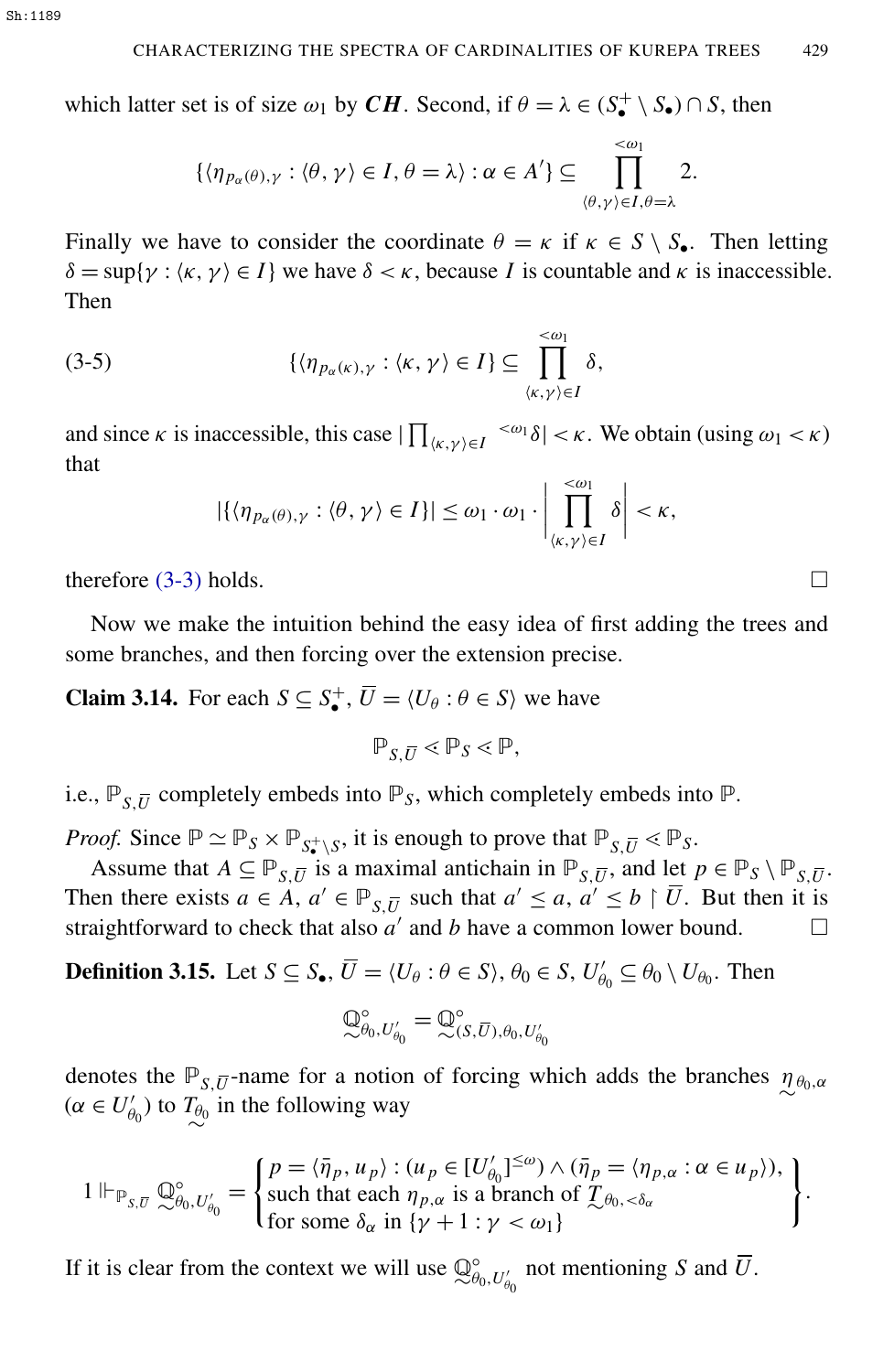which latter set is of size  $\omega_1$  by *CH*. Second, if  $\theta = \lambda \in (S^+_\bullet \setminus S_\bullet) \cap S$ , then

$$
\{\langle \eta_{p_\alpha(\theta),\gamma} : \langle \theta, \gamma \rangle \in I, \theta = \lambda\} : \alpha \in A'\} \subseteq \prod_{\langle \theta, \gamma \rangle \in I, \theta = \lambda}^{< \omega_1} 2.
$$

Finally we have to consider the coordinate  $\theta = \kappa$  if  $\kappa \in S \setminus S_{\bullet}$ . Then letting  $\delta = \sup\{\gamma : \langle \kappa, \gamma \rangle \in I\}$  we have  $\delta < \kappa$ , because *I* is countable and  $\kappa$  is inaccessible. Then

(3-5) 
$$
\{\langle \eta_{p_\alpha(\kappa),\gamma} : \langle \kappa, \gamma \rangle \in I\} \subseteq \prod_{\langle \kappa,\gamma \rangle \in I}^{\langle \infty_1 \rangle} \delta,
$$

and since  $\kappa$  is inaccessible, this case  $|\prod_{\langle\kappa,\gamma\rangle\in I} \langle\omega_1\delta| < \kappa$ . We obtain (using  $\omega_1 < \kappa$ ) that

$$
|\{\langle \eta_{p_\alpha(\theta),\gamma} : \langle \theta, \gamma \rangle \in I\}| \leq \omega_1 \cdot \omega_1 \cdot \left| \prod_{\langle \kappa, \gamma \rangle \in I}^{\langle \omega_1 \rangle} \delta \right| < \kappa,
$$

therefore  $(3-3)$  holds.

Now we make the intuition behind the easy idea of first adding the trees and some branches, and then forcing over the extension precise.

**Claim 3.14.** For each  $S \subseteq S^+_{\bullet}, \overline{U} = \langle U_{\theta} : \theta \in S \rangle$  we have

<span id="page-7-1"></span>
$$
\mathbb{P}_{S,\overline{U}} \lessdot \mathbb{P}_S \lessdot \mathbb{P},
$$

i.e.,  $\mathbb{P}_{S,\overline{U}}$  completely embeds into  $\mathbb{P}_S$ , which completely embeds into  $\mathbb{P}$ .

*Proof.* Since  $\mathbb{P} \simeq \mathbb{P}_S \times \mathbb{P}_{S^* \setminus S}$ , it is enough to prove that  $\mathbb{P}_{S,\overline{U}} \lt \mathbb{P}_S$ .

Assume that  $A \subseteq \mathbb{P}_{S,\overline{U}}$  is a maximal antichain in  $\mathbb{P}_{S,\overline{U}}$ , and let  $p \in \mathbb{P}_S \setminus \mathbb{P}_{S,\overline{U}}$ . Then there exists  $a \in A$ ,  $a' \in \mathbb{P}_{S,\overline{U}}$  such that  $a' \le a, a' \le b \upharpoonright \overline{U}$ . But then it is straightforward to check that also  $a'$  and  $b$  have a common lower bound.  $\square$ 

<span id="page-7-0"></span>**Definition 3.15.** Let  $S \subseteq S_\bullet$ ,  $\overline{U} = \langle U_\theta : \theta \in S \rangle$ ,  $\theta_0 \in S$ ,  $U'_\theta$  $\theta_0 \subseteq \theta_0 \setminus U_{\theta_0}$ . Then

$$
\mathbb{Q}_{\theta_0,U_{\theta_0}'}^{\circ}=\mathbb{Q}_{(S,\overline{U}),\theta_0,U_{\theta_0}'}^{\circ}
$$

denotes the  $\mathbb{P}_{S,\overline{U}}$ -name for a notion of forcing which adds the branches  $\eta_{\theta_0,\alpha}$  $(\alpha \in U'_\theta)$  $\theta_{\theta_0}$  to  $T_{\theta_0}$  in the following way

$$
1 \Vdash_{\mathbb{P}_{S,\overline{U}}} \mathbb{Q}_{\theta_0, U_{\theta_0}'}^{\circ} = \begin{cases} p = \langle \overline{\eta}_p, u_p \rangle : (u_p \in [U_{\theta_0}']^{\leq \omega}) \wedge (\overline{\eta}_p = \langle \eta_{p,\alpha} : \alpha \in u_p \rangle), \\ \text{such that each } \eta_{p,\alpha} \text{ is a branch of } \mathcal{I}_{\theta_0, < \delta_\alpha} \\ \text{for some } \delta_\alpha \text{ in } \{\gamma + 1 : \gamma < \omega_1\} \end{cases}.
$$

If it is clear from the context we will use  $\mathbb{Q}^{\circ}_{\theta}$  $\int_{\theta_0, U_{\theta_0}'}^{\circ}$  not mentioning *S* and *U*.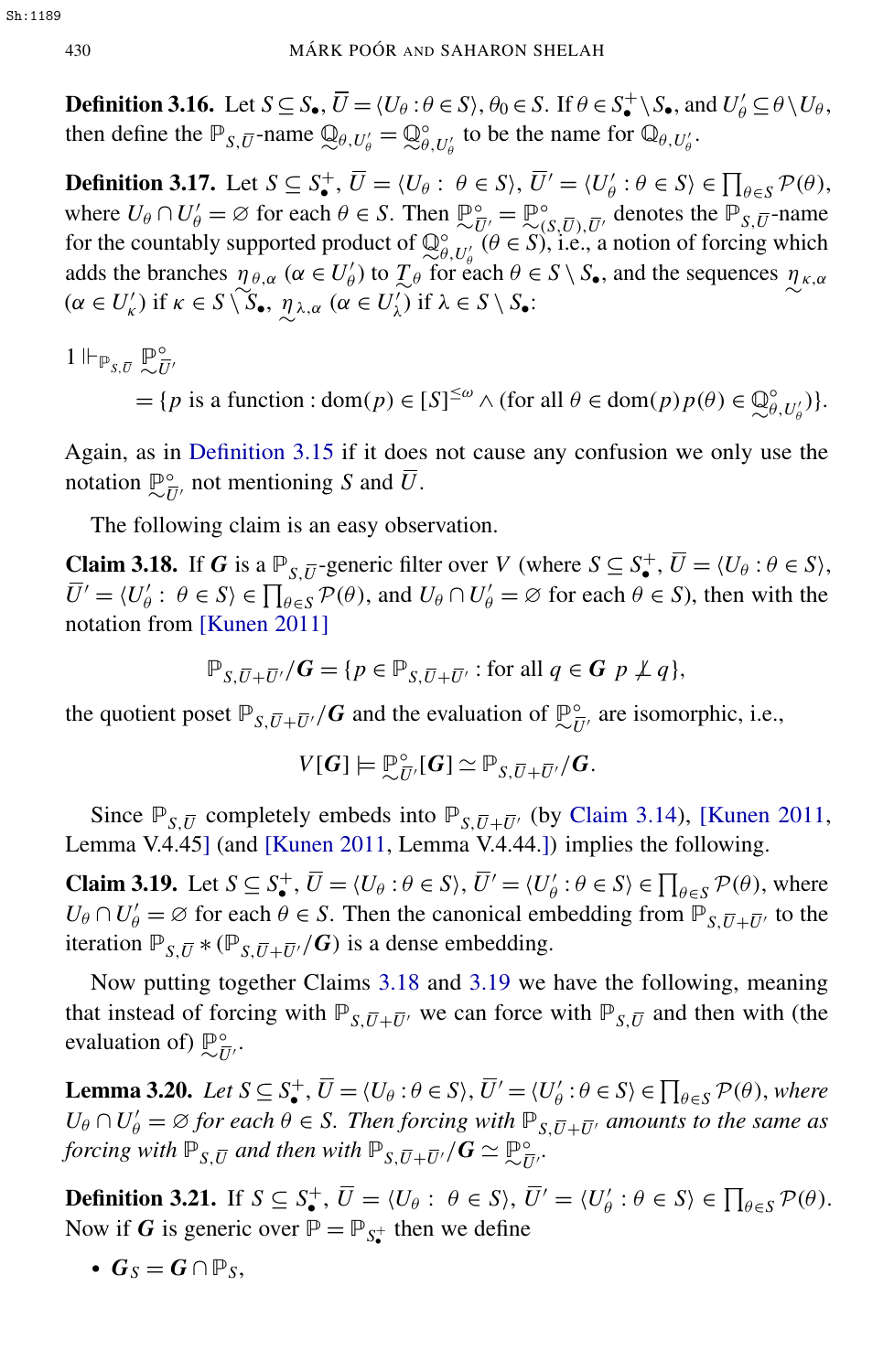**Definition 3.16.** Let  $S \subseteq S_{\bullet}$ ,  $\overline{U} = \langle U_{\theta} : \theta \in S \rangle$ ,  $\theta_0 \in S$ . If  $\theta \in S_{\bullet}^+ \setminus S_{\bullet}$ , and  $U_{\theta}' \subseteq \theta \setminus U_{\theta}$ , then define the  $\mathbb{P}_{S,\overline{U}}$ -name  $\mathbb{Q}_{\theta,U'_\theta} = \mathbb{Q}^{\circ}_{\theta}$  $\int_{\theta, U_{\theta}'}^{\phi}$  to be the name for  $\mathbb{Q}_{\theta, U_{\theta}'}$ .

**Definition 3.17.** Let  $S \subseteq S_{\bullet}^{+}$ ,  $\overline{U} = \langle U_{\theta} : \theta \in S \rangle$ ,  $\overline{U}' = \langle U_{\theta}' \rangle$  $\beta' : \theta \in S \rangle \in \prod_{\theta \in S} \mathcal{P}(\theta),$ where  $U_{\theta} \cap U_{\theta}' = \varnothing$  for each  $\theta \in S$ . Then  $\mathbb{P}_{\infty}^{\circ} = \mathbb{P}_{\infty}^{\circ}$  $\int_{(S,\overline{U}),\overline{U}'}^{\circ}$  denotes the  $\mathbb{P}_{S,\overline{U}}$ -name for the countably supported product of  $\mathbb{Q}^{\circ}_{\theta}$  $\theta$ ,  $U_{\theta}$ ,  $(\theta \in S)$ , i.e., a notion of forcing which adds the branches  $\eta_{\theta,\alpha}$  ( $\alpha \in U'_{\theta}$  $(\alpha \in U'_\kappa)$  if  $\kappa \in S \setminus S_\bullet$ ,  $\eta_{\lambda,\alpha}$  ( $\alpha \in U'_\lambda$ )  $\mathcal{L}'_{\theta}$  to  $\mathcal{L}_{\theta}$  for each  $\theta \in S \setminus S_{\bullet}$ , and the sequences  $\eta_{\kappa,\alpha}$  $\chi'$ ) if  $\lambda \in S \setminus S_{\bullet}$ :

 $1 \Vdash_{\mathbb{P}_{S,\overline{U}}} \mathbb{P}$ ◦  $\bar{U}^\prime$ 

> $= {p \text{ is a function : } dom(p) \in [S]^{\leq \omega} \land (for all \theta \in dom(p)p(\theta) \in \mathbb{Q}}$ ◦  $_{\theta,U_{\theta}'}^{\circ})\}.$

Again, as in [Definition 3.15](#page-7-0) if it does not cause any confusion we only use the notation  $\mathbb{P}_{\bar{t}}^{\circ}$  $\frac{\partial}{\partial U}$ , not mentioning *S* and *U*.

The following claim is an easy observation.

<span id="page-8-0"></span>**Claim 3.18.** If *G* is a  $\mathbb{P}_{S,\overline{U}}$ -generic filter over *V* (where  $S \subseteq S^+_{\bullet}, \overline{U} = \langle U_{\theta} : \theta \in S \rangle$ ,  $\bar{U}' = \langle U'_\theta$  $\theta'_{\theta}$ :  $\theta \in S$   $\in \prod_{\theta \in S} P(\theta)$ , and  $U_{\theta} \cap U'_{\theta} = \emptyset$  for each  $\theta \in S$ ), then with the notation from [\[Kunen 2011\]](#page-30-4)

$$
\mathbb{P}_{S,\overline{U}+\overline{U}^{\prime}}/\mathbf{G} = \{p \in \mathbb{P}_{S,\overline{U}+\overline{U}^{\prime}} : \text{for all } q \in \mathbf{G} \ p \not\perp q\},\
$$

the quotient poset  $\mathbb{P}_{S,\overline{U}+\overline{U}^{\prime}}/G$  and the evaluation of  $\mathbb{P}_{\sim \overline{U}}^{\circ}$  $\frac{\partial}{\partial U'}$  are isomorphic, i.e.,

$$
V[G] \models \mathbb{P}_{\sim \overline{U}'}^{\circ}[G] \simeq \mathbb{P}_{S,\overline{U} + \overline{U}'}/G.
$$

Since  $\mathbb{P}_{S,\overline{U}}$  completely embeds into  $\mathbb{P}_{S,\overline{U}+\overline{U}}$  (by [Claim 3.14\)](#page-7-1), [\[Kunen 2011,](#page-30-4) Lemma V.4.45] (and [\[Kunen 2011,](#page-30-4) Lemma V.4.44.]) implies the following.

<span id="page-8-1"></span>**Claim 3.19.** Let  $S \subseteq S^+_$ ,  $\overline{U} = \langle U_\theta : \theta \in S \rangle$ ,  $\overline{U}' = \langle U'_\theta \rangle$  $\beta' : \theta \in S$   $\in \prod_{\theta \in S} \mathcal{P}(\theta)$ , where  $U_{\theta} \cap U'_{\theta} = \emptyset$  for each  $\theta \in S$ . Then the canonical embedding from  $\mathbb{P}_{S,\overline{U} + \overline{U'}}$  to the iteration  $\mathbb{P}_{S,\overline{U}} * (\mathbb{P}_{S,\overline{U} + \overline{U}} / G)$  is a dense embedding.

Now putting together Claims [3.18](#page-8-0) and [3.19](#page-8-1) we have the following, meaning that instead of forcing with  $\mathbb{P}_{S,\overline{U}+\overline{U}}$  we can force with  $\mathbb{P}_{S,\overline{U}}$  and then with (the evaluation of)  $\mathbb{P}_{\bar{i}}^{\circ}$  $\frac{\circ}{U}$ .

<span id="page-8-2"></span>**Lemma 3.20.** *Let*  $S \subseteq S^+_{\bullet}$ ,  $\overline{U} = \langle U_{\theta} : \theta \in S \rangle$ ,  $\overline{U}' = \langle U_{\theta}' \rangle$  $\mathcal{C}_{\theta}': \theta \in S \rangle \in \prod_{\theta \in S} \mathcal{P}(\theta)$ , where  $U_{\theta} \cap U'_{\theta} = \emptyset$  *for each*  $\theta \in S$ . Then forcing with  $\mathbb{P}_{S,\overline{U} + \overline{U'}}$  amounts to the same as *forcing with*  $\mathbb{P}_{S,\bar{U}}$  and then with  $\mathbb{P}_{S,\bar{U}+\bar{U}'}/\mathbf{G} \simeq \mathbb{P}^{\circ}_{\sim \bar{U}}$  $\frac{\circ}{U}$ .

**Definition 3.21.** If  $S \subseteq S_{\bullet}^{+}$ ,  $\overline{U} = \langle U_{\theta} : \theta \in S \rangle$ ,  $\overline{U}' = \langle U_{\theta}' \rangle$  $\theta'_{\theta} : \theta \in S$   $\in \prod_{\theta \in S} \mathcal{P}(\theta)$ . Now if *G* is generic over  $\mathbb{P} = \mathbb{P}_{S_{\bullet}^+}$  then we define

•  $G_S = G \cap \mathbb{P}_S$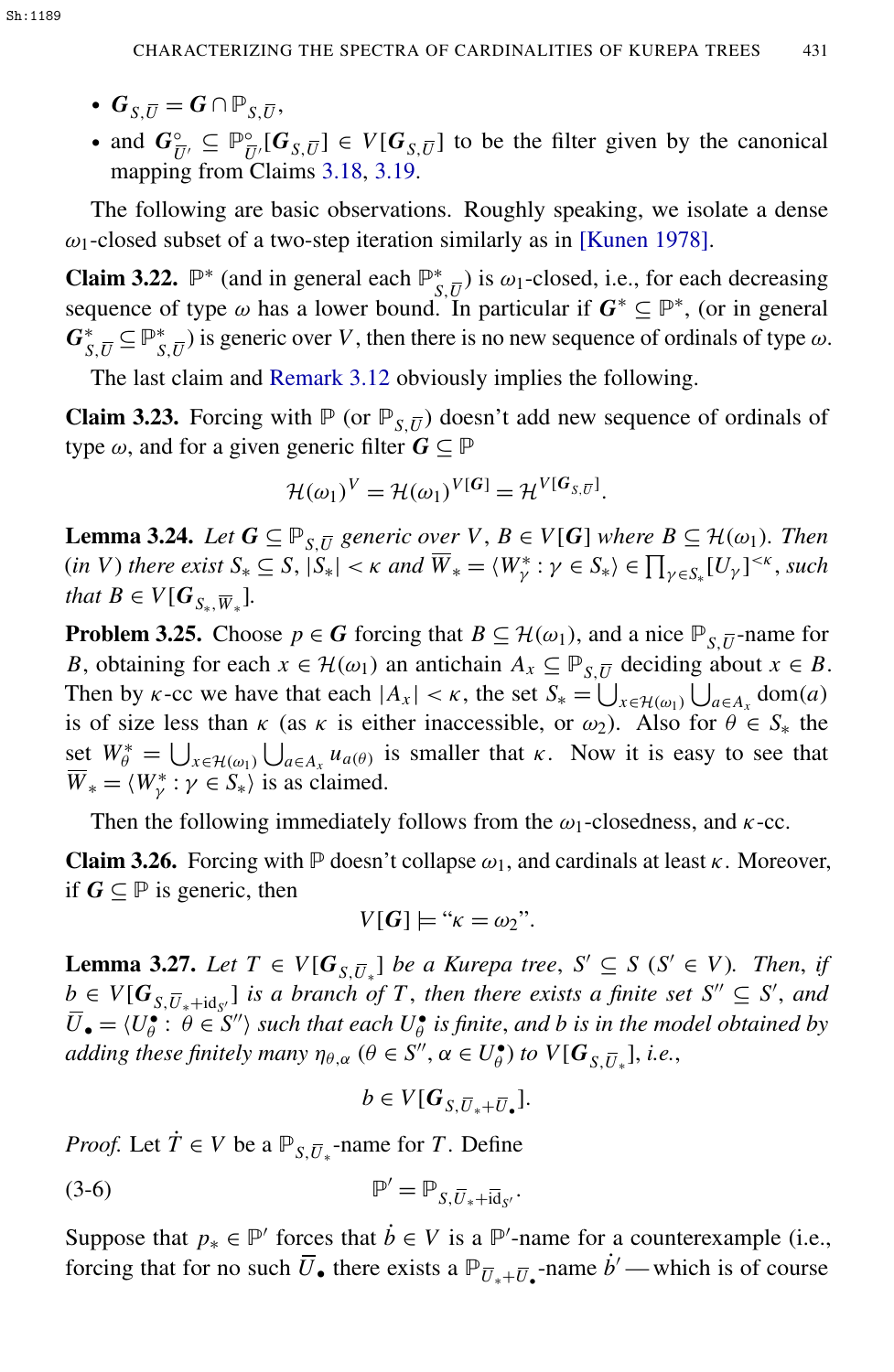- $G_{S,\overline{U}} = G \cap \mathbb{P}_{S,\overline{U}},$
- and  $G_{\overline{U'}}^{\circ} \subseteq \mathbb{P}_{\overline{U}}^{\circ}$  $\frac{\partial}{\partial U} [\mathbf{G}_{S,\overline{U}}] \in V[\mathbf{G}_{S,\overline{U}}]$  to be the filter given by the canonical mapping from Claims [3.18,](#page-8-0) [3.19.](#page-8-1)

The following are basic observations. Roughly speaking, we isolate a dense  $\omega_1$ -closed subset of a two-step iteration similarly as in [\[Kunen 1978\]](#page-30-5).

**Claim 3.22.**  $\mathbb{P}^*$  (and in general each  $\mathbb{P}_s^*$  $\sum_{S,\overline{U}}$  is  $\omega_1$ -closed, i.e., for each decreasing sequence of type  $\omega$  has a lower bound. In particular if  $G^* \subseteq \mathbb{P}^*$ , (or in general *G* ∗  $S$ <sub>*S*</sub>, $\overline{U}$ </sub> ⊆  $\mathbb{P}_{S}^{*}$  $S$ , $\overline{U}$ ) is generic over *V*, then there is no new sequence of ordinals of type  $\omega$ .

The last claim and [Remark 3.12](#page-6-2) obviously implies the following.

**Claim 3.23.** Forcing with  $\mathbb{P}$  (or  $\mathbb{P}_{S,\overline{U}}$ ) doesn't add new sequence of ordinals of type  $\omega$ , and for a given generic filter  $G \subseteq \mathbb{P}$ 

<span id="page-9-3"></span>
$$
\mathcal{H}(\omega_1)^V = \mathcal{H}(\omega_1)^{V[G]} = \mathcal{H}^{V[G_{S,\overline{U}}]}.
$$

<span id="page-9-1"></span>**Lemma 3.24.** Let  $G \subseteq \mathbb{P}_{S,\overline{U}}$  generic over  $V, B \in V[G]$  where  $B \subseteq \mathcal{H}(\omega_1)$ . Then  $(in \ V)$  *there exist*  $S_* \subseteq S, |S_*| < \kappa$  *and*  $\overline{W}_* = \langle W_\gamma^* : \gamma \in S_* \rangle \in \prod_{\gamma \in S_*} [U_\gamma]^{<\kappa}$ , *such that*  $B \in V[G_{S_*}, \overline{W}_*].$ 

**Problem 3.25.** Choose  $p \in G$  forcing that  $B \subseteq H(\omega_1)$ , and a nice  $\mathbb{P}_{S,\overline{U}}$ -name for *B*, obtaining for each  $x \in \mathcal{H}(\omega_1)$  an antichain  $A_x \subseteq \mathbb{P}_{S,\overline{U}}$  deciding about  $x \in B$ . Then by *k*-cc we have that each  $|A_x| < \kappa$ , the set  $S_* = \bigcup_{x \in \mathcal{H}(\omega_1)} \bigcup_{a \in A_x} \text{dom}(a)$ is of size less than  $\kappa$  (as  $\kappa$  is either inaccessible, or  $\omega_2$ ). Also for  $\theta \in S_*$  the set  $W^*_{\theta} = \bigcup_{x \in \mathcal{H}(\omega_1)} \bigcup_{a \in A_x} u_{a(\theta)}$  is smaller that  $\kappa$ . Now it is easy to see that  $\overline{W}_* = \langle W^*_\gamma : \gamma \in S_* \rangle$  is as claimed.

Then the following immediately follows from the  $\omega_1$ -closedness, and  $\kappa$ -cc.

**Claim 3.26.** Forcing with  $\mathbb P$  doesn't collapse  $\omega_1$ , and cardinals at least  $\kappa$ . Moreover, if  $G ⊆ P$  is generic, then

<span id="page-9-2"></span>
$$
V[G] \models ``\kappa = \omega_2".
$$

<span id="page-9-0"></span>**Lemma 3.27.** *Let*  $T \in V[G_{S,\overline{U}_*}]$  *be a Kurepa tree,*  $S' \subseteq S$  ( $S' \in V$ )*. Then, if*  $b \in V[G_{S,\overline{U}_*+id_{S'}}]$  is a branch of *T*, then there exists a finite set  $S'' \subseteq S'$ , and  $\overline{U}_{\bullet} = \langle U_{\theta} \rangle$  $\hat{\theta}$ :  $\hat{\theta} \in S''$  *such that each*  $U_{\theta}^{\bullet}$  $\frac{\epsilon}{\theta}$  *is finite, and b is in the model obtained by adding these finitely many*  $\eta_{\theta,\alpha}$  ( $\theta \in S''$ ,  $\alpha \in U_{\theta}^{\bullet}$  $\mathcal{E}_{\theta}^{\bullet}$ ) to  $V[G_{S,\overline{U}_{*}}]$ , i.e.,

$$
b\in V[G_{S,\overline{U}*+\overline{U}_{\bullet}}].
$$

*Proof.* Let  $\dot{T} \in V$  be a  $\mathbb{P}_{S,\overline{U}*}$ -name for *T*. Define

$$
\mathbb{P}' = \mathbb{P}_{S,\overline{U}_* + \overline{\text{id}}_{S'}}.
$$

Suppose that  $p_* \in \mathbb{P}'$  forces that  $\dot{b} \in V$  is a  $\mathbb{P}'$ -name for a counterexample (i.e., forcing that for no such  $\overline{U}_{\bullet}$  there exists a  $\mathbb{P}_{\overline{U}_{*}+\overline{U}_{\bullet}}$ -name  $\dot{b}'$  — which is of course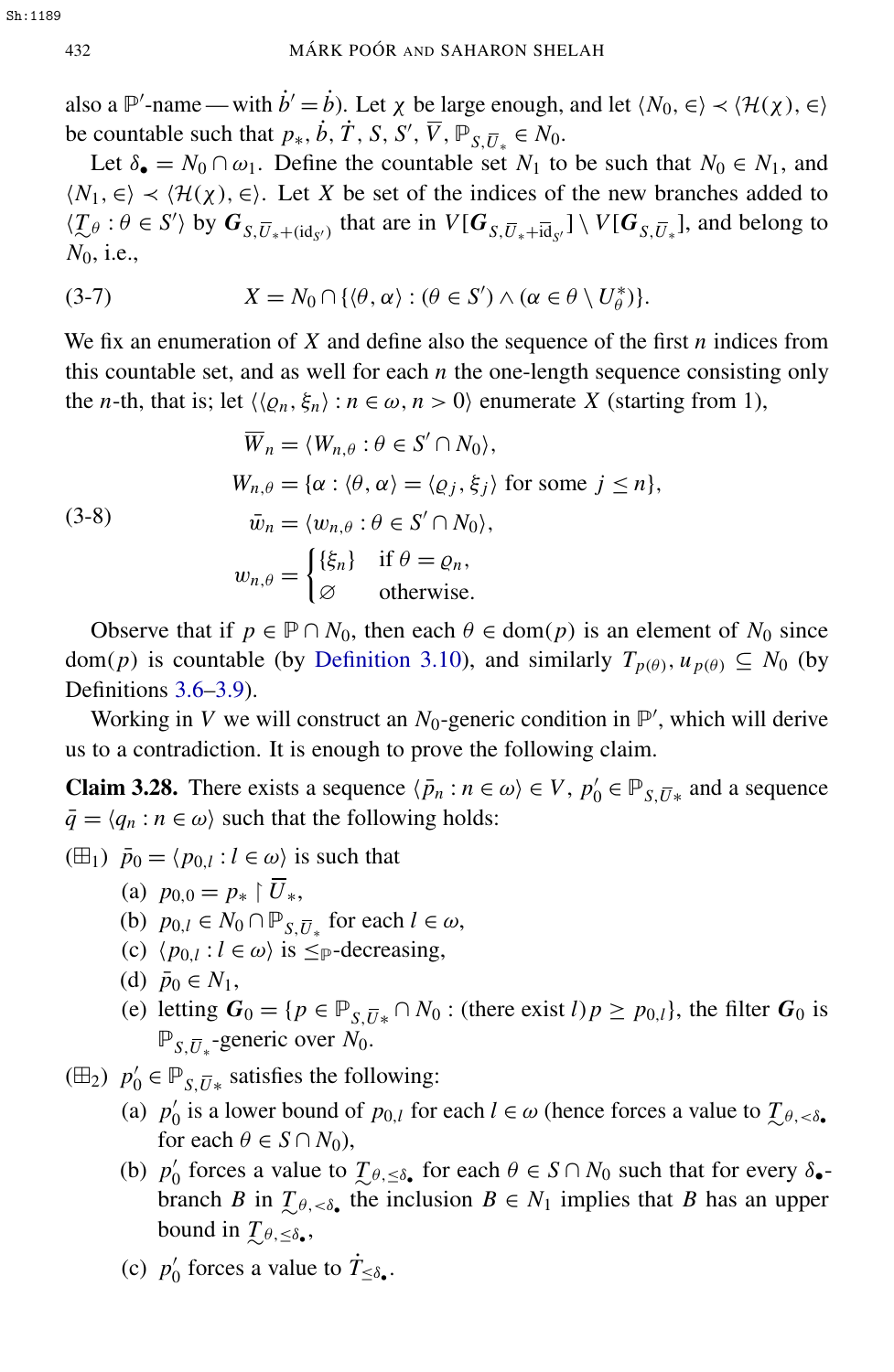also a  $\mathbb{P}'$ -name — with  $\dot{b}' = \dot{b}$ ). Let  $\chi$  be large enough, and let  $\langle N_0, \in \rangle \prec \langle \mathcal{H}(\chi), \in \rangle$ be countable such that  $p_*, \dot{b}, \dot{T}, S, S', \overline{V}, \overline{P}_{S, \overline{U}_*} \in N_0$ .

Let  $\delta_{\bullet} = N_0 \cap \omega_1$ . Define the countable set  $N_1$  to be such that  $N_0 \in N_1$ , and  $\langle N_1, \in \rangle \prec \langle \mathcal{H}(\chi), \in \rangle$ . Let X be set of the indices of the new branches added to  $\langle \mathcal{I}_{\theta} : \theta \in S' \rangle$  by  $G_{S, \overline{U}_* + (\mathrm{id}_{S'})}$  that are in  $V[G_{S, \overline{U}_* + \overline{\mathrm{id}}_{S'}}] \setminus V[G_{S, \overline{U}_*}]$ , and belong to *N*0, i.e.,

<span id="page-10-5"></span>(3-7) 
$$
X = N_0 \cap \{ \langle \theta, \alpha \rangle : (\theta \in S') \wedge (\alpha \in \theta \setminus U_{\theta}^*) \}.
$$

We fix an enumeration of *X* and define also the sequence of the first *n* indices from this countable set, and as well for each  $n$  the one-length sequence consisting only the *n*-th, that is; let  $\langle \langle \varrho_n, \xi_n \rangle : n \in \omega, n > 0 \rangle$  enumerate *X* (starting from 1),

<span id="page-10-3"></span>(3-8)  
\n
$$
\overline{W}_n = \langle W_{n,\theta} : \theta \in S' \cap N_0 \rangle,
$$
\n
$$
W_{n,\theta} = \{ \alpha : \langle \theta, \alpha \rangle = \langle \varrho_j, \xi_j \rangle \text{ for some } j \le n \},
$$
\n
$$
\overline{w}_n = \langle w_{n,\theta} : \theta \in S' \cap N_0 \rangle,
$$
\n
$$
w_{n,\theta} = \begin{cases}\n\{\xi_n\} & \text{if } \theta = \varrho_n, \\
\varnothing & \text{otherwise.}\n\end{cases}
$$

Observe that if  $p \in \mathbb{P} \cap N_0$ , then each  $\theta \in \text{dom}(p)$  is an element of  $N_0$  since dom(*p*) is countable (by [Definition 3.10\)](#page-5-1), and similarly  $T_{p(\theta)}, u_{p(\theta)} \subseteq N_0$  (by Definitions [3.6](#page-4-2)[–3.9\)](#page-5-2).

Working in V we will construct an  $N_0$ -generic condition in  $\mathbb{P}'$ , which will derive us to a contradiction. It is enough to prove the following claim.

**Claim 3.28.** There exists a sequence  $\langle \bar{p}_n : n \in \omega \rangle \in V$ ,  $p'_0 \in \mathbb{P}_{S, \bar{U}*}$  and a sequence  $\bar{q} = \langle q_n : n \in \omega \rangle$  such that the following holds:

 $(\boxplus_1) \ \bar{p}_0 = \langle p_{0,l} : l \in \omega \rangle$  is such that

- <span id="page-10-0"></span>(a)  $p_{0,0} = p_* \restriction \overline{U}_*.$
- (b)  $p_{0,l} \in N_0 \cap \mathbb{P}_{S,\overline{U}_*}$  for each  $l \in \omega$ ,
- (c)  $\langle p_{0,l} : l \in \omega \rangle$  is  $\leq_P$ -decreasing,
- (d)  $\bar{p}_0 \in N_1$ ,
- (e) letting  $G_0 = \{p \in \mathbb{P}_{S, \overline{U}*} \cap N_0 : (\text{there exist } l)p \geq p_{0,l}\}\)$ , the filter  $G_0$  is <sup>P</sup>*S*,*U*<sup>∗</sup> -generic over *N*0.

<span id="page-10-1"></span>( $\boxplus_2$ )  $p'_0 \in \mathbb{P}_{S,\overline{U}*}$  satisfies the following:

- (a)  $p'_0$  $\alpha$ <sup>0</sup> is a lower bound of *p*<sub>0</sub>,*l*</sub> for each *l* ∈ ω (hence forces a value to *T*<sub>*θ*</sub>,  $\epsilon$ <sup>5</sup>• for each  $\theta \in S \cap N_0$ ),
- <span id="page-10-2"></span>(b)  $p'_0$ forces a value to  $\mathcal{I}_{\theta, \leq \delta_{\bullet}}$  for each  $\theta \in S \cap N_0$  such that for every  $\delta_{\bullet}$ branch *B* in  $\mathcal{I}_{\theta, <\delta}$ , the inclusion  $B \in N_1$  implies that *B* has an upper bound in  $\mathcal{I}_{\theta, \leq \delta_{\bullet}}$ ,
- <span id="page-10-4"></span>(c)  $p'_0$  $\eta'$  forces a value to  $\dot{T}_{\leq \delta_{\bullet}}$ .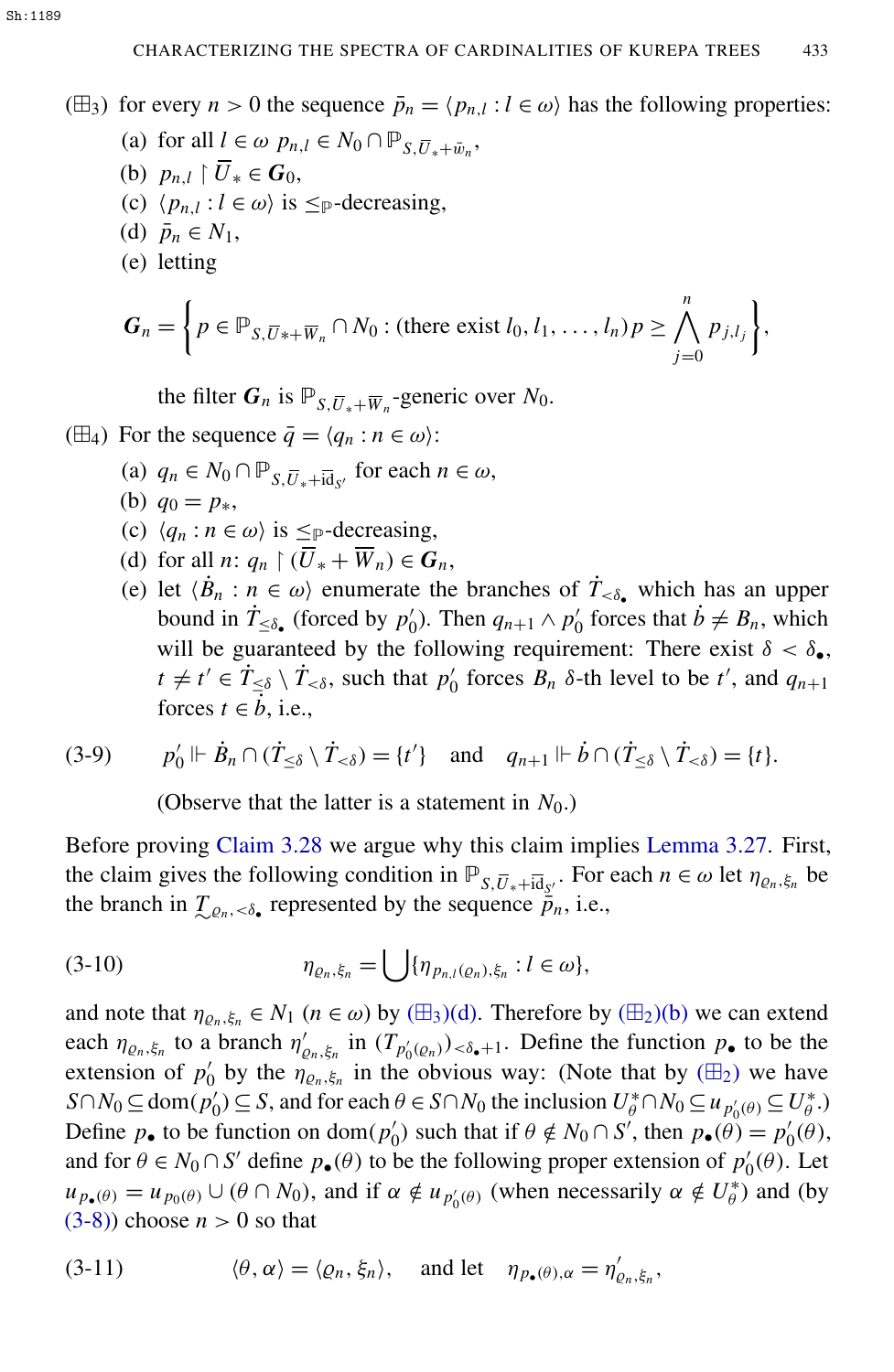<span id="page-11-0"></span>( $\boxplus$ <sub>3</sub>) for every *n* > 0 the sequence  $\bar{p}_n = \langle p_{n,l} : l \in \omega \rangle$  has the following properties:

- (a) for all  $l \in \omega$   $p_{n,l} \in N_0 \cap \mathbb{P}_{S,\overline{U}_* + \overline{w}_n}$ ,
- (b)  $p_{n,l} \restriction \overline{U}_* \in G_0$ ,
- (c)  $\langle p_{n,l} : l \in \omega \rangle$  is  $\leq_{\mathbb{P}}$ -decreasing,
- <span id="page-11-1"></span>(d)  $\bar{p}_n \in N_1$ ,
- <span id="page-11-6"></span>(e) letting

$$
\boldsymbol{G}_n = \left\{ p \in \mathbb{P}_{S, \overline{U} * + \overline{W}_n} \cap N_0 : (\text{there exist } l_0, l_1, \ldots, l_n) p \geq \bigwedge_{j=0}^n p_{j, l_j} \right\},\
$$

the filter  $G_n$  is  $\mathbb{P}_{S,\overline{U}_*+\overline{W}_n}$ -generic over  $N_0$ .

- <span id="page-11-4"></span><span id="page-11-3"></span><span id="page-11-2"></span>( $\boxplus$ <sub>4</sub>) For the sequence  $\bar{q} = \langle q_n : n \in \omega \rangle$ :
	- (a)  $q_n \in N_0 \cap \mathbb{P}_{S, \overline{U}_* + \overline{\text{id}}_{S'}}$  for each  $n \in \omega$ ,
	- (b)  $q_0 = p_*$ ,
	- (c)  $\langle q_n : n \in \omega \rangle$  is  $\leq_P$ -decreasing,
	- (d) for all *n*:  $q_n \restriction (\overline{U}_* + \overline{W}_n) \in G_n$ ,
	- (e) let  $\langle \dot{B}_n : n \in \omega \rangle$  enumerate the branches of  $\dot{T}_{\langle \delta \rangle}$  which has an upper bound in  $\dot{T}_{\leq \delta_{\bullet}}$  (forced by  $p'_0$  $Q_0$ ). Then  $q_{n+1} \wedge p'_0$ forces that  $\vec{b} \neq B_n$ , which will be guaranteed by the following requirement: There exist  $\delta < \delta_{\bullet}$ ,  $t \neq t' \in \dot{T}_{\leq \delta} \setminus \dot{T}_{<\delta}$ , such that  $p'_0$  $\int_0^t$  forces  $B_n$   $\delta$ -th level to be  $t'$ , and  $q_{n+1}$ forces  $t \in \dot{b}$ , i.e.,

$$
(3-9) \qquad p'_0 \Vdash \dot{B}_n \cap (\dot{T}_{\leq \delta} \setminus \dot{T}_{< \delta}) = \{t'\} \quad \text{and} \quad q_{n+1} \Vdash \dot{b} \cap (\dot{T}_{\leq \delta} \setminus \dot{T}_{< \delta}) = \{t\}.
$$

<span id="page-11-5"></span>(Observe that the latter is a statement in  $N_0$ .)

Before proving [Claim 3.28](#page-10-0) we argue why this claim implies [Lemma 3.27.](#page-9-0) First, the claim gives the following condition in  $\mathbb{P}_{S,\overline{U}_*+\overline{\text{id}}_{S'}}$ . For each  $n \in \omega$  let  $\eta_{\varrho_n,\xi_n}$  be the branch in  $\mathcal{I}_{\mathcal{Q}_n, \langle \delta \rangle}$  represented by the sequence  $\bar{p}_n$ , i.e.,

(3-10) 
$$
\eta_{\varrho_n,\xi_n} = \bigcup \{ \eta_{p_{n,l}(\varrho_n),\xi_n} : l \in \omega \},
$$

and note that  $\eta_{\varrho_n,\xi_n} \in N_1$  ( $n \in \omega$ ) by ( $\boxplus_3$ [\)\(d\).](#page-11-1) Therefore by ( $\boxplus_2$ [\)\(b\)](#page-10-2) we can extend each  $\eta_{\varrho_n,\xi_n}$  to a branch  $\eta'_{\varrho}$  $_{\varrho_n,\xi_n}$  in  $(T_{p'_0(\varrho_n)})_{\leq \delta_{\bullet}+1}$ . Define the function  $p_{\bullet}$  to be the extension of  $p_0$ <sup>'</sup> by the  $\eta_{\varrho_n,\xi_n}$  in the obvious way: (Note that by  $(\boxplus_2)$ ) we have *S*∩*N*<sup>0</sup> ⊆ dom $(p_0$ <sup>*i*</sup>  $U_0$   $\subseteq$  *S*, and for each  $\theta \in S \cap N_0$  the inclusion  $U_{\theta}^* \cap N_0 \subseteq u_{p_0'(\theta)} \subseteq U_{\theta}^*$  $_{\theta}^{\ast}$ .) Define  $p_{\bullet}$  to be function on dom( $p'_{0}$  $p'_0$ ) such that if  $θ \notin N_0 ∩ S'$ , then  $p_•(θ) = p'_0$  $l_{0}'(\theta),$ and for  $\theta \in N_0 \cap S'$  define  $p_{\bullet}(\theta)$  to be the following proper extension of  $p'_0$  $i_0'(\theta)$ . Let  $u_{p_{\bullet}(\theta)} = u_{p_0(\theta)} \cup (\theta \cap N_0)$ , and if  $\alpha \notin u_{p'_0(\theta)}$  (when necessarily  $\alpha \notin U_{\theta}^*$  $\binom{*}{\theta}$  and (by  $(3-8)$ ) choose  $n > 0$  so that

(3-11) 
$$
\langle \theta, \alpha \rangle = \langle \varrho_n, \xi_n \rangle
$$
, and let  $\eta_{p_{\bullet}(\theta), \alpha} = \eta'_{\varrho_n, \xi_n}$ ,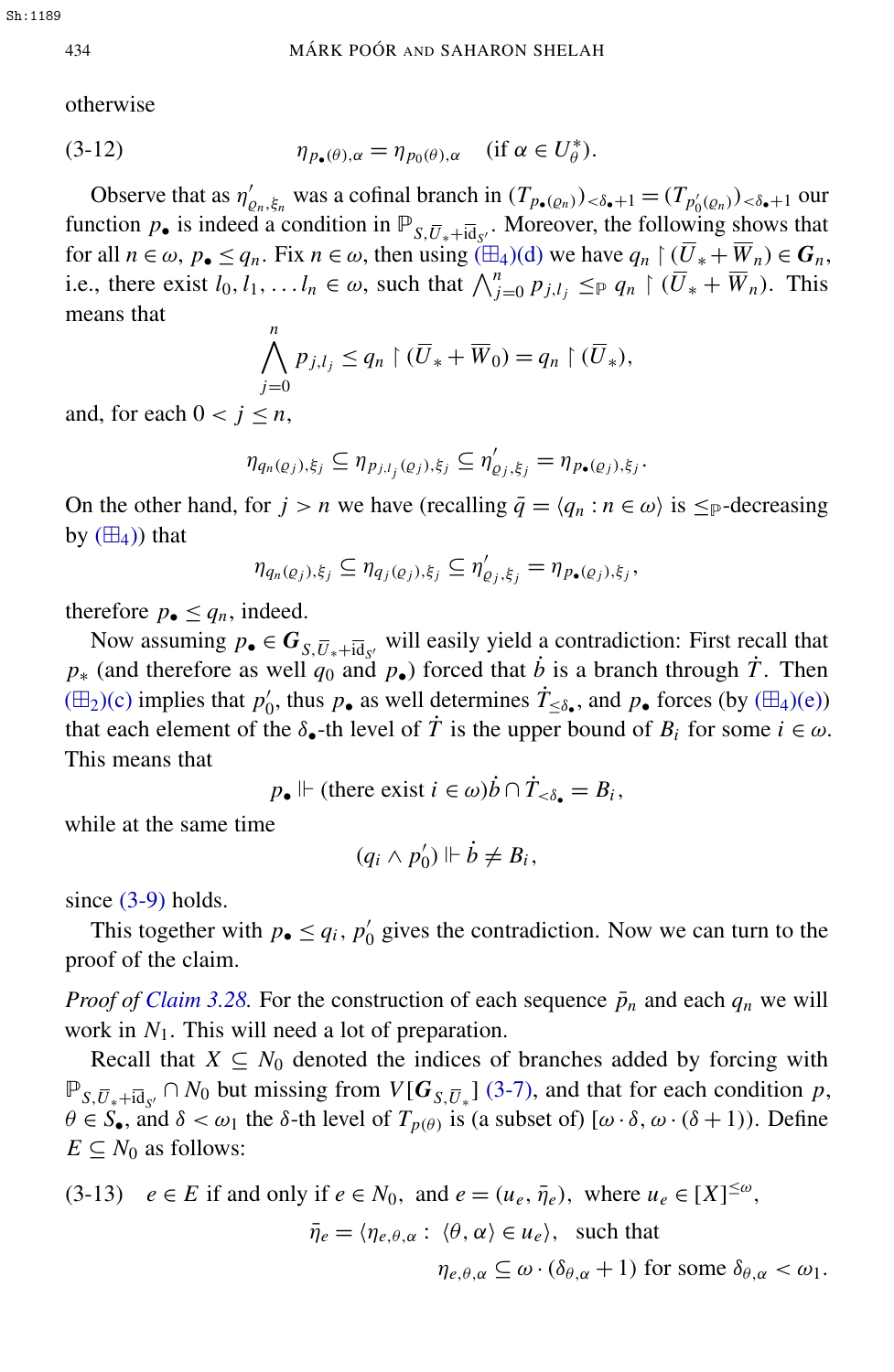otherwise

(3-12) 
$$
\eta_{p_{\bullet}(\theta),\alpha} = \eta_{p_{0}(\theta),\alpha} \quad (\text{if } \alpha \in U_{\theta}^{*}).
$$

Observe that as  $\eta'$  $\chi'_{\rho_n,\xi_n}$  was a cofinal branch in  $(T_{p_{\bullet}(\rho_n)})_{\lt \delta_{\bullet}+1} = (T_{p'_0(\rho_n)})_{\lt \delta_{\bullet}+1}$  our function  $p_{\bullet}$  is indeed a condition in  $\mathbb{P}_{S,\overline{U}_*+\overline{\text{id}}_{S'}}$ . Moreover, the following shows that for all  $n \in \omega$ ,  $p_{\bullet} \le q_n$ . Fix  $n \in \omega$ , then using  $(\boxplus_4)(d)$  $(\boxplus_4)(d)$  we have  $q_n \restriction (\overline{U}_* + \overline{W}_n) \in G_n$ , i.e., there exist  $l_0, l_1, \ldots, l_n \in \omega$ , such that  $\bigwedge_{j=0}^n p_{j,l_j} \leq_{\mathbb{P}} q_n \upharpoonright (\overline{U}_* + \overline{W}_n)$ . This means that ^*n*

$$
\bigwedge_{j=0} P_{j,l_j} \le q_n \upharpoonright (\overline{U}_* + \overline{W}_0) = q_n \upharpoonright (\overline{U}_*),
$$

and, for each  $0 < j \leq n$ ,

$$
\eta_{q_n(\varrho_j),\xi_j} \subseteq \eta_{p_{j,l_j}(\varrho_j),\xi_j} \subseteq \eta'_{\varrho_j,\xi_j} = \eta_{p_{\bullet}(\varrho_j),\xi_j}.
$$

On the other hand, for  $j > n$  we have (recalling  $\bar{q} = \langle q_n : n \in \omega \rangle$  is  $\leq_{\mathbb{P}}$ -decreasing by  $(\boxplus_4)$  that

$$
\eta_{q_n(\varrho_j),\xi_j} \subseteq \eta_{q_j(\varrho_j),\xi_j} \subseteq \eta'_{\varrho_j,\xi_j} = \eta_{p_{\bullet}(\varrho_j),\xi_j},
$$

therefore  $p_{\bullet} \leq q_n$ , indeed.

Now assuming  $p_{\bullet} \in G_{S, \overline{U}_* + i\overline{d}_{S'}}$  will easily yield a contradiction: First recall that  $p$ <sup>∗</sup> (and therefore as well  $q_0$  and  $p_$ •) forced that *b* is a branch through  $\dot{T}$ . Then  $(\boxplus_2)(c)$  $(\boxplus_2)(c)$  implies that  $p'_0$  $\psi_0'$ , thus  $p_{\bullet}$  as well determines  $\dot{T}_{\leq \delta_{\bullet}}$ , and  $p_{\bullet}$  forces (by ( $\boxplus_4$ [\)\(e\)\)](#page-11-4) that each element of the  $\delta_{\bullet}$ -th level of  $\dot{T}$  is the upper bound of  $B_i$  for some  $i \in \omega$ . This means that

 $p_{\bullet}$   $\Vdash$  (there exist  $i \in \omega$ ) $\dot{b} \cap \dot{T}_{<\delta_{\bullet}} = B_i$ ,

while at the same time

$$
(q_i \wedge p'_0) \Vdash \dot{b} \neq B_i,
$$

since  $(3-9)$  holds.

This together with  $p_{\bullet} \leq q_i$ ,  $p'_0$  $\gamma_0$  gives the contradiction. Now we can turn to the proof of the claim.

*Proof of [Claim 3.28.](#page-10-0)* For the construction of each sequence  $\bar{p}_n$  and each  $q_n$  we will work in  $N_1$ . This will need a lot of preparation.

Recall that  $X \subseteq N_0$  denoted the indices of branches added by forcing with  $\mathbb{P}_{S,\overline{U}_*+i\overline{d}_{S'}} \cap N_0$  but missing from  $V[G_{S,\overline{U}_*}]$  [\(3-7\),](#page-10-5) and that for each condition *p*,  $\theta \in S_{\bullet}$ , and  $\delta < \omega_1$  the  $\delta$ -th level of  $T_{p(\theta)}$  is (a subset of)  $[\omega \cdot \delta, \omega \cdot (\delta + 1)]$ . Define  $E \subseteq N_0$  as follows:

<span id="page-12-0"></span>(3-13)  $e \in E$  if and only if  $e \in N_0$ , and  $e = (u_e, \bar{\eta}_e)$ , where  $u_e \in [X]^{\leq \omega}$ ,  $\bar{\eta}_e = \langle \eta_{e,\theta,\alpha} : \langle \theta, \alpha \rangle \in u_e \rangle$ , such that  $\eta_{e,\theta,\alpha} \subseteq \omega \cdot (\delta_{\theta,\alpha} + 1)$  for some  $\delta_{\theta,\alpha} < \omega_1$ .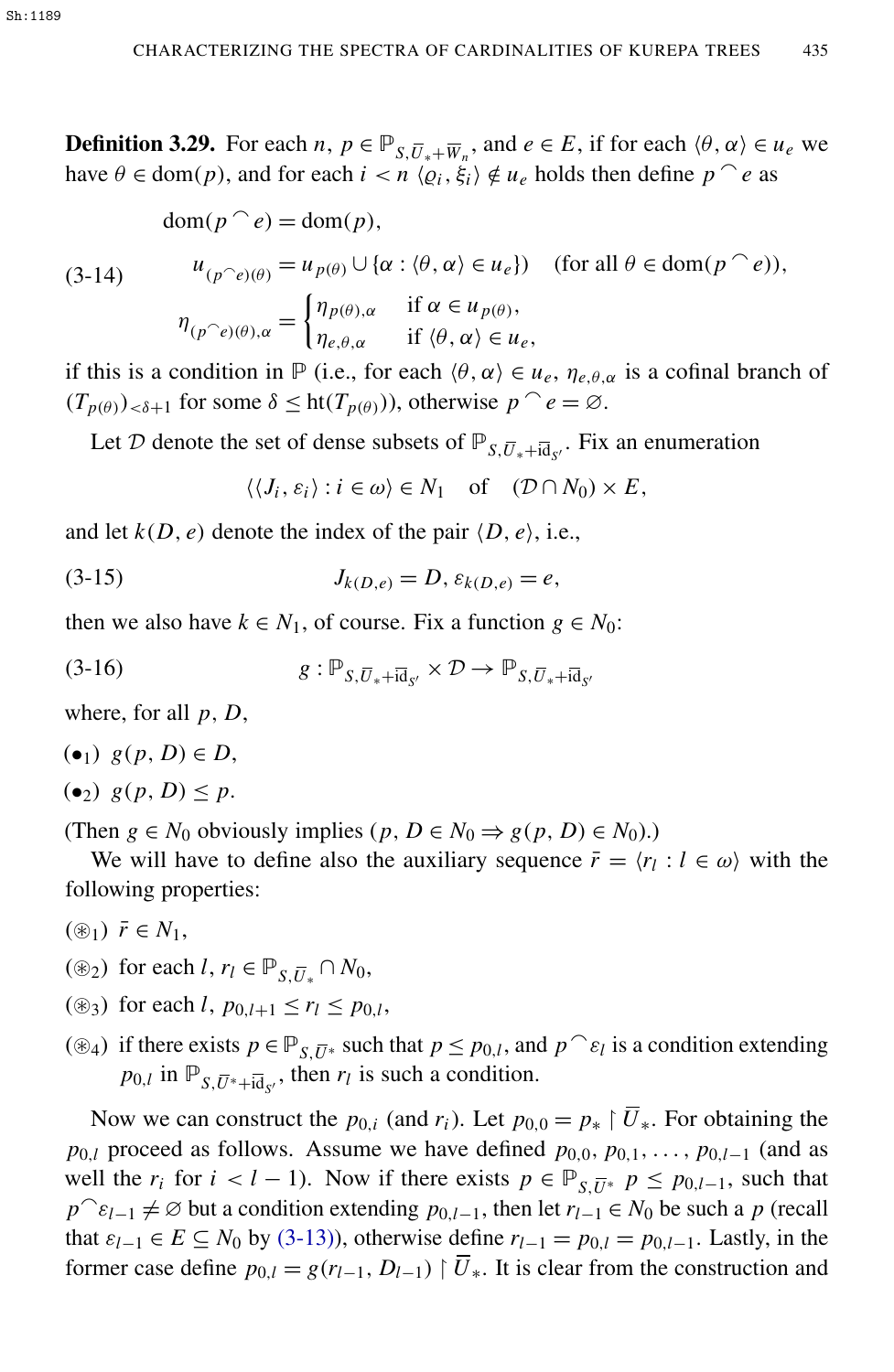**Definition 3.29.** For each *n*,  $p \in \mathbb{P}_{S,\overline{U}_*+\overline{W}_n}$ , and  $e \in E$ , if for each  $\langle \theta, \alpha \rangle \in u_e$  we have  $\theta \in \text{dom}(p)$ , and for each  $i < n \langle \varrho_i, \xi_i \rangle \notin u_e$  holds then define  $p^e$  as

$$
\operatorname{dom}(p \cap e) = \operatorname{dom}(p),
$$

(3-14)

$$
u_{(p^{\frown}e)(\theta)} = u_{p(\theta)} \cup \{\alpha : \langle \theta, \alpha \rangle \in u_e\}) \quad \text{(for all } \theta \in \text{dom}(p^{\frown}e)\text{)},
$$

$$
\eta_{(p^{\frown}e)(\theta),\alpha} = \begin{cases} \eta_{p(\theta),\alpha} & \text{if } \alpha \in u_{p(\theta)}, \\ \eta_{e,\theta,\alpha} & \text{if } \langle \theta, \alpha \rangle \in u_e, \end{cases}
$$

if this is a condition in  $\mathbb P$  (i.e., for each  $\langle \theta, \alpha \rangle \in u_e, \eta_{e, \theta, \alpha}$  is a cofinal branch of  $(T_{p(\theta)})_{\leq \delta+1}$  for some  $\delta \leq \text{ht}(T_{p(\theta)}))$ , otherwise  $p^{\frown} e = \emptyset$ .

Let D denote the set of dense subsets of  $\mathbb{P}_{S,\overline{U}_*+i\overline{d}_{S'}}$ . Fix an enumeration

 $\langle \langle J_i, \varepsilon_i \rangle : i \in \omega \rangle \in N_1$  of  $(\mathcal{D} \cap N_0) \times E$ ,

<span id="page-13-0"></span>0

and let  $k(D, e)$  denote the index of the pair  $\langle D, e \rangle$ , i.e.,

(3-15) 
$$
J_{k(D,e)} = D, \varepsilon_{k(D,e)} = e,
$$

then we also have  $k \in N_1$ , of course. Fix a function  $g \in N_0$ :

$$
(3-16) \t\t g: \mathbb{P}_{S,\overline{U}_*+\overline{\text{id}}_{S'}} \times \mathcal{D} \to \mathbb{P}_{S,\overline{U}_*+\overline{\text{id}}_S}
$$

where, for all *p*, *D*,

$$
(\bullet_1) \ \ g(p, D) \in D,
$$

 $(e_2)$   $g(p, D) \leq p$ .

(Then  $g \in N_0$  obviously implies  $(p, D \in N_0 \Rightarrow g(p, D) \in N_0)$ .)

We will have to define also the auxiliary sequence  $\bar{r} = \langle r_l : l \in \omega \rangle$  with the following properties:

- <span id="page-13-1"></span> $(\circledast_1) \; \bar{r} \in N_1$ ,
- ( $\circledast_2$ ) for each *l*,  $r_l \in \mathbb{P}_{S,\overline{U}_*} \cap N_0$ ,
- ( $\circledast$ <sub>3</sub>) for each *l*,  $p_{0,l+1} \le r_l \le p_{0,l}$ ,
- <span id="page-13-2"></span>( $\circledast_4$ ) if there exists  $p \in \mathbb{P}_{S, \overline{U}*}$  such that  $p \leq p_{0,l}$ , and  $p \cap \varepsilon_l$  is a condition extending  $p_{0,l}$  in  $\mathbb{P}_{S,\overline{U}^*+\overline{id}_{S'}}$ , then  $r_l$  is such a condition.

Now we can construct the  $p_{0,i}$  (and  $r_i$ ). Let  $p_{0,0} = p_* \restriction \overline{U}_*$ . For obtaining the *p*<sub>0,*l*</sub> proceed as follows. Assume we have defined  $p_{0,0}, p_{0,1}, \ldots, p_{0,l-1}$  (and as well the  $r_i$  for  $i < l - 1$ ). Now if there exists  $p \in \mathbb{P}_{S,\overline{U}*}$   $p \leq p_{0,l-1}$ , such that  $p^c$  $\varepsilon$ <sub>*l*−1</sub>  $\neq$  ⊘ but a condition extending  $p_{0,l-1}$ , then let  $r_{l-1} \in N_0$  be such a *p* (recall that  $\varepsilon_{l-1} \in E \subseteq N_0$  by [\(3-13\)\)](#page-12-0), otherwise define  $r_{l-1} = p_{0,l} = p_{0,l-1}$ . Lastly, in the former case define  $p_{0,l} = g(r_{l-1}, D_{l-1}) \upharpoonright \overline{U}_*$ . It is clear from the construction and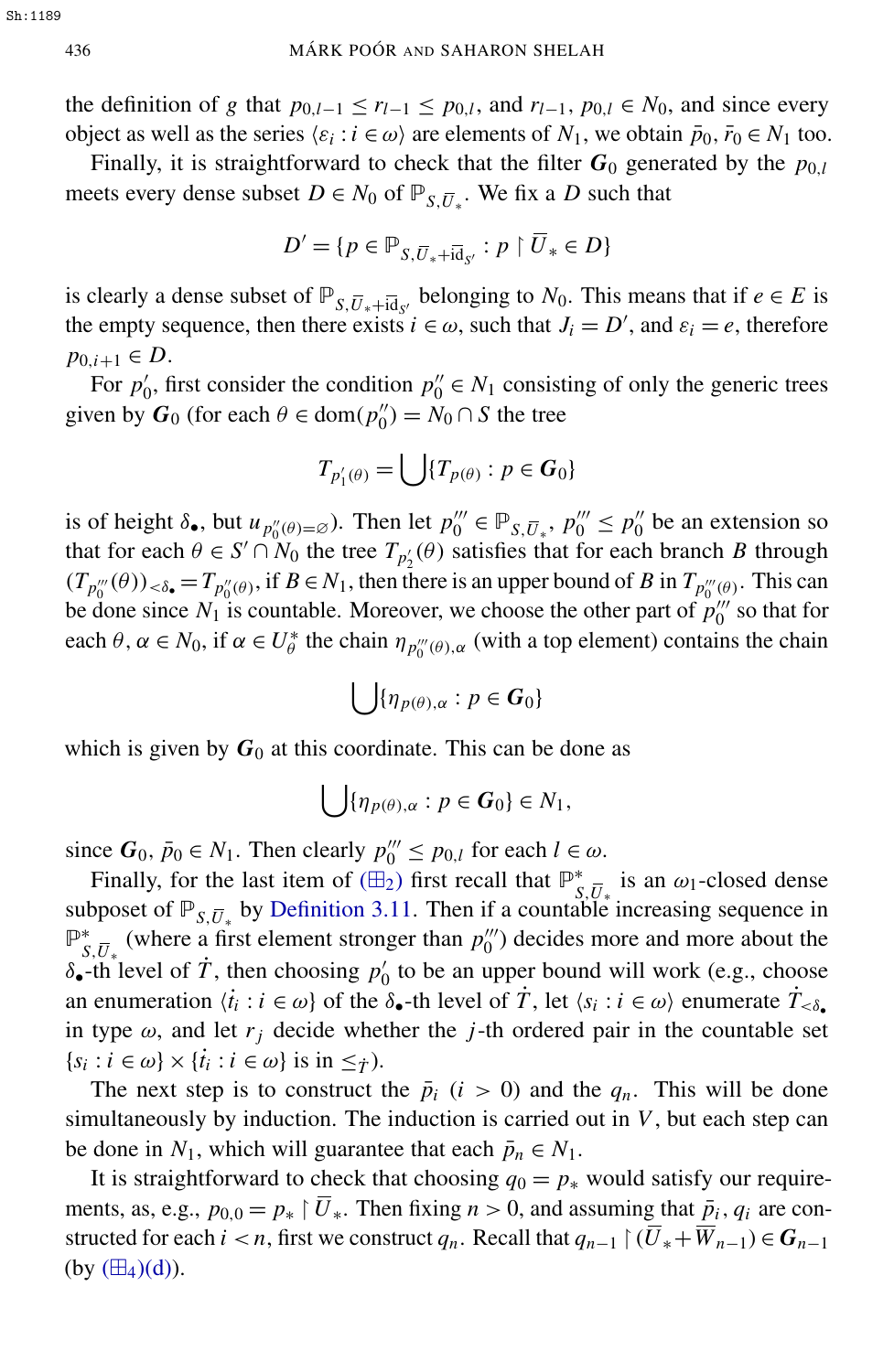the definition of *g* that  $p_{0,l-1} \le r_{l-1} \le p_{0,l}$ , and  $r_{l-1}, p_{0,l} \in N_0$ , and since every object as well as the series  $\langle \varepsilon_i : i \in \omega \rangle$  are elements of  $N_1$ , we obtain  $\bar{p}_0$ ,  $\bar{r}_0 \in N_1$  too.

Finally, it is straightforward to check that the filter  $G_0$  generated by the  $p_{0,l}$ meets every dense subset  $D \in N_0$  of  $\mathbb{P}_{S,\overline{U}_*}$ . We fix a *D* such that

$$
D' = \{ p \in \mathbb{P}_{S, \overline{U}_* + \overline{\text{id}}_{S'}} : p \upharpoonright \overline{U}_* \in D \}
$$

is clearly a dense subset of  $\mathbb{P}_{S,\overline{U}_*+\overline{Id}_{S'}}$  belonging to *N*<sub>0</sub>. This means that if  $e \in E$  is the empty sequence, then there exists  $i \in \omega$ , such that  $J_i = D'$ , and  $\varepsilon_i = e$ , therefore *p*<sub>0,*i*+1</sub> ∈ *D*.

For  $p'_0$  $p_0'$ , first consider the condition  $p_0'' \in N_1$  consisting of only the generic trees given by  $G_0$  (for each  $\theta \in \text{dom}(p''_0)$  $\binom{n}{0} = N_0 \cap S$  the tree

$$
T_{p_1'(\theta)} = \bigcup \{ T_{p(\theta)} : p \in G_0 \}
$$

is of height  $\delta_{\bullet}$ , but  $u_{p''_0(\theta)=\emptyset}$ ). Then let  $p'''_0 \in \mathbb{P}_{S,\overline{U}_*}$ ,  $p'''_0 \leq p'''_0$  $\frac{1}{0}$  be an extension so that for each  $\theta \in S' \cap N_0$  the tree  $T_{p'_2}(\theta)$  satisfies that for each branch *B* through  $(T_{p_0''}(\theta))_{\lt \delta_{\bullet}} = T_{p_0''(\theta)}$ , if  $B \in N_1$ , then there is an upper bound of *B* in  $T_{p_0''(\theta)}$ . This can be done since  $N_1$  is countable. Moreover, we choose the other part of  $p_0^{\prime\prime\prime}$  $\binom{m}{0}$  so that for each  $\theta$ ,  $\alpha \in N_0$ , if  $\alpha \in U^*_{\theta}$ <sup>\*</sup> the chain  $\eta_{p_0^{\prime\prime\prime}(\theta),\alpha}$  (with a top element) contains the chain

$$
\bigcup \{\eta_{p(\theta),\alpha} : p \in G_0\}
$$

which is given by  $G_0$  at this coordinate. This can be done as

$$
\bigcup \{\eta_{p(\theta),\alpha} : p \in G_0\} \in N_1,
$$

since  $G_0$ ,  $\bar{p}_0 \in N_1$ . Then clearly  $p_0''' \le p_{0,l}$  for each  $l \in \omega$ .

Finally, for the last item of  $(\mathbb{H}_2)$  first recall that  $\mathbb{P}^*_{\varsigma}$  $\int_{S,\overline{U}_*}$  is an  $\omega_1$ -closed dense subposet of  $\mathbb{P}_{S,\overline{U}_*}$  by [Definition 3.11.](#page-6-3) Then if a countable increasing sequence in P ∗  $S_{S,\overline{U}_{*}}^{*}$  (where a first element stronger than  $p_0^{\prime\prime\prime}$  $\binom{m}{0}$  decides more and more about the  $\delta_{\bullet}$ -th level of  $\dot{T}$ , then choosing  $p_0$  $\eta'$  to be an upper bound will work (e.g., choose an enumeration  $\langle i_i : i \in \omega \rangle$  of the  $\delta_{\bullet}$ -th level of  $\dot{T}$ , let  $\langle s_i : i \in \omega \rangle$  enumerate  $\dot{T}_{<\delta_{\bullet}}$ in type  $\omega$ , and let  $r_j$  decide whether the *j*-th ordered pair in the countable set  $\{s_i : i \in \omega\} \times \{t_i : i \in \omega\}$  is in  $\leq_{\hat{T}}$ ).

The next step is to construct the  $\bar{p}_i$  ( $i > 0$ ) and the  $q_n$ . This will be done simultaneously by induction. The induction is carried out in *V*, but each step can be done in  $N_1$ , which will guarantee that each  $\bar{p}_n \in N_1$ .

It is straightforward to check that choosing  $q_0 = p_*$  would satisfy our requirements, as, e.g.,  $p_{0,0} = p_* \mid \overline{U}_*$ . Then fixing  $n > 0$ , and assuming that  $\overline{p}_i$ ,  $q_i$  are constructed for each *i* < *n*, first we construct *q<sub>n</sub>*. Recall that  $q_{n-1} \restriction (\overline{U}_* + \overline{W}_{n-1}) \in G_{n-1}$ (by  $(\boxplus_4)(d)$ ).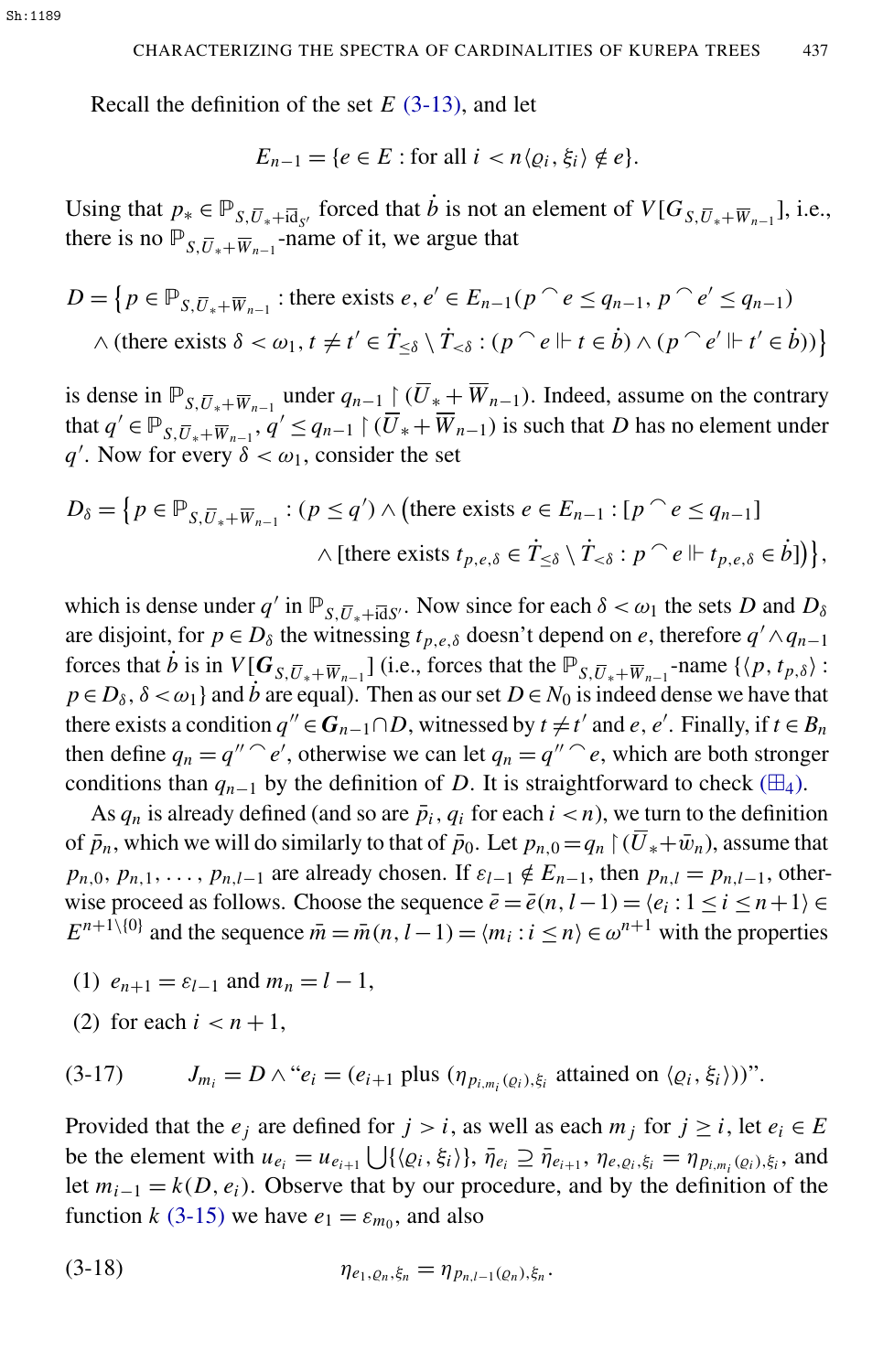Recall the definition of the set *E* [\(3-13\),](#page-12-0) and let

$$
E_{n-1} = \{e \in E : \text{for all } i < n \langle \varrho_i, \xi_i \rangle \notin e\}.
$$

Using that  $p_* \in \mathbb{P}_{S, \overline{U}_* + i\overline{d}_{S'}}$  forced that  $\dot{b}$  is not an element of  $V[G_{S, \overline{U}_* + \overline{W}_{n-1}}]$ , i.e., there is no  $\mathbb{P}_{S,\overline{U}_*+\overline{W}_{n-1}}$ -name of it, we argue that

$$
D = \left\{ p \in \mathbb{P}_{S, \overline{U}_* + \overline{W}_{n-1}} : \text{there exists } e, e' \in E_{n-1}(p \cap e \le q_{n-1}, p \cap e' \le q_{n-1}) \right\}
$$
  
 
$$
\wedge \text{ (there exists } \delta < \omega_1, t \neq t' \in \dot{T}_{\leq \delta} \setminus \dot{T}_{<\delta} : (p \cap e \Vdash t \in \dot{b}) \wedge (p \cap e' \Vdash t' \in \dot{b})) \right\}
$$

is dense in  $\mathbb{P}_{S,\overline{U}_*+\overline{W}_{n-1}}$  under  $q_{n-1}$   $\left(\overline{U}_*+\overline{W}_{n-1}\right)$ . Indeed, assume on the contrary that  $q' \in \mathbb{P}_{S, \overline{U}_* + \overline{W}_{n-1}}, q' \leq q_{n-1} \upharpoonright (\overline{U}_* + \overline{W}_{n-1})$  is such that *D* has no element under *q*<sup>'</sup>. Now for every  $\delta < \omega_1$ , consider the set

$$
D_{\delta} = \{ p \in \mathbb{P}_{S, \overline{U}_{*} + \overline{W}_{n-1}} : (p \leq q') \land (\text{there exists } e \in E_{n-1} : [p \cap e \leq q_{n-1}] \land [\text{there exists } t_{p,e,\delta} \in \dot{T}_{\leq \delta} \setminus \dot{T}_{<\delta} : p \cap e \Vdash t_{p,e,\delta} \in \dot{b}] ) \},\}
$$

which is dense under  $q'$  in  $\mathbb{P}_{S,\overline{U}_*+\overline{\text{id}}S}$ . Now since for each  $\delta < \omega_1$  the sets *D* and  $D_{\delta}$ are disjoint, for  $p \in D_\delta$  the witnessing  $t_{p,e,\delta}$  doesn't depend on *e*, therefore  $q' \wedge q_{n-1}$ forces that *b* is in  $V[G_{S,\overline{U}_*+\overline{W}_{n-1}}]$  (i.e., forces that the  $\mathbb{P}_{S,\overline{U}_*+\overline{W}_{n-1}}$ -name  $\{\langle p, t_{p,\delta}\rangle$ :  $p \in D_{\delta}$ ,  $\delta < \omega_1$  and *b* are equal). Then as our set  $D \in N_0$  is indeed dense we have that there exists a condition  $q'' \in G_{n-1} \cap D$ , witnessed by  $t \neq t'$  and  $e, e'$ . Finally, if  $t \in B_n$ then define  $q_n = q'' \hat{ }^\circ e'$ , otherwise we can let  $q_n = q'' \hat{ }^\circ e$ , which are both stronger conditions than  $q_{n-1}$  by the definition of *D*. It is straightforward to check ( $\boxplus_4$ ).

As  $q_n$  is already defined (and so are  $\bar{p}_i$ ,  $q_i$  for each  $i < n$ ), we turn to the definition of  $\bar{p}_n$ , which we will do similarly to that of  $\bar{p}_0$ . Let  $p_{n,0} = q_n \upharpoonright (\bar{U}_* + \bar{w}_n)$ , assume that  $p_{n,0}, p_{n,1}, \ldots, p_{n,l-1}$  are already chosen. If  $\varepsilon_{l-1} \notin E_{n-1}$ , then  $p_{n,l} = p_{n,l-1}$ , otherwise proceed as follows. Choose the sequence  $\bar{e} = \bar{e}(n, l-1) = \langle e_i : 1 \le i \le n+1 \rangle \in$  $E^{n+1}\setminus\{0\}$  and the sequence  $\bar{m} = \bar{m}(n, l-1) = \langle m_i : i \le n \rangle \in \omega^{n+1}$  with the properties

- (1)  $e_{n+1} = \varepsilon_{l-1}$  and  $m_n = l 1$ ,
- (2) for each  $i < n+1$ ,

(3-17)  $J_{m_i} = D \wedge "e_i = (e_{i+1} \text{ plus } (\eta_{p_{i,m_i}(Q_i),\xi_i} \text{ attained on } \langle Q_i, \xi_i \rangle))".$ 

Provided that the  $e_j$  are defined for  $j > i$ , as well as each  $m_j$  for  $j \ge i$ , let  $e_i \in E$ be the element with  $u_{e_i} = u_{e_{i+1}} \bigcup \{ \langle \varrho_i, \xi_i \rangle \}, \bar{\eta}_{e_i} \supseteq \bar{\eta}_{e_{i+1}}, \eta_{e, \varrho_i, \xi_i} = \eta_{p_{i,m_i}(\varrho_i), \xi_i}$ , and let  $m_{i-1} = k(D, e_i)$ . Observe that by our procedure, and by the definition of the function *k* [\(3-15\)](#page-13-0) we have  $e_1 = \varepsilon_{m_0}$ , and also

<span id="page-15-0"></span>(3-18) 
$$
\eta_{e_1, \varrho_n, \xi_n} = \eta_{p_{n,l-1}(\varrho_n), \xi_n}.
$$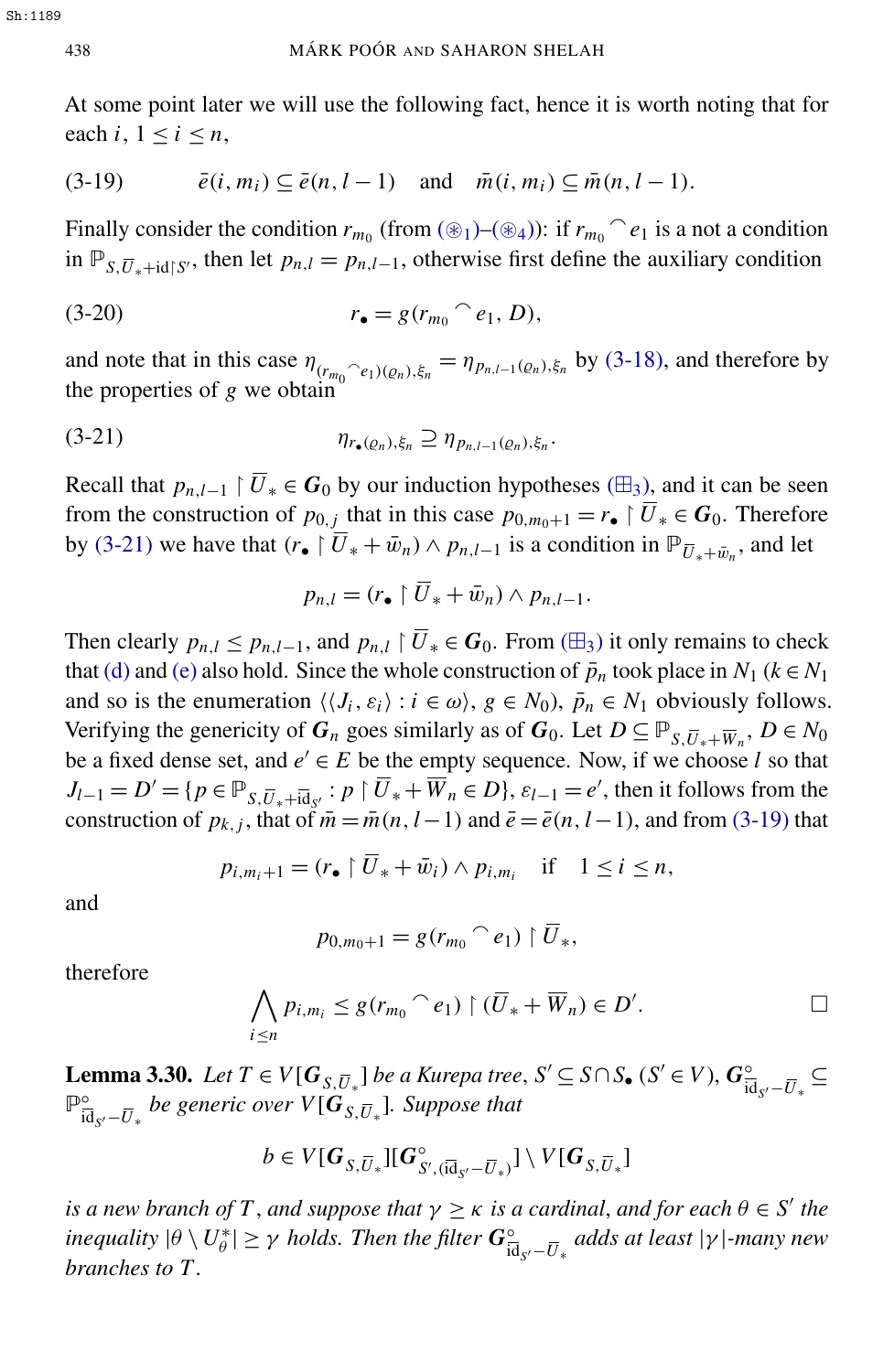<span id="page-16-2"></span>At some point later we will use the following fact, hence it is worth noting that for each *i*,  $1 \le i \le n$ ,

$$
(3-19) \qquad \bar{e}(i, m_i) \subseteq \bar{e}(n, l-1) \quad \text{and} \quad \bar{m}(i, m_i) \subseteq \bar{m}(n, l-1).
$$

Finally consider the condition  $r_{m_0}$  (from  $(\circledast_1)$ – $(\circledast_4)$ ): if  $r_{m_0}$ <sup> $\circ$ </sup>  $e_1$  is a not a condition in  $\mathbb{P}_{S,\overline{U}_*+id\upharpoonright S'}$ , then let  $p_{n,l}=p_{n,l-1}$ , otherwise first define the auxiliary condition

(3-20) 
$$
r_{\bullet} = g(r_{m_0} \cap e_1, D),
$$

and note that in this case  $\eta_{(r_{m_0} \cap e_1)(\varrho_n),\xi_n} = \eta_{p_{n,l-1}(\varrho_n),\xi_n}$  by [\(3-18\),](#page-15-0) and therefore by the properties of *g* we obtain

$$
\eta_{r_{\bullet}(\varrho_n),\xi_n} \supseteq \eta_{p_{n,l-1}(\varrho_n),\xi_n}.
$$

Recall that  $p_{n,l-1}$  |  $\overline{U}_*$  ∈  $G_0$  by our induction hypotheses ( $\boxplus_3$ ), and it can be seen from the construction of  $p_{0,j}$  that in this case  $p_{0,m_0+1} = r_{\bullet} \restriction \overline{U}_{*} \in G_0$ . Therefore by [\(3-21\)](#page-16-1) we have that  $(r_{\bullet} \restriction \overline{U}_{*} + \overline{w}_{n}) \land p_{n,l-1}$  is a condition in  $\mathbb{P}_{\overline{U}_{*} + \overline{w}_{n}}$ , and let

<span id="page-16-1"></span>
$$
p_{n,l} = (r_{\bullet} \upharpoonright \overline{U}_* + \bar{w}_n) \wedge p_{n,l-1}.
$$

Then clearly  $p_{n,l} \leq p_{n,l-1}$ , and  $p_{n,l} \restriction \overline{U}_* \in G_0$ . From ( $\boxplus_3$ ) it only remains to check that [\(d\)](#page-11-1) and [\(e\)](#page-11-6) also hold. Since the whole construction of  $\bar{p}_n$  took place in  $N_1$  ( $k \in N_1$ ) and so is the enumeration  $\langle \langle J_i, \varepsilon_i \rangle : i \in \omega \rangle$ ,  $g \in N_0$ ,  $\bar{p}_n \in N_1$  obviously follows. Verifying the genericity of  $G_n$  goes similarly as of  $G_0$ . Let  $D \subseteq \mathbb{P}_{S, \overline{U}_* + \overline{W}_n}$ ,  $D \in N_0$ be a fixed dense set, and  $e' \in E$  be the empty sequence. Now, if we choose *l* so that  $J_{l-1} = D' = \{p \in \mathbb{P}_{S, \overline{U}_* + i\overline{d}_{S'}} : p \restriction \overline{U}_* + \overline{W}_n \in D\}$ ,  $\varepsilon_{l-1} = e'$ , then it follows from the construction of  $p_{k,j}$ , that of  $\bar{m} = \bar{m}(n, l-1)$  and  $\bar{e} = \bar{e}(n, l-1)$ , and from [\(3-19\)](#page-16-2) that

$$
p_{i,m_i+1} = (r_{\bullet} \upharpoonright \overline{U}_* + \bar{w}_i) \wedge p_{i,m_i} \quad \text{if} \quad 1 \le i \le n,
$$

and

$$
p_{0,m_0+1} = g(r_{m_0} \cap e_1) \upharpoonright \overline{U}_*,
$$

therefore

$$
\bigwedge_{i\leq n}p_{i,m_i}\leq g(r_{m_0}\cap e_1)\upharpoonright (\overline{U}_*+\overline{W}_n)\in D'.
$$

<span id="page-16-0"></span>**Lemma 3.30.** *Let*  $T \in V[G_{S,\overline{U}_*}]$  *be a Kurepa tree*,  $S' \subseteq S \cap S_{\bullet}$  ( $S' \in V$ ),  $G_{\overline{K}}^{\circ}$  $rac{\circ}{\mathrm{id}_{S'} - \overline{U}_*}$  ⊆ p°  $\frac{\partial}{\partial \mathbf{d}_{S'} - \overline{U}_*}$  be generic over  $V[\mathbf{G}_{S,\overline{U}_*}]$ . Suppose that

$$
b\in V[G_{S,\overline{U}_*}][G_{S',(\overline{id}_{S'}-\overline{U}_*)}^{\circ}]\setminus V[G_{S,\overline{U}_*}]
$$

*is a new branch of*  $T$ , *and suppose that*  $\gamma \geq \kappa$  *is a cardinal, and for each*  $\theta \in S'$  *the inequality*  $|\theta \setminus U^*_{\theta}$  $|\psi^*_{\theta}| \geq \gamma$  *holds. Then the filter*  $G_{\overline{16}}^{\circ}$ id*<sup>S</sup>* <sup>0</sup>−*U*<sup>∗</sup> *adds at least* |γ |*-many new branches to T .*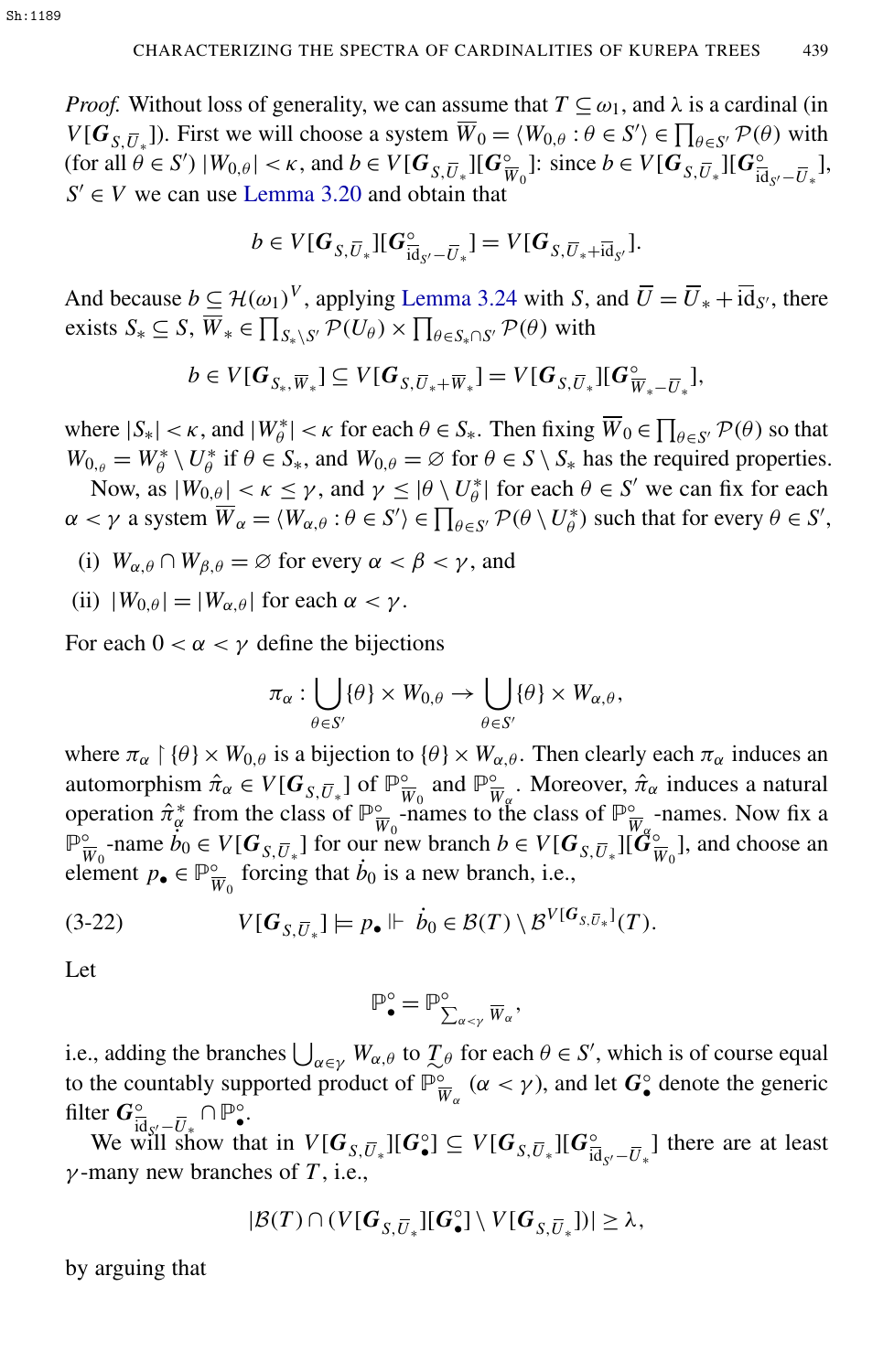*Proof.* Without loss of generality, we can assume that  $T \subseteq \omega_1$ , and  $\lambda$  is a cardinal (in *V*[ $G_{S,\overline{U}_*}$ ]). First we will choose a system  $\overline{W}_0 = \langle W_{0,\theta} : \theta \in S' \rangle \in \prod_{\theta \in S'} \mathcal{P}(\theta)$  with (for all  $\theta \in S'$ )  $|W_{0,\theta}| < \kappa$ , and  $b \in V[G_{S,\overline{U}_{*}}][G_{\overline{V}}^{\circ}]$  $\frac{\infty}{W_0}$ : since *b*  $\in V[G_{S,\overline{U}_*}^{\circ}]$  [ $G_{\overline{G}}^{\circ}$ ]  $rac{\circ}{\text{id}_{S'} - \overline{U}_*}$ ],  $S' \in V$  we can use [Lemma 3.20](#page-8-2) and obtain that

$$
b\in V[G_{S,\overline{U}_{*}}][G_{\overline{id}_{S'}-\overline{U}_{*}}^{\circ}]=V[G_{S,\overline{U}_{*}+\overline{id}_{S'}}].
$$

And because  $b \subseteq H(\omega_1)^V$ , applying [Lemma 3.24](#page-9-1) with *S*, and  $\overline{U} = \overline{U}_* + \overline{id}_{S'}$ , there exists  $S_* \subseteq S$ ,  $\overline{W}_* \in \prod_{S_* \setminus S'} \mathcal{P}(U_\theta) \times \prod_{\theta \in S_* \cap S'} \mathcal{P}(\theta)$  with

$$
b\in V[G_{S_*,\overline{W}_*}]\subseteq V[G_{S,\overline{U}_*+\overline{W}_*}]=V[G_{S,\overline{U}_*}][G_{\overline{W}_*-\overline{U}_*}^{\circ}],
$$

where  $|S_*| < \kappa$ , and  $|W^*_{\theta}| < \kappa$  for each  $\theta \in S_*$ . Then fixing  $\overline{W}_0 \in \prod_{\theta \in S'} \mathcal{P}(\theta)$  so that  $W_{0,\theta} = W_{\theta}^* \setminus U_{\theta}^*$  $\theta_{\theta}^*$  if  $\theta \in S_*$ , and  $W_{0,\theta} = \emptyset$  for  $\theta \in S \setminus S_*$  has the required properties.

Now, as  $|W_{0,\theta}| < \kappa \leq \gamma$ , and  $\gamma \leq |\theta \setminus U_{\theta}^*|$  $\mathcal{L}_{\theta}^*$  for each  $\theta \in S'$  we can fix for each  $\alpha < \gamma$  a system  $\overline{W}_{\alpha} = \langle W_{\alpha,\theta} : \theta \in S' \rangle \in \prod_{\theta \in S'} \mathcal{P}(\theta \setminus U_{\theta}^*)$  $\phi^*$ ) such that for every  $\theta \in S'$ ,

- (i)  $W_{\alpha,\theta} \cap W_{\beta,\theta} = \varnothing$  for every  $\alpha < \beta < \gamma$ , and
- (ii)  $|W_{0,\theta}| = |W_{\alpha,\theta}|$  for each  $\alpha < \gamma$ .

For each  $0 < \alpha < \gamma$  define the bijections

$$
\pi_{\alpha} : \bigcup_{\theta \in S'} \{\theta\} \times W_{0,\theta} \to \bigcup_{\theta \in S'} \{\theta\} \times W_{\alpha,\theta},
$$

where  $\pi_\alpha \upharpoonright \{\theta\} \times W_{0,\theta}$  is a bijection to  $\{\theta\} \times W_{\alpha,\theta}$ . Then clearly each  $\pi_\alpha$  induces an automorphism  $\hat{\pi}_{\alpha} \in V[G_{S, \overline{U}_*}]$  of  $\mathbb{P}^{\circ}_{\overline{\mathfrak{p}}}$  $\frac{\infty}{W_0}$  and  $\mathbb{P}^{\infty}_{\overline{V}}$  $\frac{\partial}{\partial \overline{W}_{\alpha}}$ . Moreover,  $\hat{\pi}_{\alpha}$  induces a natural operation  $\hat{\pi}_{\alpha}^{*}$  from the class of  $\mathbb{P}_{\overline{v}}^{\circ}$  $\frac{\infty}{W_0}$ -names to the class of  $\mathbb{P}^{\infty}_{\overline{W}}$  $\frac{\infty}{W_{\alpha}}$ -names. Now fix a p<sup>o</sup>  $\overline{W}_0$ -name  $\overline{B}_0 \in V[G_{S,\overline{U}_*}]$  for our new branch  $b \in V[G_{S,\overline{U}_*}]\bigcap_{s=0}^{W_0}$  $\frac{\infty}{W_0}$ ], and choose an element  $p_{\bullet} \in \mathbb{P}^{\circ}_{\overline{v}}$  $\frac{\infty}{W_0}$  forcing that  $\dot{b}_0$  is a new branch, i.e.,

$$
(3-22) \tV[G_{S,\overline{U}_*}] \models p_\bullet \Vdash \dot{b}_0 \in \mathcal{B}(T) \setminus \mathcal{B}^{V[G_{S,\overline{U}_*}]}(T).
$$

Let

<span id="page-17-0"></span>
$$
\mathbb{P}^{\circ}_{\bullet} = \mathbb{P}^{\circ}_{\sum_{\alpha < \gamma} \overline{W}_{\alpha}},
$$

i.e., adding the branches  $\bigcup_{\alpha \in \gamma} W_{\alpha,\theta}$  to  $\mathcal{I}_{\theta}$  for each  $\theta \in S'$ , which is of course equal to the countably supported product of  $\mathbb{P}^{\circ}_{\overline{v}}$  $\int_{\overline{W}_{\alpha}}^{\infty}$  ( $\alpha < \gamma$ ), and let  $G_{\bullet}^{\circ}$  denote the generic filter  $G^{\circ}_{\overline{id} \cdot \cdot -\overline{U}} \cap \mathbb{P}^{\circ}_{\bullet}.$ 

 $\overline{\text{U}}$ <sup>*U*</sup><sup>*u*</sup></sup>  $\overline{\text{U}}$ <sup>*u*</sup><sup>*u*</sup>  $\overline{\text{U}}$ <sup>*i*</sup>  $\overline{\text{U}}$ </sup><sub>*i*</sub>  $\overline{\text{U}}$   $\overline{\text{U}}$ <sub>*u*</sub><sup>*u*</sup><sub>*u*</sub><sup>*I*</sup>  $\overline{\text{U}}$ <sub>*u*</sub><sup>*I*</sup>  $\overline{\text{U}}$ <sub>*u*</sub><sup>*I*</sup>  $\overline{\text{U}}$ <sub>*u*</sub><sup>*I*</sup>  $\overline{\text{U}}$ <sub>*u*</sub><sup>*I*</sup>  $\overline{\text{U}}$ <sub>*u*</sub><sup>*I*</sup>  $\frac{\partial}{\partial \overline{d}_{S'} - \overline{U}_*}$  there are at least  $\gamma$ -many new branches of *T*, i.e.,

$$
|\mathcal{B}(T) \cap (V[G_{S,\overline{U}_*}][G_{\bullet}^{\circ}] \setminus V[G_{S,\overline{U}_*}])| \geq \lambda,
$$

by arguing that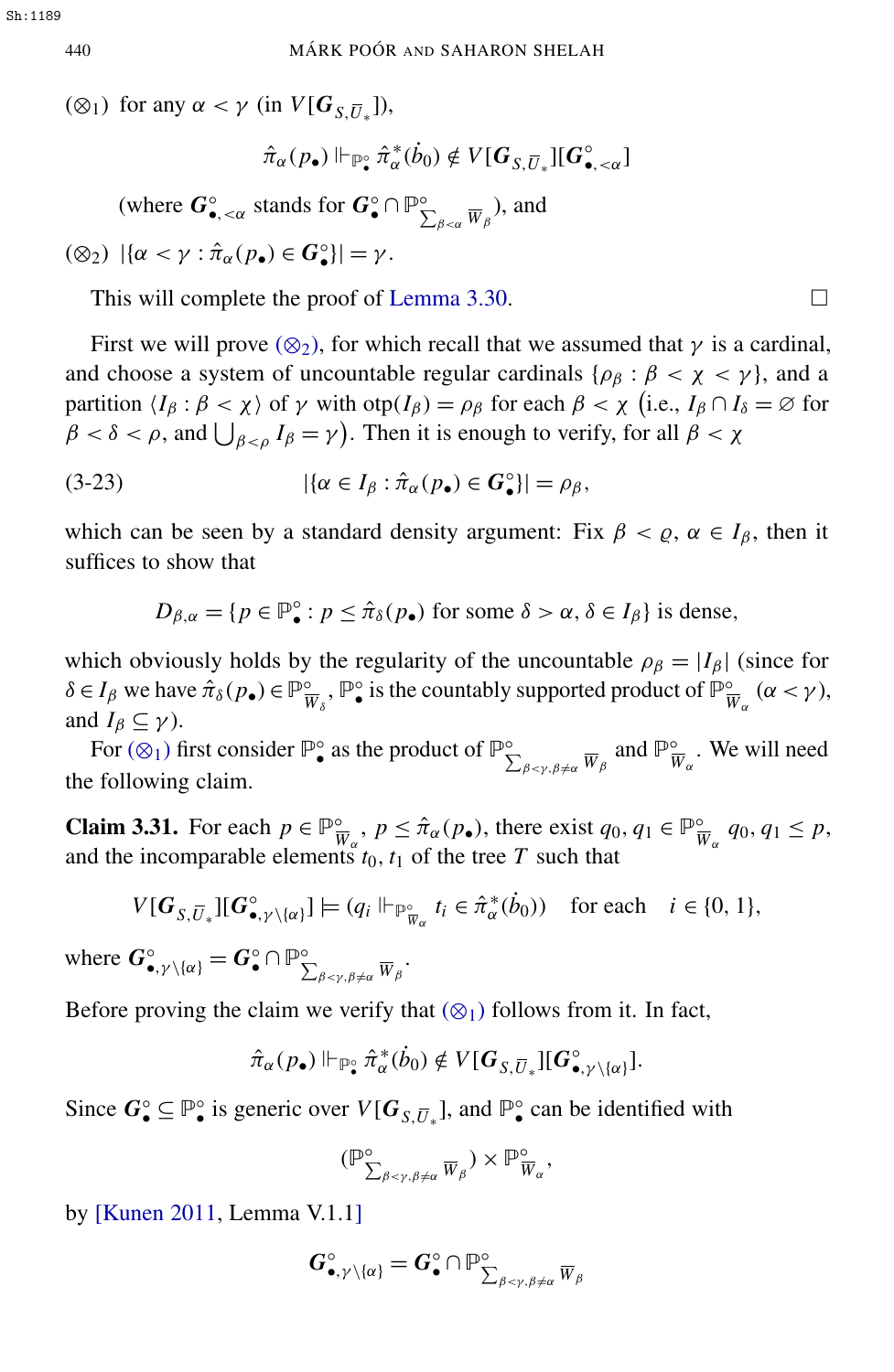<span id="page-18-1"></span>( $\otimes_1$ ) for any  $\alpha < \gamma$  (in  $V[G_{S,\overline{U}_*}])$ ,

$$
\hat{\pi}_{\alpha}(p_{\bullet})\Vdash_{\mathbb{P}^{\circ}_\bullet}\hat{\pi}_{\alpha}^{\ast}(\dot{b}_0)\notin V[\bm{G}_{S,\overline{U}_{\ast}}][\bm{G}_{\bullet,\prec\alpha}^{\circ}]
$$

(where  $G_{\bullet, \leq \alpha}^{\circ}$  stands for  $G_{\bullet}^{\circ} \cap \mathbb{P}_{\Sigma}^{\circ}$  $\sum_{\beta<\alpha}^{\circ} \overline{W}_{\beta}$ ), and

<span id="page-18-0"></span> $(\otimes_2) \ |\{\alpha < \gamma : \hat{\pi}_{\alpha}(p_{\bullet}) \in G_{\bullet}^{\circ}\}| = \gamma.$ 

This will complete the proof of [Lemma 3.30.](#page-16-0)  $\Box$ 

First we will prove ( $\otimes_2$ ), for which recall that we assumed that  $\gamma$  is a cardinal, and choose a system of uncountable regular cardinals { $\rho_{\beta}$  :  $\beta < \chi < \gamma$ }, and a partition  $\langle I_\beta : \beta < \chi \rangle$  of  $\gamma$  with  $\text{otp}(I_\beta) = \rho_\beta$  for each  $\beta < \chi$  (i.e.,  $I_\beta \cap I_\delta = \emptyset$  for  $\beta < \delta < \rho$ , and  $\bigcup_{\beta < \rho} I_{\beta} = \gamma$ ). Then it is enough to verify, for all  $\beta < \chi$ 

(3-23)  $|\{\alpha \in I_{\beta} : \hat{\pi}_{\alpha}(p_{\bullet}) \in G_{\bullet}^{\circ}\}| = \rho_{\beta},$ 

which can be seen by a standard density argument: Fix  $\beta < \rho$ ,  $\alpha \in I_\beta$ , then it suffices to show that

 $D_{\beta,\alpha} = \{p \in \mathbb{P}_{\bullet}^{\circ} : p \leq \hat{\pi}_{\delta}(p_{\bullet}) \text{ for some } \delta > \alpha, \delta \in I_{\beta}\}\text{ is dense},$ 

which obviously holds by the regularity of the uncountable  $\rho_{\beta} = |I_{\beta}|$  (since for  $\delta \in I_\beta$  we have  $\hat{\pi}_\delta(p_\bullet) \in \mathbb{P}^\circ_{\overline{v}}$  $\frac{\infty}{W_\delta}$ ,  $\mathbb{P}^{\circ}$  is the countably supported product of  $\mathbb{P}^{\circ}_{\bar{V}}$  $\frac{\infty}{W_{\alpha}}$  ( $\alpha < \gamma$ ), and  $I_\beta \subseteq \gamma$ ).

For  $(\otimes_1)$  first consider  $\mathbb{P}^{\circ}_{\bullet}$  as the product of  $\mathbb{P}^{\circ}_{\bullet}$  $\sum_{\beta \prec \gamma, \beta \neq \alpha}^{\circ} \overline{W}_{\beta}$  and  $\mathbb{P}_{\overline{V}}^{\circ}$  $\frac{\infty}{W_{\alpha}}$ . We will need the following claim.

<span id="page-18-2"></span>**Claim 3.31.** For each  $p \in \mathbb{P}^{\circ}_{\overline{v}}$  $\frac{\partial}{\partial w_{\alpha}}$ ,  $p \leq \hat{\pi}_{\alpha}(p_{\bullet})$ , there exist  $q_0, q_1 \in \mathbb{P}_{\bar{V}}^{\circ}$  $\frac{\infty}{W_{\alpha}}$  *q*<sub>0</sub>, *q*<sub>1</sub>  $\leq$  *p*, and the incomparable elements  $t_0$ ,  $t_1$  of the tree  $T$  such that

$$
V[\boldsymbol{G}_{S,\overline{U}_{*}}][\boldsymbol{G}_{\bullet,\gamma\setminus\{\alpha\}}^{\circ}] \models (q_i \Vdash_{\mathbb{P}_{\overline{W}_{\alpha}}^{\circ}} t_i \in \hat{\pi}_{\alpha}^{*}(\dot{b}_0)) \text{ for each } i \in \{0,1\},\
$$

where  $G_{\bullet,\gamma\setminus\{\alpha\}}^{\circ} = G_{\bullet}^{\circ} \cap \mathbb{P}_{\Sigma}^{\circ}$  $\sum_{\beta<\gamma,\beta\neq\alpha}^{\circ} \overline{W}_{\beta}$  •́

Before proving the claim we verify that  $(\otimes_1)$  follows from it. In fact,

$$
\hat{\pi}_{\alpha}(p_{\bullet}) \Vdash_{\mathbb{P}^{\circ}_{\bullet}} \hat{\pi}^{*}_{\alpha}(\dot{b}_{0}) \notin V[G_{S,\overline{U}_{*}}][G^{\circ}_{\bullet,\gamma \setminus \{\alpha\}}].
$$

Since  $G_{\bullet}^{\circ} \subseteq \mathbb{P}_{\bullet}^{\circ}$  is generic over  $V[G_{S,\overline{U}_{*}}]$ , and  $\mathbb{P}_{\bullet}^{\circ}$  can be identified with

$$
(\mathbb{P}^{\circ}_{\sum_{\beta<\gamma,\beta\neq\alpha}\overline{W}_{\beta}})\times \mathbb{P}^{\circ}_{\overline{W}_{\alpha}},
$$

by [\[Kunen 2011,](#page-30-4) Lemma V.1.1]

$$
\bm{G}^\circ_{\bullet,\gamma\setminus\{\alpha\}}=\bm{G}^\circ_\bullet\cap{\mathbb P}^\circ_{\sum_{\beta<\gamma,\beta\neq\alpha}\overline{W}_\beta}
$$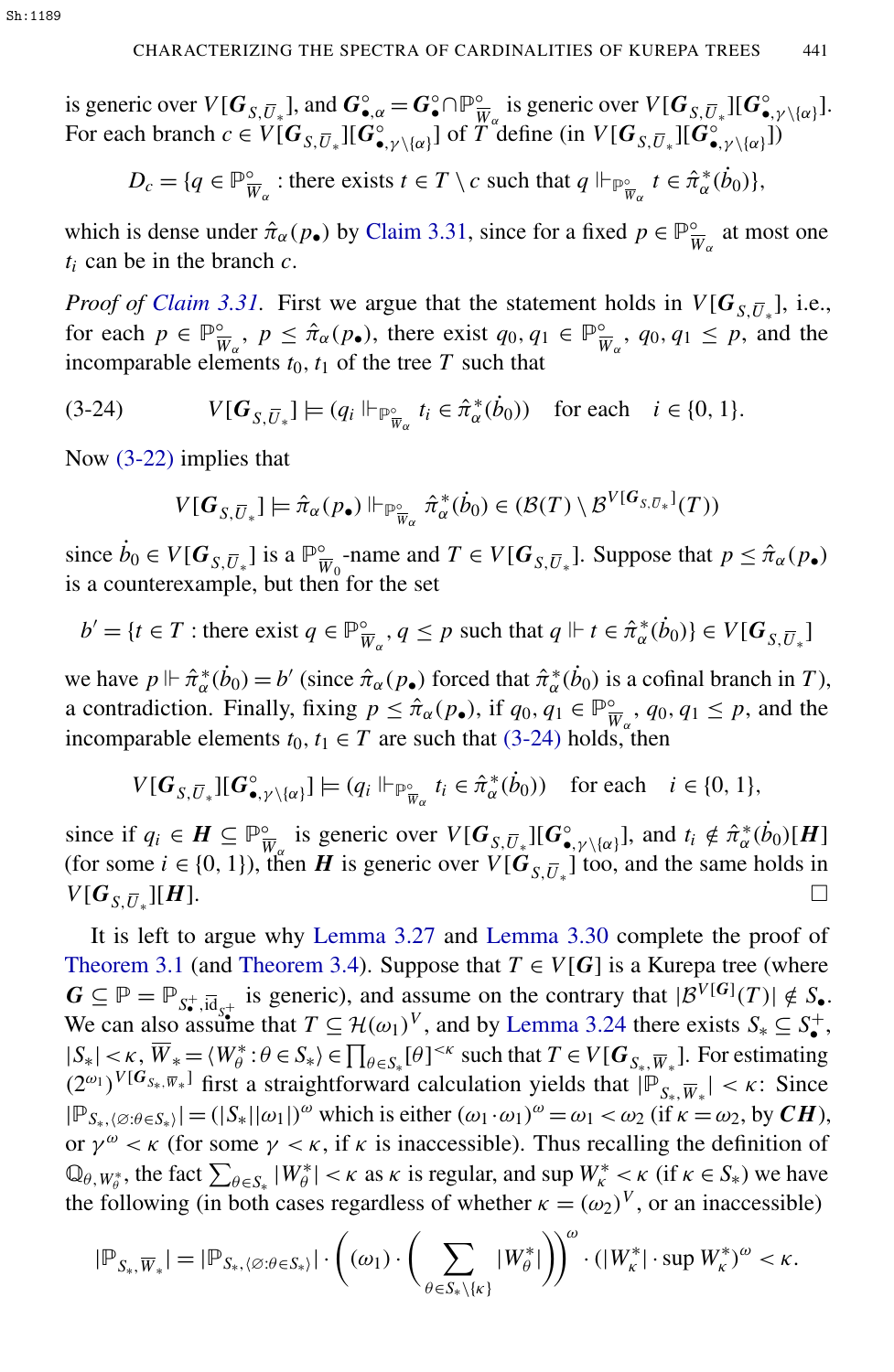is generic over  $V[G_{S,\overline{U}_*}]$ , and  $G_{\bullet,\alpha}^{\circ} = G_{\bullet}^{\circ} \cap \mathbb{P}_{\overline{V}}^{\circ}$  $\frac{\partial}{\partial w_{\alpha}}$  is generic over  $V[G_{S,\overline{U}_{*}}][G_{\bullet,\gamma\setminus\{\alpha\}}^{\circ}].$ For each branch  $c \in V[G_{S,\overline{U}_*}][G_{\bullet,\gamma\setminus\{\alpha\}}^{\circ}]$  of  $T^{\alpha}$  define (in  $V[G_{S,\overline{U}_*}][G_{\bullet,\gamma\setminus\{\alpha\}}^{\circ}]$ )

$$
D_c = \{ q \in \mathbb{P}_{\overline{W}_{\alpha}}^{\circ} : \text{there exists } t \in T \setminus c \text{ such that } q \Vdash_{\mathbb{P}_{\overline{W}_{\alpha}}^{\circ}} t \in \hat{\pi}_{\alpha}^*(\dot{b}_0) \},
$$

which is dense under  $\hat{\pi}_{\alpha}(p_{\bullet})$  by [Claim 3.31,](#page-18-2) since for a fixed  $p \in \mathbb{P}_{\overline{v}}^{\circ}$  $\frac{\infty}{W_{\alpha}}$  at most one *t<sup>i</sup>* can be in the branch *c*.

*Proof of [Claim 3.31.](#page-18-2)* First we argue that the statement holds in  $V[G_{S,\overline{U}_*}]$ , i.e., for each  $p \in \mathbb{P}^{\circ}_{\overline{v}}$  $\frac{\partial}{\partial w_{\alpha}}$ ,  $p \leq \hat{\pi}_{\alpha}(p_{\bullet})$ , there exist  $q_0, q_1 \in \mathbb{P}_{\bar{V}}^{\circ}$  $\frac{\infty}{W_{\alpha}}$ , *q*<sub>0</sub>, *q*<sub>1</sub>  $\leq$  *p*, and the incomparable elements  $t_0$ ,  $t_1$  of the tree  $T$  such that

$$
(3-24) \tV[G_{S,\overline{U}_*}] \models (q_i \Vdash_{\mathbb{P}^{\circ}_{\overline{W}\alpha}} t_i \in \hat{\pi}^*_{\alpha}(\dot{b}_0)) \text{ for each } i \in \{0, 1\}.
$$

Now [\(3-22\)](#page-17-0) implies that

<span id="page-19-0"></span>
$$
V[G_{S,\overline{U}_*}] \models \hat{\pi}_{\alpha}(p_{\bullet}) \Vdash_{\mathbb{P}^{\circ}_{\overline{W}_{\alpha}}} \hat{\pi}_{\alpha}^*(\dot{b}_0) \in (\mathcal{B}(T) \setminus \mathcal{B}^{V[G_{S,\overline{U}*}]}(T))
$$

since  $\dot{b}_0 \in V[G_{S,\overline{U}_*}]$  is a  $\mathbb{P}_{\overline{V}}^{\circ}$  $\frac{\infty}{W_0}$ -name and  $T \in V[G_{S,\overline{U}_*}]$ . Suppose that  $p \leq \hat{\pi}_{\alpha}(p_{\bullet})$ is a counterexample, but then for the set

$$
b' = \{ t \in T : \text{there exist } q \in \mathbb{P}_{\overline{W}_{\alpha}}^{\circ}, q \le p \text{ such that } q \Vdash t \in \hat{\pi}_{\alpha}^{*}(b_{0}) \} \in V[G_{S, \overline{U}_{*}}]
$$

we have  $p \Vdash \hat{\pi}_{\alpha}^*(\dot{b}_0) = b'$  (since  $\hat{\pi}_{\alpha}(p_{\bullet})$  forced that  $\hat{\pi}_{\alpha}^*(\dot{b}_0)$  is a cofinal branch in *T*), a contradiction. Finally, fixing  $p \leq \hat{\pi}_{\alpha}(p_{\bullet})$ , if  $q_0, q_1 \in \mathbb{P}_{\overline{v}}^{\circ}$  $\frac{\infty}{W_{\alpha}}$ , *q*<sub>0</sub>, *q*<sub>1</sub>  $\leq$  *p*, and the incomparable elements  $t_0, t_1 \in T$  are such that [\(3-24\)](#page-19-0) holds, then

$$
V[\boldsymbol{G}_{S,\overline{U}_{*}}][\boldsymbol{G}_{\bullet,\gamma\setminus\{\alpha\}}^{\circ}] \models (q_i \Vdash_{\overline{\mathbb{P}}_{\overline{W}_{\alpha}}^{\circ}} t_i \in \hat{\pi}_{\alpha}^{*}(\dot{b}_0)) \text{ for each } i \in \{0,1\},\
$$

since if  $q_i \in H \subseteq \mathbb{P}^{\circ}_{\overline{v}}$  $\int_{W_{\alpha}}^{\infty}$  is generic over  $V[G_{S,\overline{U}_{*}}][G_{\bullet,Y\setminus{\{\alpha\}}}^{\circ}],$  and  $t_i \notin \hat{\pi}_{\alpha}^{*}(b_0)[H]$ (for some  $i \in \{0, 1\}$ ), then *H* is generic over  $V[G_{S, \overline{U}_*}]$  too, and the same holds in  $V[G_{\overline{S},\overline{U}_*}][H].$  $\Box$ *[H]*.

It is left to argue why [Lemma 3.27](#page-9-0) and [Lemma 3.30](#page-16-0) complete the proof of [Theorem 3.1](#page-3-0) (and [Theorem 3.4\)](#page-4-3). Suppose that  $T \in V[G]$  is a Kurepa tree (where  $G \subseteq \mathbb{P} = \mathbb{P}_{S^{\dagger}, \overline{\text{id}}_{S^{\dagger}}}$  is generic), and assume on the contrary that  $|\mathcal{B}^{V[G]}(T)| \notin S_{\bullet}$ . We can also assume that  $T \subseteq H(\omega_1)^V$ , and by [Lemma 3.24](#page-9-1) there exists  $S_* \subseteq S^+_{\bullet}$ ,  $|S_*| < \kappa$ ,  $\overline{W}_* = \langle W_\theta^* : \theta \in S_* \rangle \in \prod_{\theta \in S_*} [\theta]^{<\kappa}$  such that  $T \in V[G_{S_*}, \overline{W}_*]$ . For estimating  $(2^{\omega_1})^{V[G_{S_*}, \overline{w}_*]}$  first a straightforward calculation yields that  $|\mathbb{P}_{S_*}, \overline{w}_*| < \kappa$ : Since  $|\mathbb{P}_{S_{*},\langle\emptyset;\theta\in S_{*}\rangle}| = (|S_{*}||\omega_{1}|)^{\omega}$  which is either  $(\omega_{1}\cdot\omega_{1})^{\omega} = \omega_{1} < \omega_{2}$  (if  $\kappa = \omega_{2}$ , by *CH*), or  $\gamma^{\omega} < \kappa$  (for some  $\gamma < \kappa$ , if  $\kappa$  is inaccessible). Thus recalling the definition of  $\mathbb{Q}_{\theta, W_{\theta}^*}$ , the fact  $\sum_{\theta \in S_*} |W_{\theta}^*| < \kappa$  as  $\kappa$  is regular, and sup  $W_{\kappa}^* < \kappa$  (if  $\kappa \in S_*$ ) we have the following (in both cases regardless of whether  $\kappa = (\omega_2)^V$ , or an inaccessible)

$$
|\mathbb{P}_{S_*,\overline{W}_*}|=|\mathbb{P}_{S_*,\langle\varnothing:\theta\in S_*\rangle}|\cdot\left((\omega_1)\cdot\bigg(\sum_{\theta\in S_*\backslash\{\kappa\}}|W^*_\theta|\bigg)\!\right)^\omega\cdot(|W^*_\kappa|\cdot\sup W^*_\kappa)^\omega<\kappa.
$$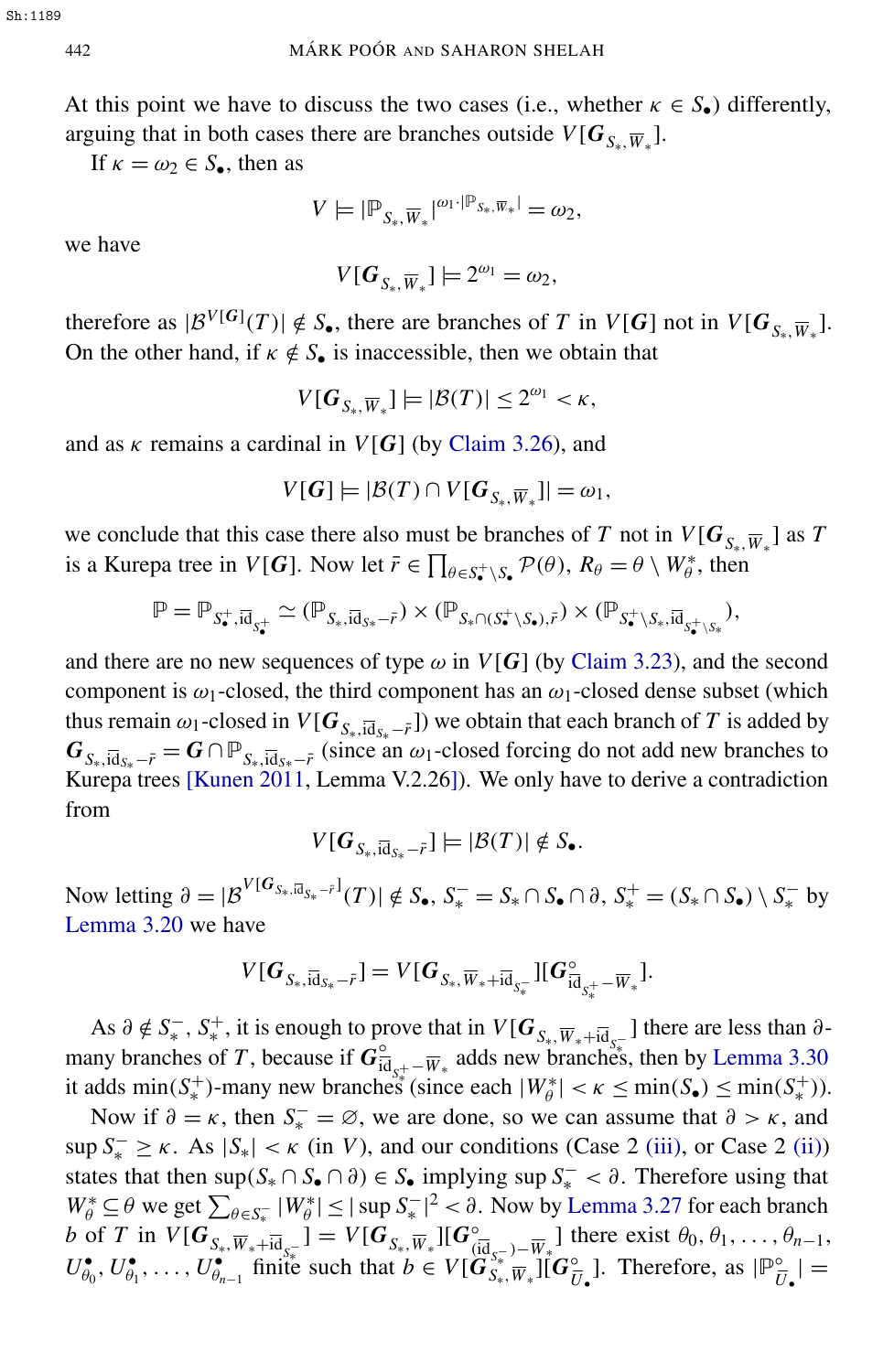At this point we have to discuss the two cases (i.e., whether  $\kappa \in S_{\bullet}$ ) differently, arguing that in both cases there are branches outside  $V[G_{S_{*}, \overline{W}_{*}}]$ .

If  $\kappa = \omega_2 \in S_\bullet$ , then as

$$
V\models |{\mathbb P}_{S_*,\overline{W}_*}|^{\omega_1\cdot |{\mathbb P}_{S_*,\overline{W}_*}|}=\omega_2,
$$

we have

$$
V[G_{S_*,\overline{W}_*}] \models 2^{\omega_1} = \omega_2,
$$

therefore as  $|\mathcal{B}^{V[G]}(T)| \notin S_{\bullet}$ , there are branches of *T* in  $V[G]$  not in  $V[G_{S_{*}, \overline{W}_{*}}]$ . On the other hand, if  $\kappa \notin S_{\bullet}$  is inaccessible, then we obtain that

$$
V[G_{S_*,\overline{W}_*}] \models |\mathcal{B}(T)| \leq 2^{\omega_1} < \kappa,
$$

and as  $\kappa$  remains a cardinal in  $V[G]$  (by [Claim 3.26\)](#page-9-2), and

$$
V[G] \models |\mathcal{B}(T) \cap V[G_{S_*,\overline{W}_*}]| = \omega_1,
$$

we conclude that this case there also must be branches of *T* not in  $V[G_{S_*,\overline{W}_*}]$  as *T* is a Kurepa tree in *V*[*G*]. Now let  $\bar{r} \in \prod_{\theta \in S_{\bullet}^+ \setminus S_{\bullet}} \mathcal{P}(\theta)$ ,  $R_{\theta} = \theta \setminus W_{\theta}^*$ , then

$$
\mathbb{P} = \mathbb{P}_{S^+_\bullet, \bar{\mathrm{id}}_{S^+_\bullet}} \simeq (\mathbb{P}_{S_*, \bar{\mathrm{id}}_{S*} - \bar{r}}) \times (\mathbb{P}_{S_* \cap (S^+_\bullet \setminus S_\bullet), \bar{r}}) \times (\mathbb{P}_{S^+_\bullet \setminus S_*, \bar{\mathrm{id}}_{S^+_\bullet \setminus S_*}}),
$$

and there are no new sequences of type  $\omega$  in  $V[G]$  (by [Claim 3.23\)](#page-9-3), and the second component is  $\omega_1$ -closed, the third component has an  $\omega_1$ -closed dense subset (which thus remain  $\omega_1$ -closed in  $V[G_{S_*}, \overline{id}_{S_*} - \overline{r}]$ ) we obtain that each branch of *T* is added by  $G_{S_*,\overline{\text{id}}_{S_*}-\overline{r}} = G \cap \mathbb{P}_{S_*,\overline{\text{id}}_{S_*}-\overline{r}}$  (since an  $\omega_1$ -closed forcing do not add new branches to Kurepa trees [\[Kunen 2011,](#page-30-4) Lemma V.2.26]). We only have to derive a contradiction from

$$
V[G_{S_*,\overline{\text{id}}_{S_*}-\overline{r}}] \models |\mathcal{B}(T)| \notin S_{\bullet}.
$$

Now letting  $\partial = |\mathcal{B}^{V[G_{S_*}, \bar{a}_{S_*}-\bar{r}]}(T)| \notin S_{\bullet}, S_*^- = S_* \cap S_{\bullet} \cap \partial, S_*^+ = (S_* \cap S_{\bullet}) \setminus S_*^-$  by [Lemma 3.20](#page-8-2) we have

$$
V[\boldsymbol{G}_{S_*,\overline{\mathrm{id}}_{S_*}-\overline{r}}] = V[\boldsymbol{G}_{S_*,\overline{W}_*+\overline{\mathrm{id}}_{S_*^-}}][\boldsymbol{G}_{\overline{\mathrm{id}}_{S_*^+}-\overline{W}_*}^{\circ}].
$$

As  $\partial \notin S^-_*, S^+_*,$  it is enough to prove that in  $V[G_{S_*}, \overline{w}_*, + \overline{a}_{S_*}^{\circ}]$  there are less than  $\partial$ many branches of *T*, because if  $\vec{G}_{\vec{i}}^{\circ}$  $\frac{6}{10}$ <sub>S<sup>‡</sup> –</sub> $\overline{W}_*$  adds new branches, then by [Lemma 3.30](#page-16-0) it adds min( $S^+$ )-many new branches (since each  $|W^*_{\theta}| < \kappa \le \min(S_{\bullet}) \le \min(S^+_{\ast})$ ).

Now if  $\partial = \kappa$ , then  $S_{\kappa}^- = \emptyset$ , we are done, so we can assume that  $\partial > \kappa$ , and  $\sup S_*^- \geq \kappa$ . As  $|S_*| < \kappa$  (in *V*), and our conditions (Case 2 [\(iii\),](#page-4-4) or Case 2 [\(ii\)\)](#page-4-5) states that then sup $(S_* \cap S_{\bullet} \cap \partial) \in S_{\bullet}$  implying sup  $S_*^- < \partial$ . Therefore using that  $W^*_{\theta} \subseteq \theta$  we get  $\sum_{\theta \in S_*^-} |W^*_{\theta}| \le |\sup S_*^-|^2 < \partial$ . Now by [Lemma 3.27](#page-9-0) for each branch *b* of *T* in  $V[G_{S_*}, \overline{w}_*, +\overline{\mathbf{id}}_{S_*^-}] = V[G_{S_*}, \overline{w}_*] [G_{\mathbf{G}}^{\circ}]$  $\frac{\partial}{\partial (\overline{d}_{S_{\overline{r}}}) - \overline{W}_{\overline{r}}}$ ] there exist  $\theta_0, \theta_1, \dots, \theta_{n-1}$ ,  $U_{\theta_0}^{\bullet}$  $\overset{\bullet}{\theta_0},\, U_{\theta_1}^\bullet$  $\overset{\bullet}{\theta_1}, \ldots, \overset{\bullet}{U^{\bullet}_{\theta_n}}$  $\mathbf{e}_{n-1}^{\bullet}$  finite such that  $b \in V[\mathbf{G}_{S_*}^{S_*^-}]\mathbf{W}_*^{\bullet}][\mathbf{G}_{\bar{U}}^{\circ}]$  $\frac{\partial}{\partial \bar{U}}$ . Therefore, as  $| \mathbb{P}_{\bar{U}}^{\circ}$  $\frac{\circ}{U}$ , | =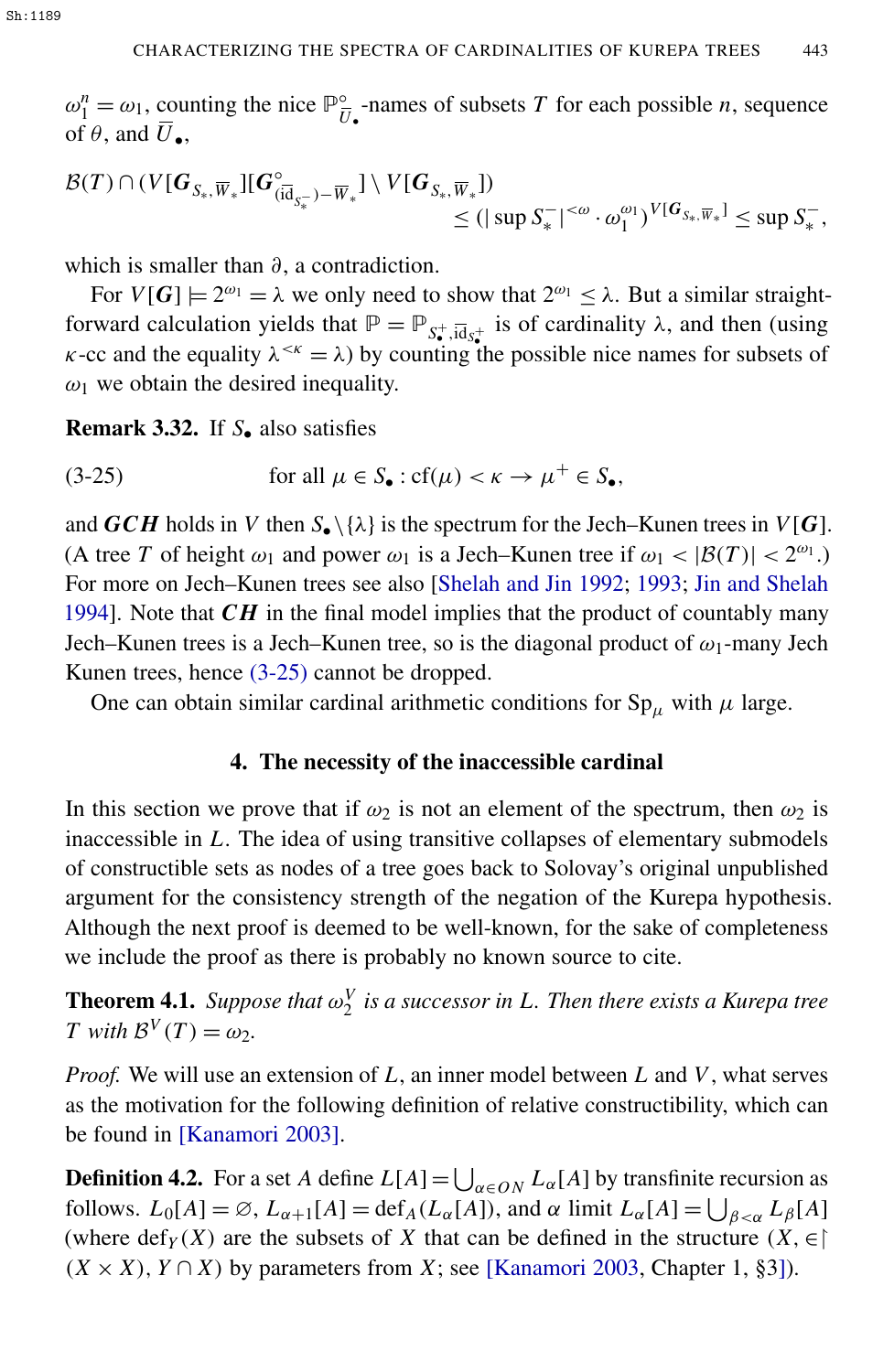$\omega_1^n = \omega_1$ , counting the nice  $\mathbb{P}^{\circ}_{\overline{L}}$  $\overline{U}_{\bullet}$ -names of subsets *T* for each possible *n*, sequence of  $\theta$ , and  $U_{\bullet}$ ,

$$
\mathcal{B}(T) \cap (V[G_{S_*,\overline{W}_*}] [G^{\circ}_{(\overline{id}_{S_*^-})-\overline{W}_*}] \setminus V[G_{S_*,\overline{W}_*}]) \leq (|\sup S_*^-|^{<\omega} \cdot \omega_1^{\omega_1})^{V[G_{S_*},\overline{W}_*]} \leq \sup S_*^-,
$$

which is smaller than  $\partial$ , a contradiction.

For  $V[G] \models 2^{\omega_1} = \lambda$  we only need to show that  $2^{\omega_1} \leq \lambda$ . But a similar straightforward calculation yields that  $\mathbb{P} = \mathbb{P}_{S_{\bullet}^+,\overline{Id}_{S_{\bullet}^+}}$  is of cardinality  $\lambda$ , and then (using  $\kappa$ -cc and the equality  $\lambda^{<\kappa} = \lambda$ ) by counting the possible nice names for subsets of  $\omega_1$  we obtain the desired inequality.

<span id="page-21-0"></span>Remark 3.32. If *S*• also satisfies

(3-25) for all 
$$
\mu \in S_{\bullet}: cf(\mu) < \kappa \to \mu^+ \in S_{\bullet}
$$
,

and *GCH* holds in *V* then  $S_{\bullet} \setminus \{\lambda\}$  is the spectrum for the Jech–Kunen trees in *V*[*G*]. (A tree *T* of height  $\omega_1$  and power  $\omega_1$  is a Jech–Kunen tree if  $\omega_1 < |\mathcal{B}(T)| < 2^{\omega_1}$ .) For more on Jech–Kunen trees see also [\[Shelah and Jin 1992;](#page-31-2) [1993;](#page-31-3) [Jin and Shelah](#page-30-6) [1994\]](#page-30-6). Note that  $CH$  in the final model implies that the product of countably many Jech–Kunen trees is a Jech–Kunen tree, so is the diagonal product of  $\omega_1$ -many Jech Kunen trees, hence [\(3-25\)](#page-21-0) cannot be dropped.

One can obtain similar cardinal arithmetic conditions for  $Sp_{\mu}$  with  $\mu$  large.

#### 4. The necessity of the inaccessible cardinal

In this section we prove that if  $\omega_2$  is not an element of the spectrum, then  $\omega_2$  is inaccessible in *L*. The idea of using transitive collapses of elementary submodels of constructible sets as nodes of a tree goes back to Solovay's original unpublished argument for the consistency strength of the negation of the Kurepa hypothesis. Although the next proof is deemed to be well-known, for the sake of completeness we include the proof as there is probably no known source to cite.

<span id="page-21-1"></span>**Theorem 4.1.** Suppose that  $\omega_2^V$  is a successor in L. Then there exists a Kurepa tree *T* with  $\mathcal{B}^V(T) = \omega_2$ .

*Proof.* We will use an extension of *L*, an inner model between *L* and *V*, what serves as the motivation for the following definition of relative constructibility, which can be found in [\[Kanamori 2003\]](#page-30-7).

**Definition 4.2.** For a set *A* define  $L[A] = \bigcup_{\alpha \in ON} L_{\alpha}[A]$  by transfinite recursion as follows.  $L_0[A] = \emptyset$ ,  $L_{\alpha+1}[A] = \text{def}_A(L_\alpha[A])$ , and  $\alpha$  limit  $L_\alpha[A] = \bigcup_{\beta < \alpha} L_\beta[A]$ (where  $\text{def}_Y(X)$  are the subsets of *X* that can be defined in the structure  $(X, \in)$  $(X \times X)$ ,  $Y \cap X$ ) by parameters from *X*; see [\[Kanamori 2003,](#page-30-7) Chapter 1, §3]).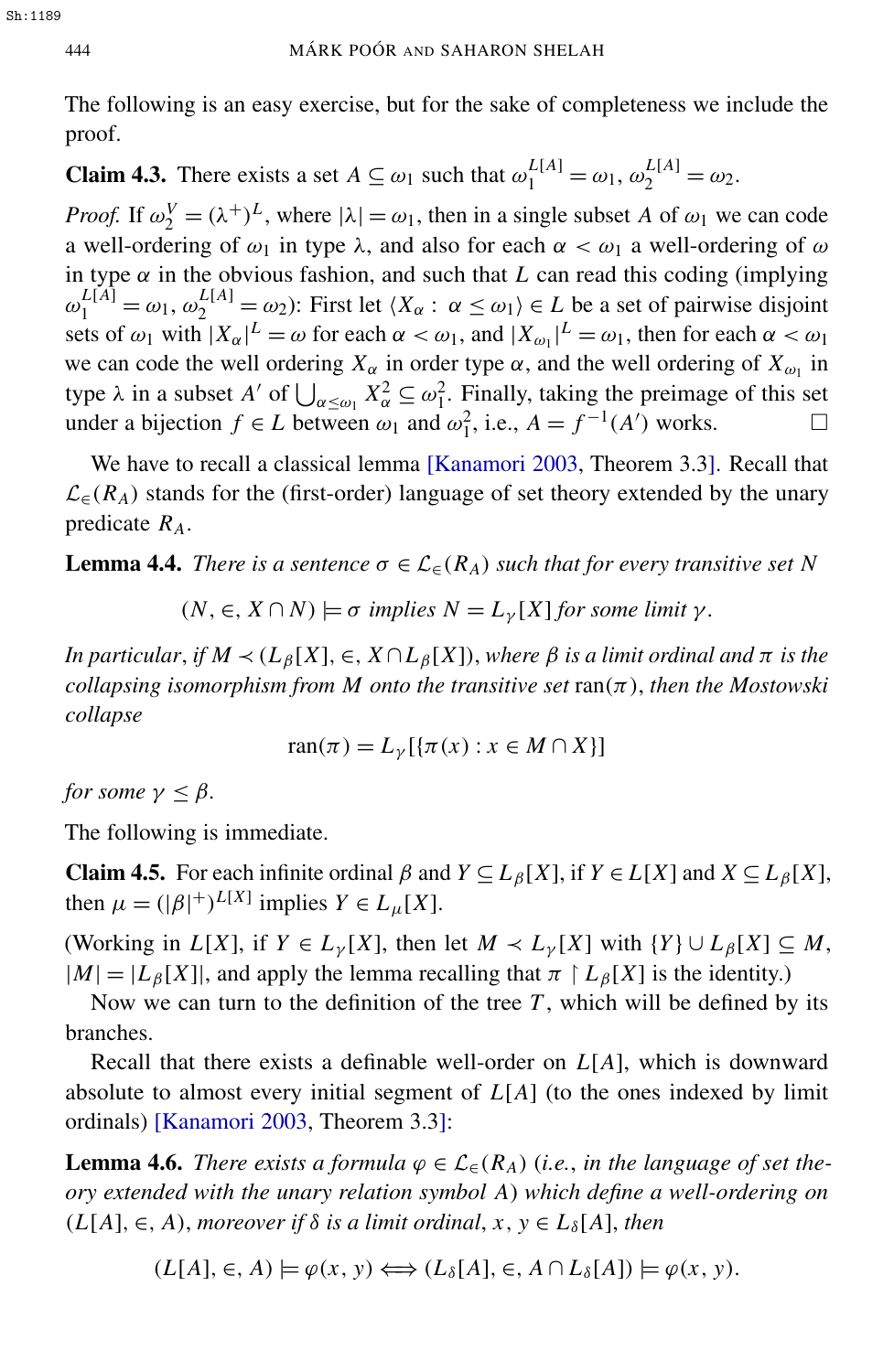The following is an easy exercise, but for the sake of completeness we include the proof.

**Claim 4.3.** There exists a set  $A \subseteq \omega_1$  such that  $\omega_1^{L[A]} = \omega_1$ ,  $\omega_2^{L[A]} = \omega_2$ .

*Proof.* If  $\omega_2^V = (\lambda^+)^L$ , where  $|\lambda| = \omega_1$ , then in a single subset *A* of  $\omega_1$  we can code a well-ordering of  $\omega_1$  in type  $\lambda$ , and also for each  $\alpha < \omega_1$  a well-ordering of  $\omega$ in type  $\alpha$  in the obvious fashion, and such that *L* can read this coding (implying  $\omega_1^{L[A]} = \omega_1, \omega_2^{L[A]} = \omega_2$ : First let  $\langle X_\alpha : \alpha \le \omega_1 \rangle \in L$  be a set of pairwise disjoint sets of  $\omega_1$  with  $|X_\alpha|^L = \omega$  for each  $\alpha < \omega_1$ , and  $|X_{\omega_1}|^L = \omega_1$ , then for each  $\alpha < \omega_1$ we can code the well ordering  $X_\alpha$  in order type  $\alpha$ , and the well ordering of  $X_{\omega_1}$  in type  $\lambda$  in a subset *A'* of  $\bigcup_{\alpha \leq \omega_1} X_{\alpha}^2 \subseteq \omega_1^2$ . Finally, taking the preimage of this set under a bijection *f* ∈ *L* between  $\omega_1$  and  $\omega_1^2$ , i.e.,  $A = f^{-1}(A')$  works.  $\Box$ 

We have to recall a classical lemma [\[Kanamori 2003,](#page-30-7) Theorem 3.3]. Recall that  $\mathcal{L}_{\epsilon}(R_A)$  stands for the (first-order) language of set theory extended by the unary predicate *RA*.

**Lemma 4.4.** *There is a sentence*  $\sigma \in \mathcal{L}_{\epsilon}(R_A)$  *such that for every transitive set* N

<span id="page-22-2"></span>
$$
(N, \in, X \cap N) \models \sigma
$$
 implies  $N = L_{\gamma}[X]$  for some limit  $\gamma$ .

*In particular, if*  $M \prec (L_{\beta}[X], \in, X \cap L_{\beta}[X])$ , *where*  $\beta$  *is a limit ordinal and*  $\pi$  *is the collapsing isomorphism from M onto the transitive set*  $ran(\pi)$ *, then the Mostowski collapse*

<span id="page-22-1"></span>
$$
\operatorname{ran}(\pi) = L_{\gamma}[\{\pi(x) : x \in M \cap X\}]
$$

*for some*  $\gamma \leq \beta$ *.* 

The following is immediate.

Claim 4.5. For each infinite ordinal  $\beta$  and  $Y \subseteq L_{\beta}[X]$ , if  $Y \in L[X]$  and  $X \subseteq L_{\beta}[X]$ , then  $\mu = (|\beta|^+)^{L[X]}$  implies  $Y \in L_{\mu}[X]$ .

(Working in *L*[*X*], if  $Y \in L_{\gamma}[X]$ , then let  $M \prec L_{\gamma}[X]$  with  $\{Y\} \cup L_{\beta}[X] \subseteq M$ ,  $|M| = |L_\beta[X]|$ , and apply the lemma recalling that  $\pi \restriction L_\beta[X]$  is the identity.)

Now we can turn to the definition of the tree *T* , which will be defined by its branches.

Recall that there exists a definable well-order on *L*[*A*], which is downward absolute to almost every initial segment of *L*[*A*] (to the ones indexed by limit ordinals) [\[Kanamori 2003,](#page-30-7) Theorem 3.3]:

**Lemma 4.6.** *There exists a formula*  $\varphi \in \mathcal{L}_{\in}(\mathbb{R}_{A})$  (*i.e., in the language of set theory extended with the unary relation symbol A*) *which define a well-ordering on*  $(L[A], \in, A)$ , *moreover if*  $\delta$  *is a limit ordinal*,  $x, y \in L_{\delta}[A]$ , *then* 

<span id="page-22-0"></span>
$$
(L[A], \in, A) \models \varphi(x, y) \Longleftrightarrow (L_{\delta}[A], \in, A \cap L_{\delta}[A]) \models \varphi(x, y).
$$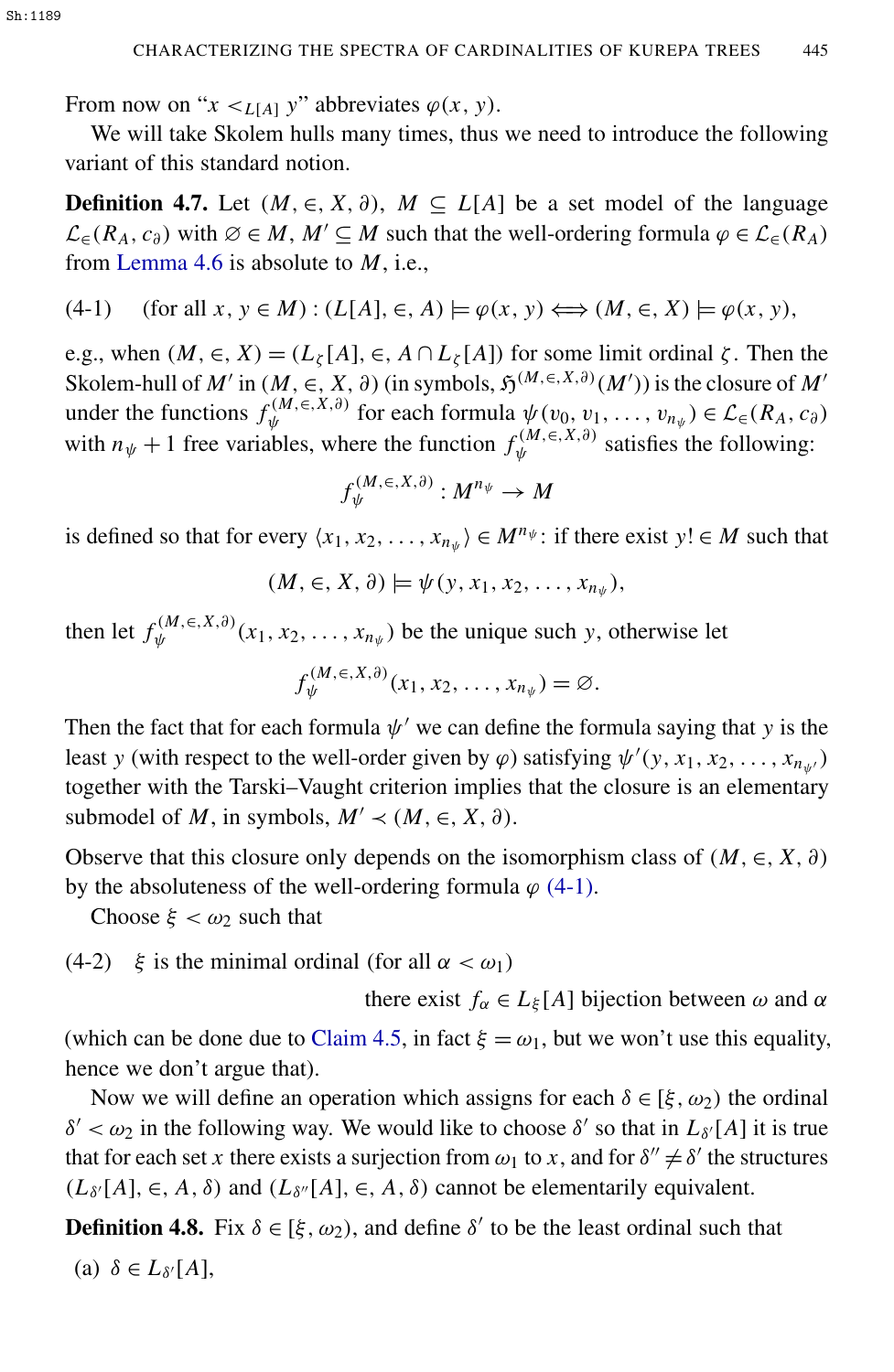From now on " $x \le L[A]$  y" abbreviates  $\varphi(x, y)$ .

<span id="page-23-1"></span>We will take Skolem hulls many times, thus we need to introduce the following variant of this standard notion.

**Definition 4.7.** Let  $(M, \in, X, \partial)$ ,  $M \subseteq L[A]$  be a set model of the language  $\mathcal{L}_{\in}$  (*R<sub>A</sub>*, *c*<sub>∂</sub>) with ∅ ∈ *M*, *M'* ⊆ *M* such that the well-ordering formula  $\varphi \in \mathcal{L}_{\in}$  (*R<sub>A</sub>*) from [Lemma 4.6](#page-22-0) is absolute to *M*, i.e.,

$$
(4-1) \quad \text{(for all } x, y \in M) : (L[A], \in, A) \models \varphi(x, y) \Longleftrightarrow (M, \in, X) \models \varphi(x, y),
$$

e.g., when  $(M, \in, X) = (L_{\zeta}[A], \in, A \cap L_{\zeta}[A])$  for some limit ordinal  $\zeta$ . Then the Skolem-hull of *M'* in (*M*, ∈, *X*, ∂) (in symbols,  $\mathfrak{H}^{(M, \in, X, \partial)}(M')$ ) is the closure of *M'* under the functions  $f_{\psi}^{(M, \in, X, \partial)}$  $\psi^{(M, \in, X, \partial)}$  for each formula  $\psi(v_0, v_1, \dots, v_{n_{\psi}}) \in \mathcal{L}_{\in}(R_A, c_{\partial})$ with  $n_{\psi} + 1$  free variables, where the function  $f_{\psi}^{(M, \in, X, \partial)}$  $\psi^{(M, \in, \Lambda, \sigma)}$  satisfies the following:

<span id="page-23-0"></span>
$$
f_{\psi}^{(M,\in,X,\partial)}:M^{n_{\psi}}\to M
$$

is defined so that for every  $\langle x_1, x_2, \dots, x_{n_{\psi}} \rangle \in M^{n_{\psi}}$ : if there exist  $y! \in M$  such that

$$
(M, \in, X, \partial) \models \psi(y, x_1, x_2, \ldots, x_{n_{\psi}}),
$$

then let  $f_w^{(M, \in, X, \partial)}$  $\psi^{(M, \in, \Lambda, \sigma)}(x_1, x_2, \ldots, x_{n_{\psi}})$  be the unique such *y*, otherwise let

$$
f_{\psi}^{(M,\in,X,\partial)}(x_1,x_2,\ldots,x_{n_{\psi}})=\varnothing.
$$

Then the fact that for each formula  $\psi'$  we can define the formula saying that *y* is the least *y* (with respect to the well-order given by  $\varphi$ ) satisfying  $\psi'(y, x_1, x_2, \dots, x_{n_{\psi'}})$ together with the Tarski–Vaught criterion implies that the closure is an elementary submodel of *M*, in symbols,  $M' \prec (M, \in, X, \partial)$ .

Observe that this closure only depends on the isomorphism class of  $(M, \in, X, \partial)$ by the absoluteness of the well-ordering formula  $\varphi$  [\(4-1\).](#page-23-0)

Choose  $\xi < \omega_2$  such that

(4-2)  $\xi$  is the minimal ordinal (for all  $\alpha < \omega_1$ )

<span id="page-23-2"></span>there exist  $f_{\alpha} \in L_{\xi}[A]$  bijection between  $\omega$  and  $\alpha$ 

(which can be done due to [Claim 4.5,](#page-22-1) in fact  $\xi = \omega_1$ , but we won't use this equality, hence we don't argue that).

Now we will define an operation which assigns for each  $\delta \in [\xi, \omega_2]$  the ordinal  $δ' < ω_2$  in the following way. We would like to choose  $δ'$  so that in  $L_{δ'}[A]$  it is true that for each set *x* there exists a surjection from  $\omega_1$  to *x*, and for  $\delta'' \neq \delta'$  the structures  $(L_{\delta'}[A], \in, A, \delta)$  and  $(L_{\delta''}[A], \in, A, \delta)$  cannot be elementarily equivalent.

<span id="page-23-3"></span>**Definition 4.8.** Fix  $\delta \in [\xi, \omega_2)$ , and define  $\delta'$  to be the least ordinal such that

(a) 
$$
\delta \in L_{\delta'}[A],
$$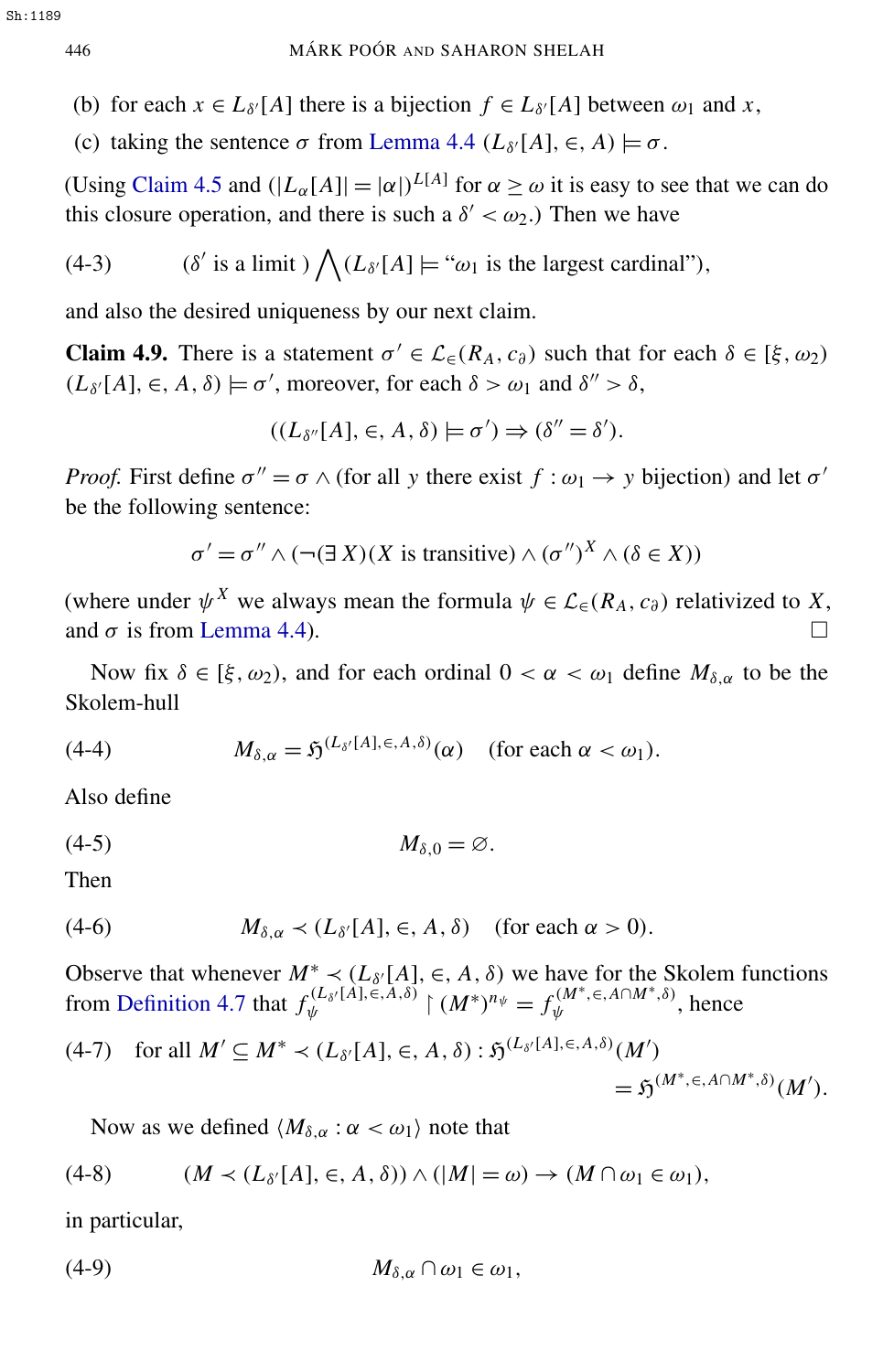- (b) for each  $x \in L_{\delta'}[A]$  there is a bijection  $f \in L_{\delta'}[A]$  between  $\omega_1$  and  $x$ ,
- (c) taking the sentence  $\sigma$  from [Lemma 4.4](#page-22-2) ( $L_{\delta'}[A]$ ,  $\in$ ,  $A$ )  $\models \sigma$ .

(Using [Claim 4.5](#page-22-1) and  $(|L_{\alpha}[A]| = |\alpha|)^{L[A]}$  for  $\alpha \ge \omega$  it is easy to see that we can do this closure operation, and there is such a  $\delta' < \omega_2$ .) Then we have

(4-3) 
$$
(\delta' \text{ is a limit}) \bigwedge (L_{\delta'}[A] \models \text{``}\omega_1 \text{ is the largest cardinal''}),
$$

and also the desired uniqueness by our next claim.

**Claim 4.9.** There is a statement  $\sigma' \in \mathcal{L}_{\in}(\mathbb{R}_A, c_{\partial})$  such that for each  $\delta \in [\xi, \omega_2)$  $(L_{\delta'}[A], \in, A, \delta) \models \sigma'$ , moreover, for each  $\delta > \omega_1$  and  $\delta'' > \delta$ ,

<span id="page-24-0"></span>
$$
((L_{\delta''}[A], \in, A, \delta) \models \sigma') \Rightarrow (\delta'' = \delta').
$$

*Proof.* First define  $\sigma'' = \sigma \wedge$  (for all *y* there exist  $f : \omega_1 \rightarrow y$  bijection) and let  $\sigma'$ be the following sentence:

 $\sigma' = \sigma'' \wedge (\neg(\exists X)(X \text{ is transitive}) \wedge (\sigma'')^X \wedge (\delta \in X))$ 

(where under  $\psi^X$  we always mean the formula  $\psi \in \mathcal{L}_{\in}(\mathbb{R}_A, c_{\partial})$  relativized to X, and  $\sigma$  is from [Lemma 4.4\)](#page-22-2).

<span id="page-24-1"></span>Now fix  $\delta \in [\xi, \omega_2]$ , and for each ordinal  $0 < \alpha < \omega_1$  define  $M_{\delta, \alpha}$  to be the Skolem-hull

(4-4) 
$$
M_{\delta,\alpha} = \mathfrak{H}^{(L_{\delta'}[A],\epsilon,A,\delta)}(\alpha) \quad \text{(for each } \alpha < \omega_1\text{).}
$$

Also define

$$
(4-5) \t\t M_{\delta,0} = \varnothing.
$$

<span id="page-24-4"></span>Then

(4-6) 
$$
M_{\delta,\alpha} \prec (L_{\delta'}[A], \in, A, \delta)
$$
 (for each  $\alpha > 0$ ).

Observe that whenever  $M^* \prec (L_{\delta'}[A], \in, A, \delta)$  we have for the Skolem functions from [Definition 4.7](#page-23-1) that  $f_w^{(L_{\delta}/[\hat{A}], \check{\epsilon}, \check{A}, \delta)}$  $\psi^{(L_{\delta'}[\hat{A}],\stackrel{\check{e}},\hat{A},\delta)}\restriction (M^*)^{n_\psi} = f_\psi^{(M^*,\in,A\cap M^*,\delta)}$  $\psi^{(M^-, \in, A^{\dagger} M^{\dagger}, 0)}$ , hence

(4-7) for all 
$$
M' \subseteq M^* \prec (L_{\delta'}[A], \in, A, \delta) : \mathfrak{H}^{(L_{\delta'}[A], \in, A, \delta)}(M')
$$
  
=  $\mathfrak{H}^{(M^*, \in, A \cap M^*, \delta)}(M').$ 

<span id="page-24-3"></span><span id="page-24-2"></span>Now as we defined  $\langle M_{\delta,\alpha} : \alpha < \omega_1 \rangle$  note that

$$
(4-8) \qquad (M \prec (L_{\delta'}[A], \in, A, \delta)) \land (|M| = \omega) \rightarrow (M \cap \omega_1 \in \omega_1),
$$

in particular,

$$
(4-9) \t\t\t M_{\delta,\alpha}\cap\omega_1\in\omega_1,
$$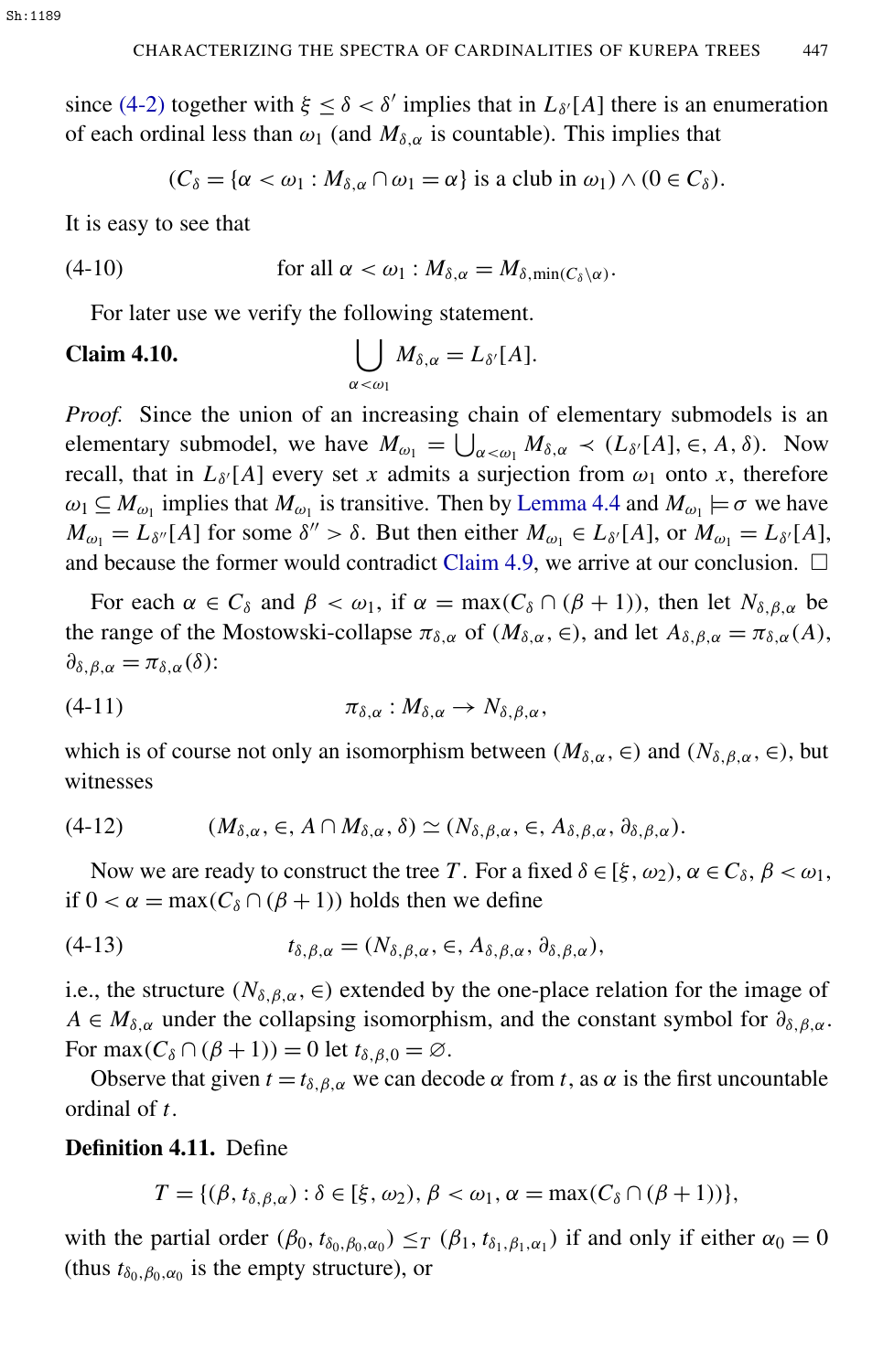since [\(4-2\)](#page-23-2) together with  $\xi \leq \delta < \delta'$  implies that in  $L_{\delta'}[A]$  there is an enumeration of each ordinal less than  $\omega_1$  (and  $M_{\delta,\alpha}$  is countable). This implies that

<span id="page-25-2"></span><span id="page-25-1"></span>
$$
(C_{\delta} = {\alpha < \omega_1 : M_{\delta,\alpha} \cap \omega_1 = \alpha}
$$
 is a club in  $\omega_1$ )  $\wedge$  ( $0 \in C_{\delta}$ ).

It is easy to see that

(4-10) for all 
$$
\alpha < \omega_1 : M_{\delta,\alpha} = M_{\delta,\min(C_{\delta}\setminus\alpha)}
$$
.

For later use we verify the following statement.

#### **Claim 4.10.**  $\alpha<\omega_1$  $M_{\delta,\alpha} = L_{\delta'}[A].$

*Proof.* Since the union of an increasing chain of elementary submodels is an elementary submodel, we have  $M_{\omega_1} = \bigcup_{\alpha < \omega_1} M_{\delta,\alpha} \prec (L_{\delta'}[A], \in, A, \delta)$ . Now recall, that in  $L_{\delta}$ <sup>[</sup> $A$ ] every set *x* admits a surjection from  $\omega_1$  onto *x*, therefore  $\omega_1 \subseteq M_{\omega_1}$  implies that  $M_{\omega_1}$  is transitive. Then by [Lemma 4.4](#page-22-2) and  $M_{\omega_1} \models \sigma$  we have  $M_{\omega_1} = L_{\delta''}[A]$  for some  $\delta'' > \delta$ . But then either  $M_{\omega_1} \in L_{\delta'}[A]$ , or  $M_{\omega_1} = L_{\delta'}[A]$ , and because the former would contradict [Claim 4.9,](#page-24-0) we arrive at our conclusion.  $\Box$ 

For each  $\alpha \in C_{\delta}$  and  $\beta < \omega_1$ , if  $\alpha = \max(C_{\delta} \cap (\beta + 1))$ , then let  $N_{\delta, \beta, \alpha}$  be the range of the Mostowski-collapse  $\pi_{\delta,\alpha}$  of  $(M_{\delta,\alpha}, \epsilon)$ , and let  $A_{\delta,\beta,\alpha} = \pi_{\delta,\alpha}(A)$ ,  $\partial_{\delta,\beta,\alpha} = \pi_{\delta,\alpha}(\delta)$ :

$$
\pi_{\delta,\alpha}:M_{\delta,\alpha}\to N_{\delta,\beta,\alpha},
$$

which is of course not only an isomorphism between  $(M_{\delta,\alpha}, \epsilon)$  and  $(N_{\delta,\beta,\alpha}, \epsilon)$ , but witnesses

$$
(4-12) \qquad (M_{\delta,\alpha}, \in, A \cap M_{\delta,\alpha}, \delta) \simeq (N_{\delta,\beta,\alpha}, \in, A_{\delta,\beta,\alpha}, \partial_{\delta,\beta,\alpha}).
$$

Now we are ready to construct the tree *T*. For a fixed  $\delta \in [\xi, \omega_2), \alpha \in C_{\delta}, \beta < \omega_1$ , if  $0 < \alpha = \max(C_\delta \cap (\beta + 1))$  holds then we define

(4-13) 
$$
t_{\delta,\beta,\alpha} = (N_{\delta,\beta,\alpha}, \in, A_{\delta,\beta,\alpha}, \partial_{\delta,\beta,\alpha}),
$$

i.e., the structure ( $N_{\delta,\beta,\alpha}$ ,  $\in$ ) extended by the one-place relation for the image of  $A \in M_{\delta,\alpha}$  under the collapsing isomorphism, and the constant symbol for  $\partial_{\delta,\beta,\alpha}$ . For max $(C_{\delta} \cap (\beta + 1)) = 0$  let  $t_{\delta, \beta, 0} = \emptyset$ .

Observe that given  $t = t_{\delta, \beta, \alpha}$  we can decode  $\alpha$  from *t*, as  $\alpha$  is the first uncountable ordinal of *t*.

<span id="page-25-0"></span>Definition 4.11. Define

$$
T = \{(\beta, t_{\delta,\beta,\alpha}) : \delta \in [\xi, \omega_2), \beta < \omega_1, \alpha = \max(C_{\delta} \cap (\beta + 1))\},\
$$

with the partial order  $(\beta_0, t_{\delta_0, \beta_0, \alpha_0}) \leq_T (\beta_1, t_{\delta_1, \beta_1, \alpha_1})$  if and only if either  $\alpha_0 = 0$ (thus  $t_{\delta_0, \beta_0, \alpha_0}$  is the empty structure), or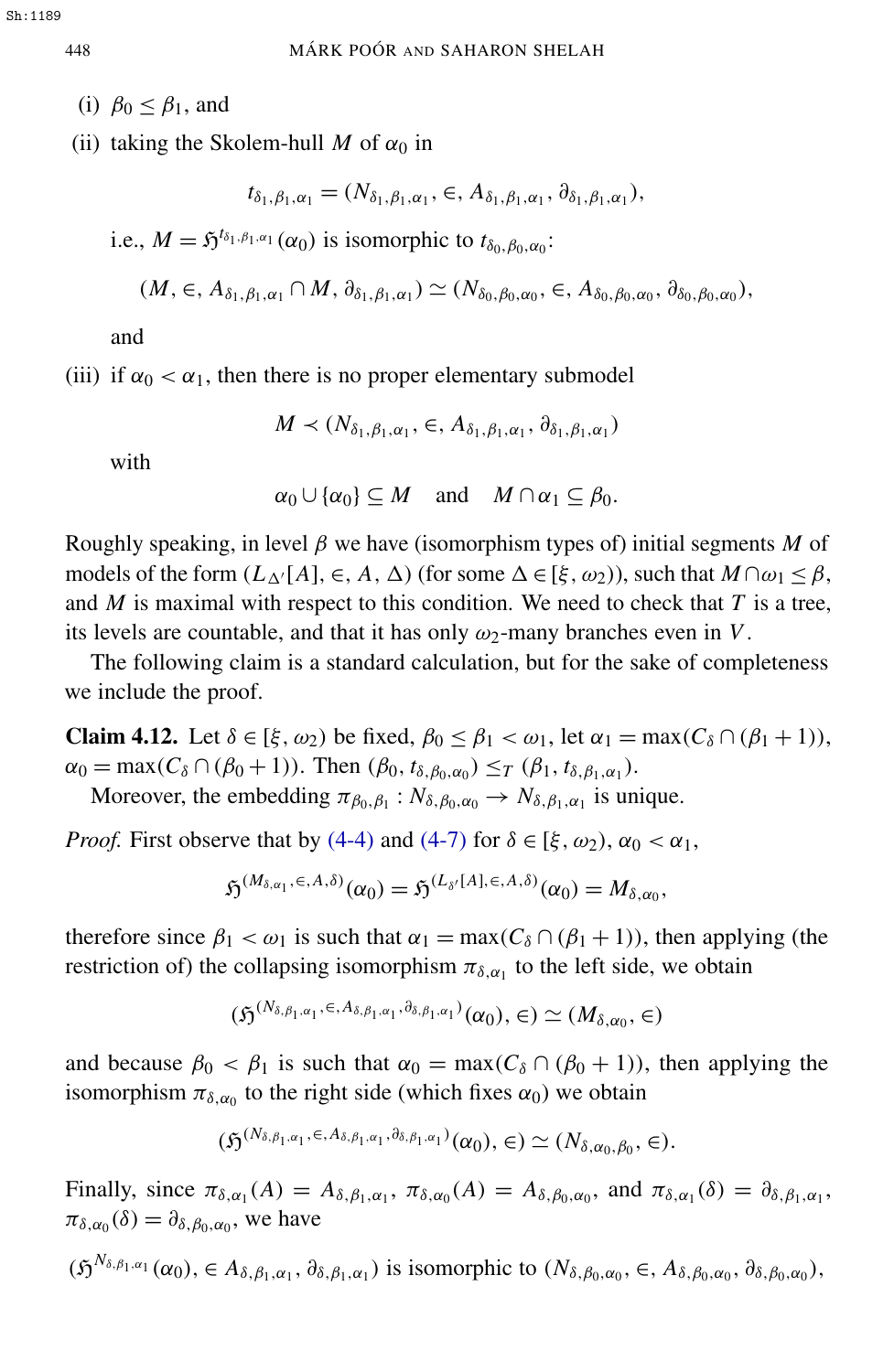- (i)  $\beta_0 \leq \beta_1$ , and
- <span id="page-26-0"></span>(ii) taking the Skolem-hull *M* of  $\alpha_0$  in

$$
t_{\delta_1,\beta_1,\alpha_1} = (N_{\delta_1,\beta_1,\alpha_1}, \in, A_{\delta_1,\beta_1,\alpha_1}, \partial_{\delta_1,\beta_1,\alpha_1}),
$$

i.e.,  $M = \mathfrak{H}^{t_{\delta_1,\beta_1,\alpha_1}}(\alpha_0)$  is isomorphic to  $t_{\delta_0,\beta_0,\alpha_0}$ :

$$
(M, \in, A_{\delta_1,\beta_1,\alpha_1} \cap M, \partial_{\delta_1,\beta_1,\alpha_1}) \simeq (N_{\delta_0,\beta_0,\alpha_0}, \in, A_{\delta_0,\beta_0,\alpha_0}, \partial_{\delta_0,\beta_0,\alpha_0}),
$$

and

<span id="page-26-1"></span>(iii) if  $\alpha_0 < \alpha_1$ , then there is no proper elementary submodel

$$
M \prec (N_{\delta_1,\beta_1,\alpha_1}, \in, A_{\delta_1,\beta_1,\alpha_1}, \partial_{\delta_1,\beta_1,\alpha_1})
$$

with

<span id="page-26-2"></span>
$$
\alpha_0 \cup {\alpha_0} \subseteq M
$$
 and  $M \cap \alpha_1 \subseteq \beta_0$ .

Roughly speaking, in level  $\beta$  we have (isomorphism types of) initial segments *M* of models of the form  $(L_\Delta[A], \in, A, \Delta)$  (for some  $\Delta \in [\xi, \omega_2)$ ), such that  $M \cap \omega_1 \leq \beta$ , and  $M$  is maximal with respect to this condition. We need to check that  $T$  is a tree, its levels are countable, and that it has only  $\omega_2$ -many branches even in *V*.

The following claim is a standard calculation, but for the sake of completeness we include the proof.

Claim 4.12. Let  $\delta \in [\xi, \omega_2]$  be fixed,  $\beta_0 \leq \beta_1 < \omega_1$ , let  $\alpha_1 = \max(C_\delta \cap (\beta_1 + 1))$ ,  $\alpha_0 = \max(C_\delta \cap (\beta_0 + 1))$ . Then  $(\beta_0, t_{\delta, \beta_0, \alpha_0}) \leq_T (\beta_1, t_{\delta, \beta_1, \alpha_1})$ .

Moreover, the embedding  $\pi_{\beta_0,\beta_1}: N_{\delta,\beta_0,\alpha_0} \to N_{\delta,\beta_1,\alpha_1}$  is unique.

*Proof.* First observe that by [\(4-4\)](#page-24-1) and [\(4-7\)](#page-24-2) for  $\delta \in [\xi, \omega_2), \alpha_0 < \alpha_1$ ,

$$
\mathfrak{H}^{(M_{\delta,\alpha_1},\in,A,\delta)}(\alpha_0)=\mathfrak{H}^{(L_{\delta'}[A],\in,A,\delta)}(\alpha_0)=M_{\delta,\alpha_0},
$$

therefore since  $\beta_1 < \omega_1$  is such that  $\alpha_1 = \max(C_\delta \cap (\beta_1 + 1))$ , then applying (the restriction of) the collapsing isomorphism  $\pi_{\delta, \alpha_1}$  to the left side, we obtain

$$
(\mathfrak{H}^{(N_{\delta,\beta_{1},\alpha_{1}},\in,A_{\delta,\beta_{1},\alpha_{1}},\partial_{\delta,\beta_{1},\alpha_{1}})}(\alpha_{0}),\in)\simeq(M_{\delta,\alpha_{0}},\in)
$$

and because  $\beta_0 < \beta_1$  is such that  $\alpha_0 = \max(C_\delta \cap (\beta_0 + 1))$ , then applying the isomorphism  $\pi_{\delta,\alpha_0}$  to the right side (which fixes  $\alpha_0$ ) we obtain

$$
(\mathfrak{H}^{(N_{\delta,\beta_1,\alpha_1},\in,A_{\delta,\beta_1,\alpha_1},\partial_{\delta,\beta_1,\alpha_1})}(\alpha_0),\in)\simeq (N_{\delta,\alpha_0,\beta_0},\in).
$$

Finally, since  $\pi_{\delta,\alpha_1}(A) = A_{\delta,\beta_1,\alpha_1}, \pi_{\delta,\alpha_0}(A) = A_{\delta,\beta_0,\alpha_0}$ , and  $\pi_{\delta,\alpha_1}(\delta) = \partial_{\delta,\beta_1,\alpha_1}$ ,  $\pi_{\delta,\alpha_0}(\delta) = \partial_{\delta,\beta_0,\alpha_0}$ , we have

$$
(\mathfrak{H}^{N_{\delta,\beta_1,\alpha_1}}(\alpha_0),\in A_{\delta,\beta_1,\alpha_1},\partial_{\delta,\beta_1,\alpha_1})
$$
 is isomorphic to  $(N_{\delta,\beta_0,\alpha_0},\in, A_{\delta,\beta_0,\alpha_0},\partial_{\delta,\beta_0,\alpha_0}),$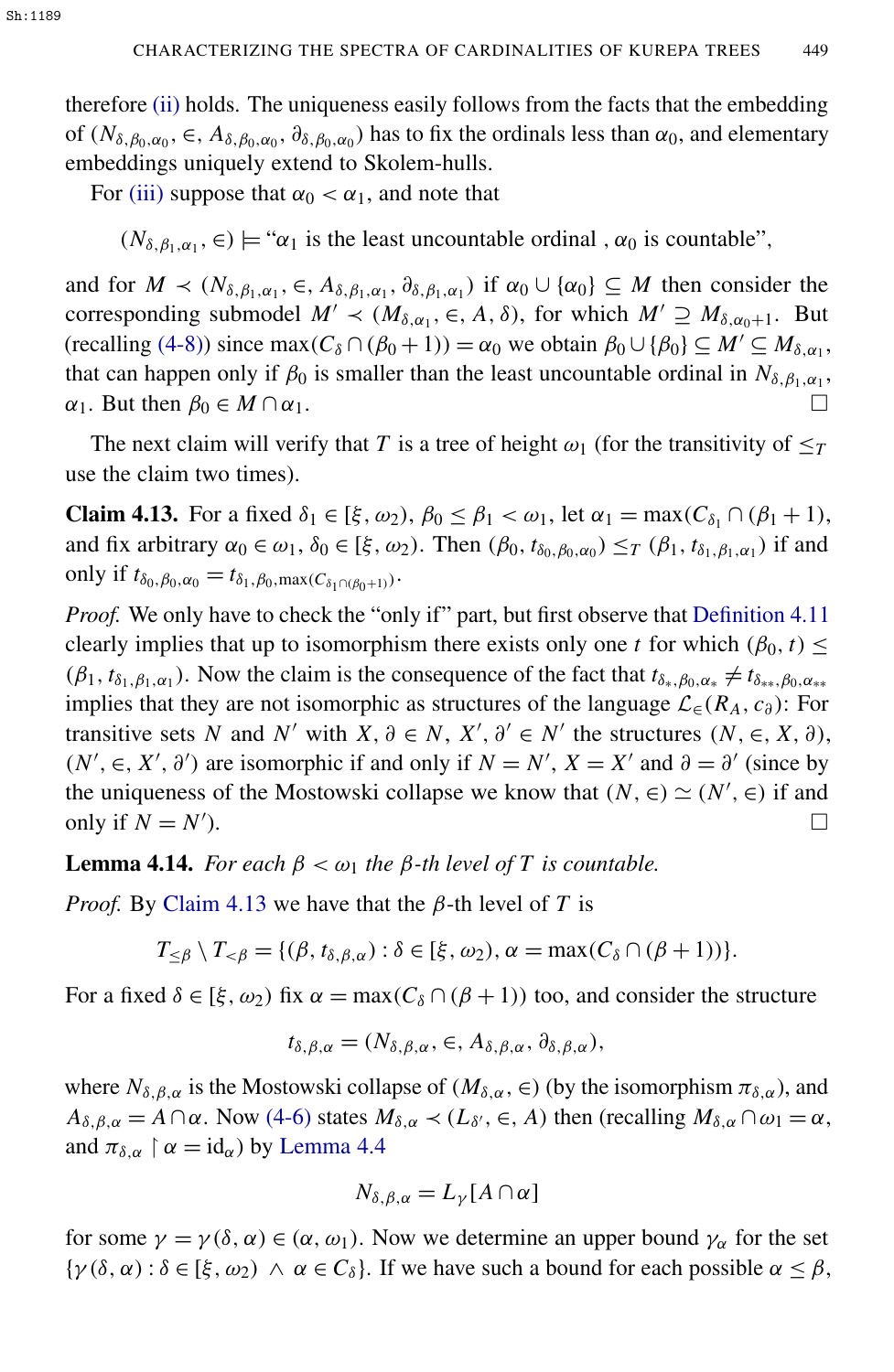therefore [\(ii\)](#page-26-0) holds. The uniqueness easily follows from the facts that the embedding of  $(N_{\delta,\beta_0,\alpha_0}, \epsilon, A_{\delta,\beta_0,\alpha_0}, \partial_{\delta,\beta_0,\alpha_0})$  has to fix the ordinals less than  $\alpha_0$ , and elementary embeddings uniquely extend to Skolem-hulls.

For [\(iii\)](#page-26-1) suppose that  $\alpha_0 < \alpha_1$ , and note that

 $(N_{\delta,\beta_1,\alpha_1}, \epsilon) \models " \alpha_1$  is the least uncountable ordinal,  $\alpha_0$  is countable",

and for  $M \prec (N_{\delta, \beta_1, \alpha_1}, \epsilon, A_{\delta, \beta_1, \alpha_1}, \partial_{\delta, \beta_1, \alpha_1})$  if  $\alpha_0 \cup \{\alpha_0\} \subseteq M$  then consider the corresponding submodel  $M' \prec (M_{\delta,\alpha_1}, \in, A, \delta)$ , for which  $M' \supseteq M_{\delta,\alpha_0+1}$ . But  $(\text{recalling } (+8)) \text{ since } \max(C_\delta \cap (\beta_0 + 1)) = \alpha_0 \text{ we obtain } \beta_0 \cup \{\beta_0\} \subseteq M' \subseteq M_{\delta, \alpha_1},$ that can happen only if  $\beta_0$  is smaller than the least uncountable ordinal in  $N_{\delta, \beta_1, \alpha_1}$ ,  $\alpha_1$ . But then  $\beta_0 \in M \cap \alpha_1$ .

The next claim will verify that *T* is a tree of height  $\omega_1$  (for the transitivity of  $\leq_T$ use the claim two times).

<span id="page-27-0"></span>**Claim 4.13.** For a fixed  $\delta_1 \in [\xi, \omega_2)$ ,  $\beta_0 \leq \beta_1 < \omega_1$ , let  $\alpha_1 = \max(C_{\delta_1} \cap (\beta_1 + 1))$ , and fix arbitrary  $\alpha_0 \in \omega_1$ ,  $\delta_0 \in [\xi, \omega_2)$ . Then  $(\beta_0, t_{\delta_0, \beta_0, \alpha_0}) \leq_T (\beta_1, t_{\delta_1, \beta_1, \alpha_1})$  if and only if  $t_{\delta_0, \beta_0, \alpha_0} = t_{\delta_1, \beta_0, \max(C_{\delta_1 \cap (\beta_0 + 1)})}$ .

*Proof.* We only have to check the "only if" part, but first observe that [Definition 4.11](#page-25-0) clearly implies that up to isomorphism there exists only one *t* for which  $(\beta_0, t) \le$  $(\beta_1, t_{\delta_1, \beta_1, \alpha_1})$ . Now the claim is the consequence of the fact that  $t_{\delta_*, \beta_0, \alpha_*} \neq t_{\delta_{**}, \beta_0, \alpha_{**}}$ implies that they are not isomorphic as structures of the language  $\mathcal{L}_{\in}$ ( $R_A$ ,  $c_{\partial}$ ): For transitive sets *N* and *N'* with  $X, \partial \in N$ ,  $X', \partial' \in N'$  the structures  $(N, \in, X, \partial)$ ,  $(N', \in, X', \partial')$  are isomorphic if and only if  $N = N'$ ,  $X = X'$  and  $\partial = \partial'$  (since by the uniqueness of the Mostowski collapse we know that  $(N, \in) \simeq (N', \in)$  if and only if  $N = N'$ ).  $\Box$ 

<span id="page-27-1"></span>**Lemma 4.14.** *For each*  $β < ω<sub>1</sub>$  *the*  $β$ *-th level of*  $T$  *is countable.* 

*Proof.* By [Claim 4.13](#page-27-0) we have that the  $\beta$ -th level of *T* is

$$
T_{\leq \beta} \setminus T_{<\beta} = \{ (\beta, t_{\delta, \beta, \alpha}) : \delta \in [\xi, \omega_2), \alpha = \max(C_{\delta} \cap (\beta + 1)) \}.
$$

For a fixed  $\delta \in [\xi, \omega_2]$  fix  $\alpha = \max(C_\delta \cap (\beta + 1))$  too, and consider the structure

$$
t_{\delta,\beta,\alpha}=(N_{\delta,\beta,\alpha},\in,A_{\delta,\beta,\alpha},\partial_{\delta,\beta,\alpha}),
$$

where  $N_{\delta,\beta,\alpha}$  is the Mostowski collapse of  $(M_{\delta,\alpha}, \epsilon)$  (by the isomorphism  $\pi_{\delta,\alpha}$ ), and  $A_{\delta,\beta,\alpha} = A \cap \alpha$ . Now [\(4-6\)](#page-24-4) states  $M_{\delta,\alpha} \prec (L_{\delta}, \epsilon, A)$  then (recalling  $M_{\delta,\alpha} \cap \omega_1 = \alpha$ , and  $\pi_{\delta,\alpha} \restriction \alpha = \mathrm{id}_{\alpha}$ ) by [Lemma 4.4](#page-22-2)

$$
N_{\delta,\beta,\alpha}=L_{\gamma}[A\cap\alpha]
$$

for some  $\gamma = \gamma(\delta, \alpha) \in (\alpha, \omega_1)$ . Now we determine an upper bound  $\gamma_\alpha$  for the set  $\{\gamma(\delta, \alpha) : \delta \in [\xi, \omega_2) \land \alpha \in C_\delta\}.$  If we have such a bound for each possible  $\alpha \leq \beta$ ,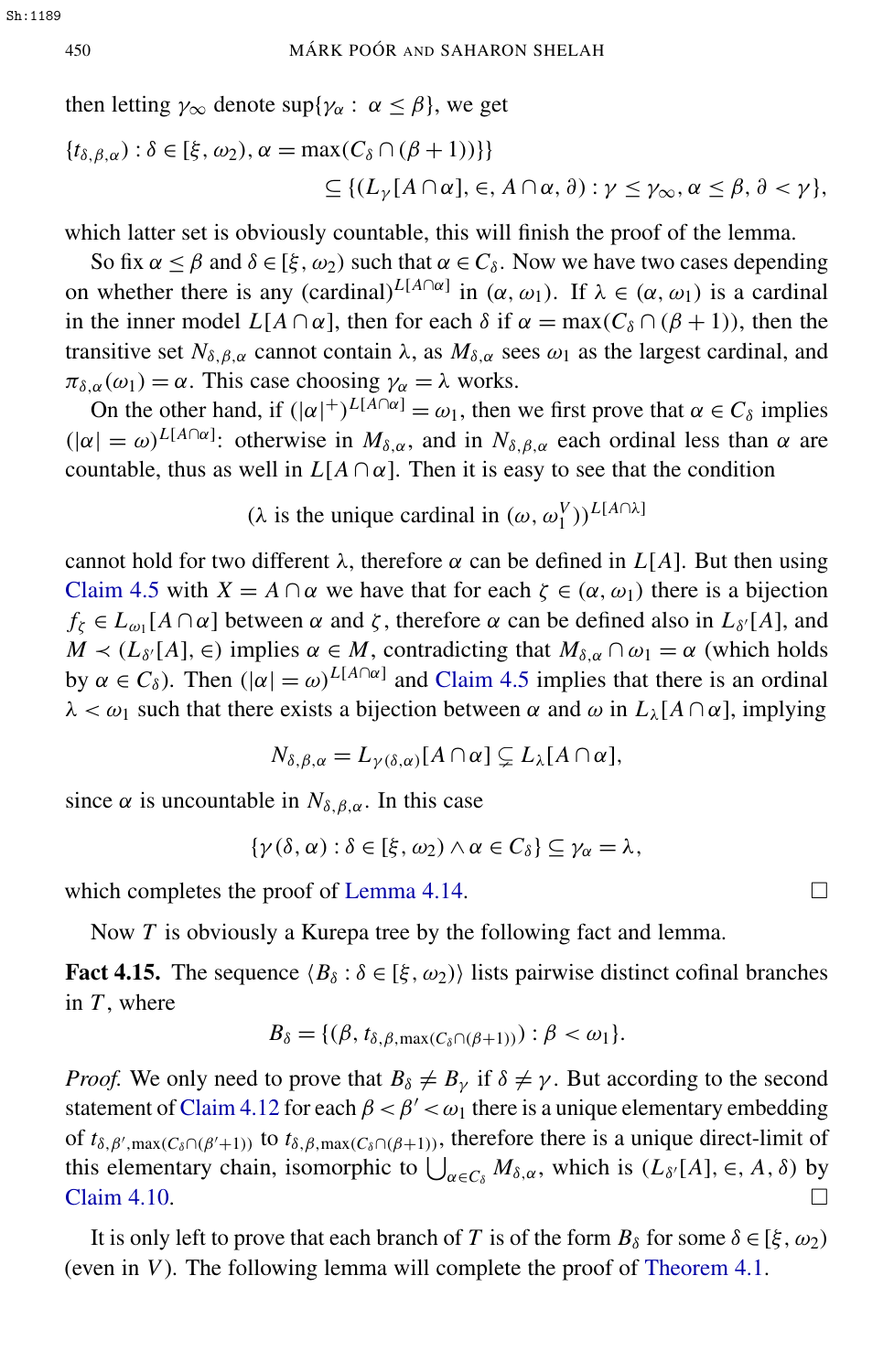then letting  $\gamma_{\infty}$  denote sup{ $\gamma_{\alpha}$ :  $\alpha \leq \beta$ }, we get

$$
\begin{aligned} \{t_{\delta,\beta,\alpha}):\delta\in [\xi,\omega_2),\alpha&=\max(C_\delta\cap(\beta+1))\}\} \\ &\subseteq \{ (L_\gamma[A\cap\alpha],\in,A\cap\alpha,\vartheta): \gamma\leq\gamma_\infty,\alpha\leq\beta,\vartheta<\gamma\}, \end{aligned}
$$

which latter set is obviously countable, this will finish the proof of the lemma.

So fix  $\alpha \le \beta$  and  $\delta \in [\xi, \omega_2)$  such that  $\alpha \in C_\delta$ . Now we have two cases depending on whether there is any  $(\text{cardinal})^{L[A \cap \alpha]}$  in  $(\alpha, \omega_1)$ . If  $\lambda \in (\alpha, \omega_1)$  is a cardinal in the inner model  $L[A \cap \alpha]$ , then for each  $\delta$  if  $\alpha = \max(C_{\delta} \cap (\beta + 1))$ , then the transitive set  $N_{\delta,\beta,\alpha}$  cannot contain  $\lambda$ , as  $M_{\delta,\alpha}$  sees  $\omega_1$  as the largest cardinal, and  $\pi_{\delta,\alpha}(\omega_1) = \alpha$ . This case choosing  $\gamma_\alpha = \lambda$  works.

On the other hand, if  $(|\alpha|^{+})^{L[A \cap \alpha]} = \omega_1$ , then we first prove that  $\alpha \in C_{\delta}$  implies  $(|\alpha| = \omega)^{L[A \cap \alpha]}$ : otherwise in  $M_{\delta,\alpha}$ , and in  $N_{\delta,\beta,\alpha}$  each ordinal less than  $\alpha$  are countable, thus as well in  $L[A \cap \alpha]$ . Then it is easy to see that the condition

(λ is the unique cardinal in  $(ω, ω_1^V))^{L[A] \cap \lambda}$ ]

cannot hold for two different  $\lambda$ , therefore  $\alpha$  can be defined in  $L[A]$ . But then using [Claim 4.5](#page-22-1) with  $X = A \cap \alpha$  we have that for each  $\zeta \in (\alpha, \omega_1)$  there is a bijection  $f_{\zeta} \in L_{\omega_1}[A \cap \alpha]$  between  $\alpha$  and  $\zeta$ , therefore  $\alpha$  can be defined also in  $L_{\delta'}[A]$ , and  $M \lt (L_{\delta'}[A], \in)$  implies  $\alpha \in M$ , contradicting that  $M_{\delta,\alpha} \cap \omega_1 = \alpha$  (which holds by  $\alpha \in C_{\delta}$ ). Then  $(|\alpha| = \omega)^{L[A \cap \alpha]}$  and [Claim 4.5](#page-22-1) implies that there is an ordinal  $\lambda < \omega_1$  such that there exists a bijection between  $\alpha$  and  $\omega$  in  $L_\lambda[A \cap \alpha]$ , implying

$$
N_{\delta,\beta,\alpha}=L_{\gamma(\delta,\alpha)}[A\cap\alpha]\subsetneq L_{\lambda}[A\cap\alpha],
$$

since  $\alpha$  is uncountable in  $N_{\delta,\beta,\alpha}$ . In this case

$$
\{\gamma(\delta,\alpha): \delta\in [\xi,\omega_2)\wedge \alpha\in C_\delta\}\subseteq \gamma_\alpha=\lambda,
$$

which completes the proof of [Lemma 4.14.](#page-27-1)

Now *T* is obviously a Kurepa tree by the following fact and lemma.

**Fact 4.15.** The sequence  $\langle B_\delta : \delta \in [\xi, \omega_2) \rangle$  lists pairwise distinct cofinal branches in *T* , where

$$
B_{\delta} = \{(\beta, t_{\delta, \beta, \max(C_{\delta} \cap (\beta+1)))} : \beta < \omega_1\}.
$$

*Proof.* We only need to prove that  $B_\delta \neq B_\gamma$  if  $\delta \neq \gamma$ . But according to the second statement of [Claim 4.12](#page-26-2) for each  $\beta < \beta' < \omega_1$  there is a unique elementary embedding of  $t_{\delta,\beta',\max(C_\delta\cap(\beta'+1))}$  to  $t_{\delta,\beta,\max(C_\delta\cap(\beta+1))}$ , therefore there is a unique direct-limit of this elementary chain, isomorphic to  $\bigcup_{\alpha \in C_\delta} M_{\delta,\alpha}$ , which is  $(L_{\delta'}[A], \in, A, \delta)$  by [Claim 4.10.](#page-25-1)  $\Box$ 

It is only left to prove that each branch of *T* is of the form  $B_\delta$  for some  $\delta \in [\xi, \omega_2)$ (even in *V*). The following lemma will complete the proof of [Theorem 4.1.](#page-21-1)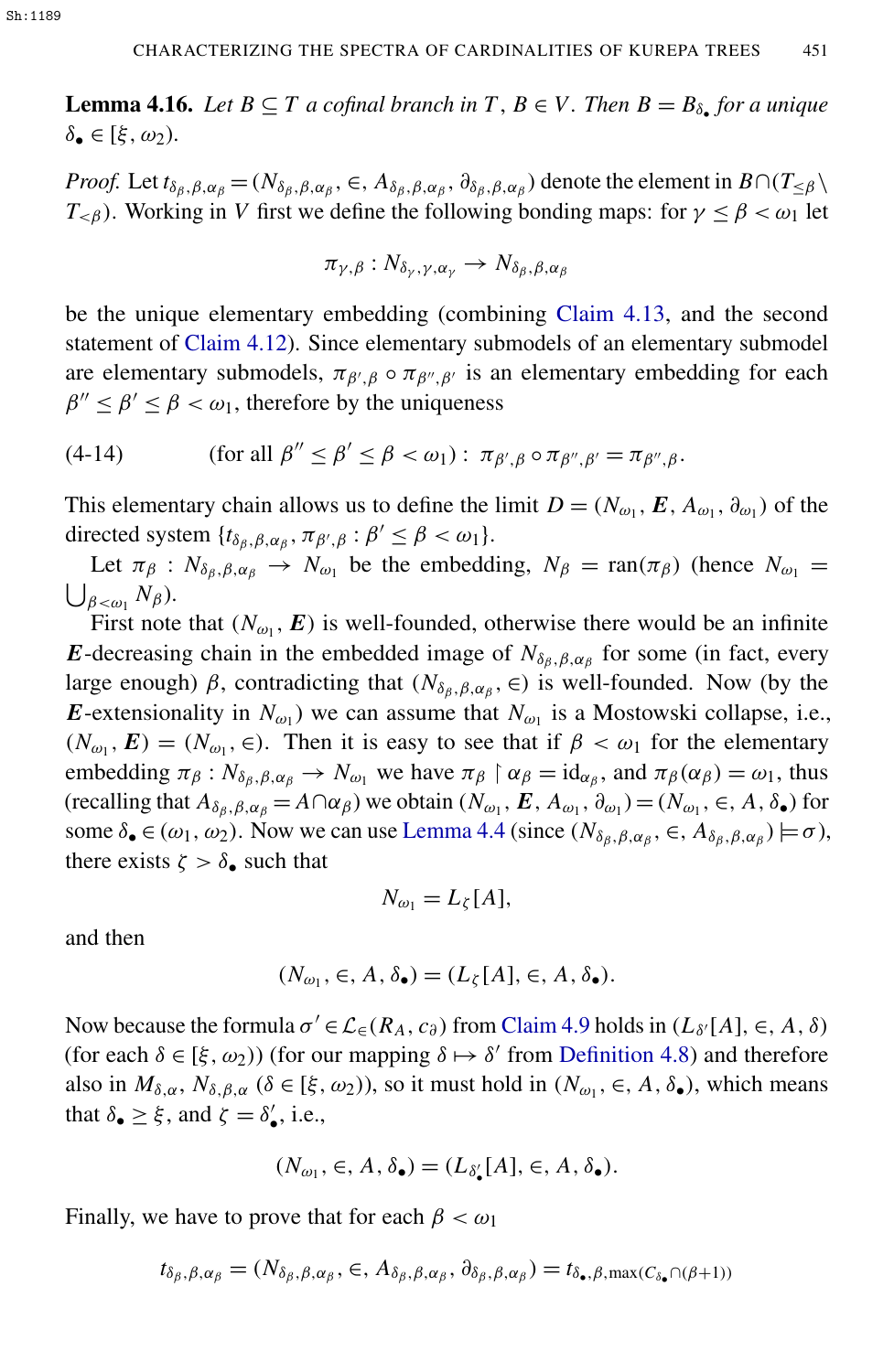**Lemma 4.16.** Let  $B \subseteq T$  a cofinal branch in  $T, B \in V$ . Then  $B = B_{\delta_{\bullet}}$  for a unique  $\delta_{\bullet} \in [\xi, \omega_2).$ 

*Proof.* Let  $t_{\delta_{\beta},\beta,\alpha_{\beta}} = (N_{\delta_{\beta},\beta,\alpha_{\beta}}, \in, A_{\delta_{\beta},\beta,\alpha_{\beta}}, \partial_{\delta_{\beta},\beta,\alpha_{\beta}})$  denote the element in  $B \cap (T_{\leq \beta} \setminus A_{\beta})$  $T_{\leq \beta}$ ). Working in *V* first we define the following bonding maps: for  $\gamma \leq \beta < \omega_1$  let

$$
\pi_{\gamma,\beta}: N_{\delta_{\gamma},\gamma,\alpha_{\gamma}} \to N_{\delta_{\beta},\beta,\alpha_{\beta}}
$$

be the unique elementary embedding (combining [Claim 4.13,](#page-27-0) and the second statement of [Claim 4.12\)](#page-26-2). Since elementary submodels of an elementary submodel are elementary submodels,  $\pi_{\beta',\beta} \circ \pi_{\beta'',\beta'}$  is an elementary embedding for each  $\beta'' \le \beta' \le \beta < \omega_1$ , therefore by the uniqueness

(4-14) (for all 
$$
\beta'' \le \beta' \le \beta < \omega_1
$$
):  $\pi_{\beta',\beta} \circ \pi_{\beta'',\beta'} = \pi_{\beta'',\beta}$ .

This elementary chain allows us to define the limit  $D = (N_{\omega_1}, E, A_{\omega_1}, \partial_{\omega_1})$  of the directed system  $\{t_{\delta_{\beta},\beta,\alpha_{\beta}}, \pi_{\beta',\beta} : \beta' \leq \beta < \omega_1\}.$ 

Let  $\pi_{\beta}: N_{\delta_{\beta},\beta,\alpha_{\beta}} \to N_{\omega_1}$  be the embedding,  $N_{\beta} = \text{ran}(\pi_{\beta})$  (hence  $N_{\omega_1} =$  $\bigcup_{\beta<\omega_1} N_\beta$ ).

First note that  $(N_{\omega_1}, E)$  is well-founded, otherwise there would be an infinite *E*-decreasing chain in the embedded image of  $N_{\delta_\beta,\beta,\alpha_\beta}$  for some (in fact, every large enough)  $\beta$ , contradicting that  $(N_{\delta_{\beta},\beta,\alpha_{\beta}}, \epsilon)$  is well-founded. Now (by the *E*-extensionality in  $N_{\omega_1}$ ) we can assume that  $N_{\omega_1}$  is a Mostowski collapse, i.e.,  $(N_{\omega_1}, E) = (N_{\omega_1}, \in)$ . Then it is easy to see that if  $\beta < \omega_1$  for the elementary embedding  $\pi_{\beta}: N_{\delta_{\beta},\beta,\alpha_{\beta}} \to N_{\omega_1}$  we have  $\pi_{\beta} \upharpoonright \alpha_{\beta} = \mathrm{id}_{\alpha_{\beta}},$  and  $\pi_{\beta}(\alpha_{\beta}) = \omega_1$ , thus  $(\text{recalling that } A_{\delta_{\beta},\beta,\alpha_{\beta}} = A \cap \alpha_{\beta})$  we obtain  $(N_{\omega_1}, E, A_{\omega_1}, \partial_{\omega_1}) = (N_{\omega_1}, \in, A, \delta_{\bullet})$  for some  $\delta_{\bullet} \in (\omega_1, \omega_2)$ . Now we can use [Lemma 4.4](#page-22-2) (since  $(N_{\delta_{\beta}, \beta, \alpha_{\beta}}, \in, A_{\delta_{\beta}, \beta, \alpha_{\beta}}) \models \sigma$ ), there exists  $\zeta > \delta_{\bullet}$  such that

$$
N_{\omega_1}=L_{\zeta}[A],
$$

and then

$$
(N_{\omega_1}, \in, A, \delta_{\bullet}) = (L_{\zeta}[A], \in, A, \delta_{\bullet}).
$$

Now because the formula  $\sigma' \in \mathcal{L}_{\epsilon}(R_A, c_{\partial})$  from [Claim 4.9](#page-24-0) holds in  $(L_{\delta'}[A], \epsilon, A, \delta)$ (for each  $\delta \in [\xi, \omega_2)$ ) (for our mapping  $\delta \mapsto \delta'$  from [Definition 4.8\)](#page-23-3) and therefore also in  $M_{\delta,\alpha}$ ,  $N_{\delta,\beta,\alpha}$  ( $\delta \in [\xi,\omega_2)$ ), so it must hold in  $(N_{\omega_1}, \epsilon, A, \delta_{\bullet})$ , which means that  $\delta_{\bullet} \geq \xi$ , and  $\zeta = \delta'_{\bullet}$ , i.e.,

$$
(N_{\omega_1},\in, A, \delta_\bullet)=(L_{\delta'_\bullet}[A],\in, A, \delta_\bullet).
$$

Finally, we have to prove that for each  $\beta < \omega_1$ 

$$
t_{\delta_{\beta},\beta,\alpha_{\beta}} = (N_{\delta_{\beta},\beta,\alpha_{\beta}}, \in, A_{\delta_{\beta},\beta,\alpha_{\beta}}, \partial_{\delta_{\beta},\beta,\alpha_{\beta}}) = t_{\delta_{\bullet},\beta,\max(C_{\delta_{\bullet}} \cap (\beta+1))}
$$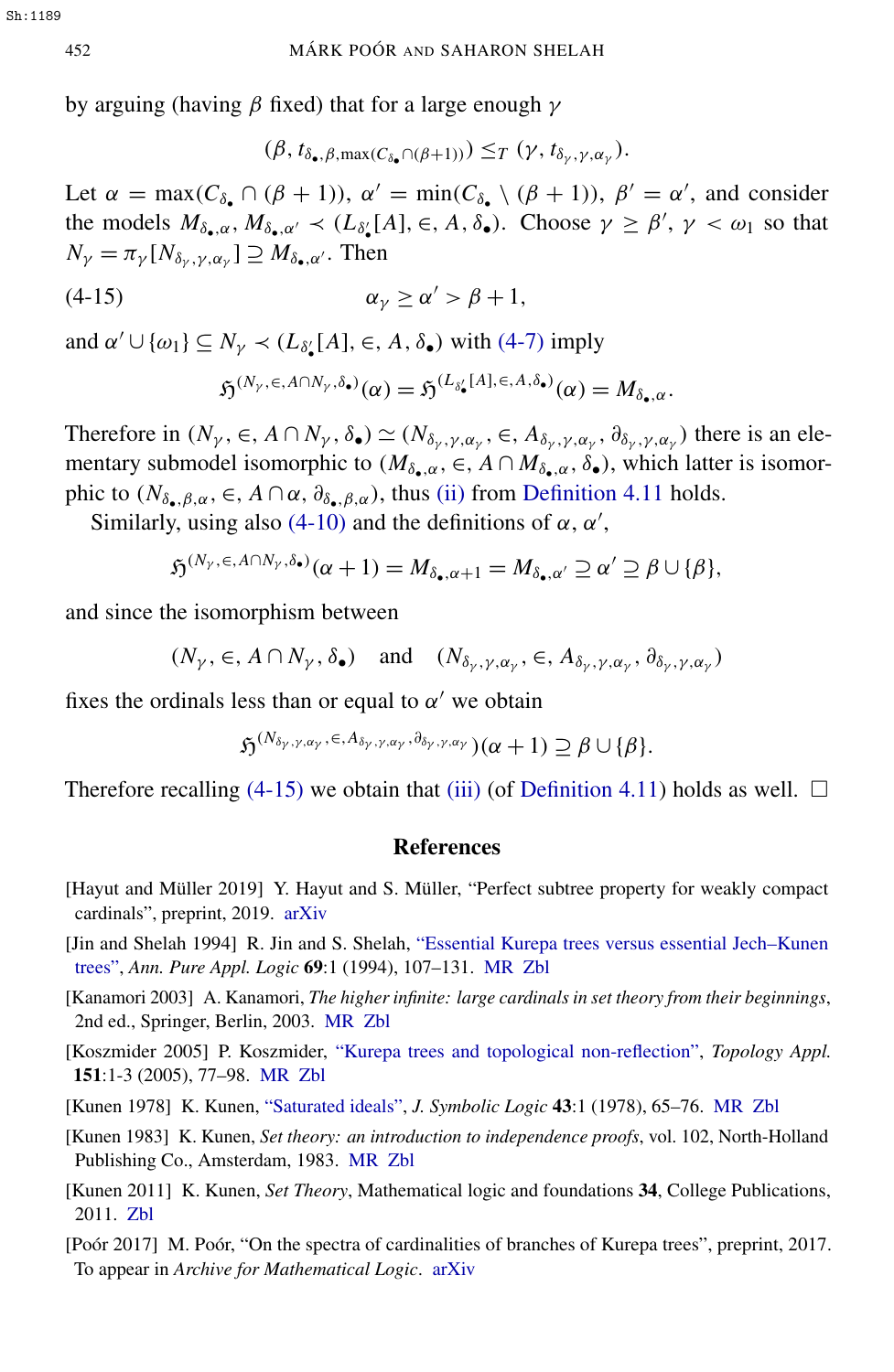by arguing (having β fixed) that for a large enough  $γ$ 

<span id="page-30-8"></span>
$$
(\beta, t_{\delta_{\bullet}, \beta, \max(C_{\delta_{\bullet}} \cap (\beta+1))) \leq_T (\gamma, t_{\delta_{\gamma}, \gamma, \alpha_{\gamma}}).
$$

Let  $\alpha = \max(C_{\delta_{\bullet}} \cap (\beta + 1))$ ,  $\alpha' = \min(C_{\delta_{\bullet}} \setminus (\beta + 1))$ ,  $\beta' = \alpha'$ , and consider the models  $M_{\delta_{\bullet},\alpha}$ ,  $M_{\delta_{\bullet},\alpha'} \prec (L_{\delta_{\bullet}'}[A], \in, A, \delta_{\bullet})$ . Choose  $\gamma \geq \beta', \gamma < \omega_1$  so that  $N_{\gamma} = \pi_{\gamma} [N_{\delta_{\gamma}, \gamma, \alpha_{\gamma}}] \supseteq M_{\delta_{\bullet}, \alpha'}$ . Then

$$
\alpha_{\gamma} \ge \alpha' > \beta + 1,
$$

and  $\alpha' \cup \{\omega_1\} \subseteq N_\gamma \prec (L_{\delta'_\bullet}[A], \in, A, \delta_\bullet)$  with [\(4-7\)](#page-24-2) imply

$$
\mathfrak{H}^{(N_{\gamma},\in, A\cap N_{\gamma},\delta_{\bullet})}(\alpha)=\mathfrak{H}^{(L_{\delta'_{\bullet}}[A],\in, A,\delta_{\bullet})}(\alpha)=M_{\delta_{\bullet},\alpha}.
$$

Therefore in  $(N_\gamma, \in, A \cap N_\gamma, \delta_\bullet) \simeq (N_{\delta_\gamma, \gamma, \alpha_\gamma}, \in, A_{\delta_\gamma, \gamma, \alpha_\gamma}, \partial_{\delta_\gamma, \gamma, \alpha_\gamma})$  there is an elementary submodel isomorphic to  $(M_{\delta_{\bullet},\alpha}, \epsilon, A \cap M_{\delta_{\bullet},\alpha}, \delta_{\bullet})$ , which latter is isomorphic to  $(N_{\delta_{\bullet},\beta,\alpha}, \in, A \cap \alpha, \partial_{\delta_{\bullet},\beta,\alpha})$ , thus [\(ii\)](#page-26-0) from [Definition 4.11](#page-25-0) holds.

Similarly, using also [\(4-10\)](#page-25-2) and the definitions of  $\alpha$ ,  $\alpha'$ ,

$$
\mathfrak{H}^{(N_{\gamma},\in,A\cap N_{\gamma},\delta_{\bullet})}(\alpha+1)=M_{\delta_{\bullet},\alpha+1}=M_{\delta_{\bullet},\alpha'}\supseteq\alpha'\supseteq\beta\cup\{\beta\},
$$

and since the isomorphism between

$$
(N_{\gamma}, \in, A \cap N_{\gamma}, \delta_{\bullet})
$$
 and  $(N_{\delta_{\gamma}, \gamma, \alpha_{\gamma}}, \in, A_{\delta_{\gamma}, \gamma, \alpha_{\gamma}}, \partial_{\delta_{\gamma}, \gamma, \alpha_{\gamma}})$ 

fixes the ordinals less than or equal to  $\alpha'$  we obtain

$$
\mathfrak{H}^{(N_{\delta_{\gamma},\gamma,\alpha_{\gamma}},\epsilon,A_{\delta_{\gamma},\gamma,\alpha_{\gamma}},\partial_{\delta_{\gamma},\gamma,\alpha_{\gamma}})}(\alpha+1)\supseteq\beta\cup\{\beta\}.
$$

Therefore recalling [\(4-15\)](#page-30-8) we obtain that [\(iii\)](#page-26-1) (of [Definition 4.11\)](#page-25-0) holds as well.  $\Box$ 

#### References

- <span id="page-30-1"></span>[Hayut and Müller 2019] Y. Hayut and S. Müller, "Perfect subtree property for weakly compact cardinals", preprint, 2019. [arXiv](http://msp.org/idx/arx/math/1910.05159)
- <span id="page-30-6"></span>[Jin and Shelah 1994] R. Jin and S. Shelah, ["Essential Kurepa trees versus essential Jech–Kunen](http://dx.doi.org/10.1016/0168-0072(94)90021-3) [trees",](http://dx.doi.org/10.1016/0168-0072(94)90021-3) *Ann. Pure Appl. Logic* 69:1 (1994), 107–131. [MR](http://msp.org/idx/mr/1301608) [Zbl](http://msp.org/idx/zbl/0810.03040)
- <span id="page-30-7"></span>[Kanamori 2003] A. Kanamori, *The higher infinite: large cardinals in set theory from their beginnings*, 2nd ed., Springer, Berlin, 2003. [MR](http://msp.org/idx/mr/1994835) [Zbl](http://msp.org/idx/zbl/1022.03033)
- <span id="page-30-0"></span>[Koszmider 2005] P. Koszmider, ["Kurepa trees and topological non-reflection",](http://dx.doi.org/10.1016/j.topol.2003.08.033) *Topology Appl.* 151:1-3 (2005), 77–98. [MR](http://msp.org/idx/mr/2139743) [Zbl](http://msp.org/idx/zbl/1076.54003)
- <span id="page-30-5"></span>[Kunen 1978] K. Kunen, ["Saturated ideals",](http://dx.doi.org/10.2307/2271949) *J. Symbolic Logic* 43:1 (1978), 65–76. [MR](http://msp.org/idx/mr/495118) [Zbl](http://msp.org/idx/zbl/0395.03031)
- <span id="page-30-2"></span>[Kunen 1983] K. Kunen, *Set theory: an introduction to independence proofs*, vol. 102, North-Holland Publishing Co., Amsterdam, 1983. [MR](http://msp.org/idx/mr/756630) [Zbl](http://msp.org/idx/zbl/0534.03026)
- <span id="page-30-4"></span>[Kunen 2011] K. Kunen, *Set Theory*, Mathematical logic and foundations 34, College Publications, 2011. [Zbl](http://msp.org/idx/zbl/1262.03001)
- <span id="page-30-3"></span>[Poór 2017] M. Poór, "On the spectra of cardinalities of branches of Kurepa trees", preprint, 2017. To appear in *Archive for Mathematical Logic*. [arXiv](http://msp.org/idx/arx/1706.01409)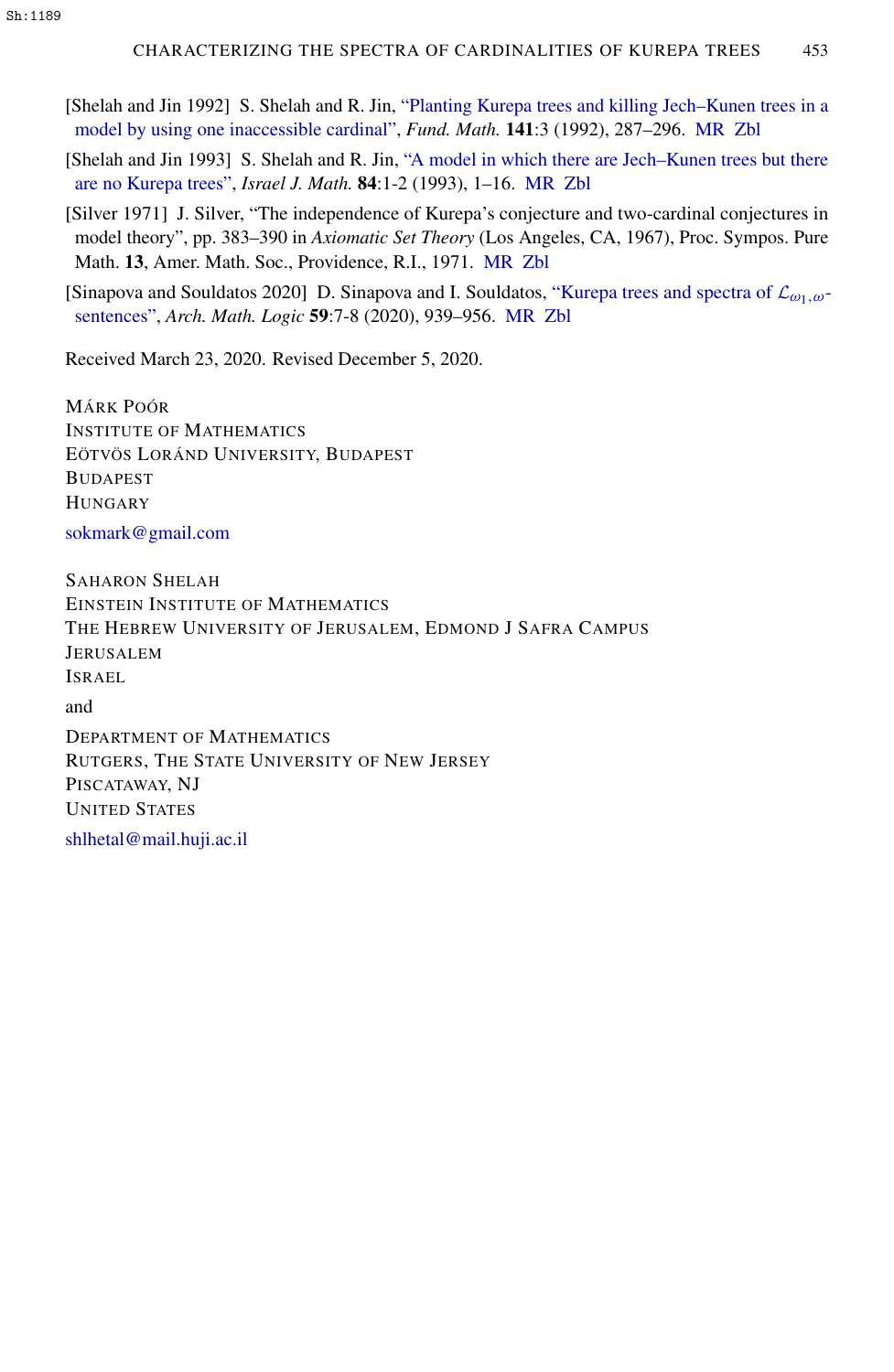- <span id="page-31-2"></span>[Shelah and Jin 1992] S. Shelah and R. Jin, ["Planting Kurepa trees and killing Jech–Kunen trees in a](http://dx.doi.org/10.4064/fm-141-3-287-296) [model by using one inaccessible cardinal",](http://dx.doi.org/10.4064/fm-141-3-287-296) *Fund. Math.* 141:3 (1992), 287–296. [MR](http://msp.org/idx/mr/1199241) [Zbl](http://msp.org/idx/zbl/0809.03038)
- <span id="page-31-3"></span>[Shelah and Jin 1993] S. Shelah and R. Jin, ["A model in which there are Jech–Kunen trees but there](http://dx.doi.org/10.1007/BF02761687) [are no Kurepa trees",](http://dx.doi.org/10.1007/BF02761687) *Israel J. Math.* 84:1-2 (1993), 1–16. [MR](http://msp.org/idx/mr/1244655) [Zbl](http://msp.org/idx/zbl/0790.03049)
- <span id="page-31-1"></span>[Silver 1971] J. Silver, "The independence of Kurepa's conjecture and two-cardinal conjectures in model theory", pp. 383–390 in *Axiomatic Set Theory* (Los Angeles, CA, 1967), Proc. Sympos. Pure Math. 13, Amer. Math. Soc., Providence, R.I., 1971. [MR](http://msp.org/idx/mr/0277379) [Zbl](http://msp.org/idx/zbl/0255.02068)

<span id="page-31-0"></span>[Sinapova and Souldatos 2020] D. Sinapova and I. Souldatos, ["Kurepa trees and spectra of](http://dx.doi.org/10.1007/s00153-020-00729-4)  $\mathcal{L}_{\omega_1,\omega}$ [sentences",](http://dx.doi.org/10.1007/s00153-020-00729-4) *Arch. Math. Logic* 59:7-8 (2020), 939–956. [MR](http://msp.org/idx/mr/4159762) [Zbl](http://msp.org/idx/zbl/07261476)

Received March 23, 2020. Revised December 5, 2020.

MÁRK POÓR INSTITUTE OF MATHEMATICS EÖTVÖS LORÁND UNIVERSITY, BUDAPEST BUDAPEST **HUNGARY** [sokmark@gmail.com](mailto:sokmark@gmail.com)

SAHARON SHELAH EINSTEIN INSTITUTE OF MATHEMATICS THE HEBREW UNIVERSITY OF JERUSALEM, EDMOND J SAFRA CAMPUS JERUSALEM ISRAEL

and

DEPARTMENT OF MATHEMATICS RUTGERS, THE STATE UNIVERSITY OF NEW JERSEY PISCATAWAY, NJ UNITED STATES

[shlhetal@mail.huji.ac.il](mailto:shlhetal@mail.huji.ac.il)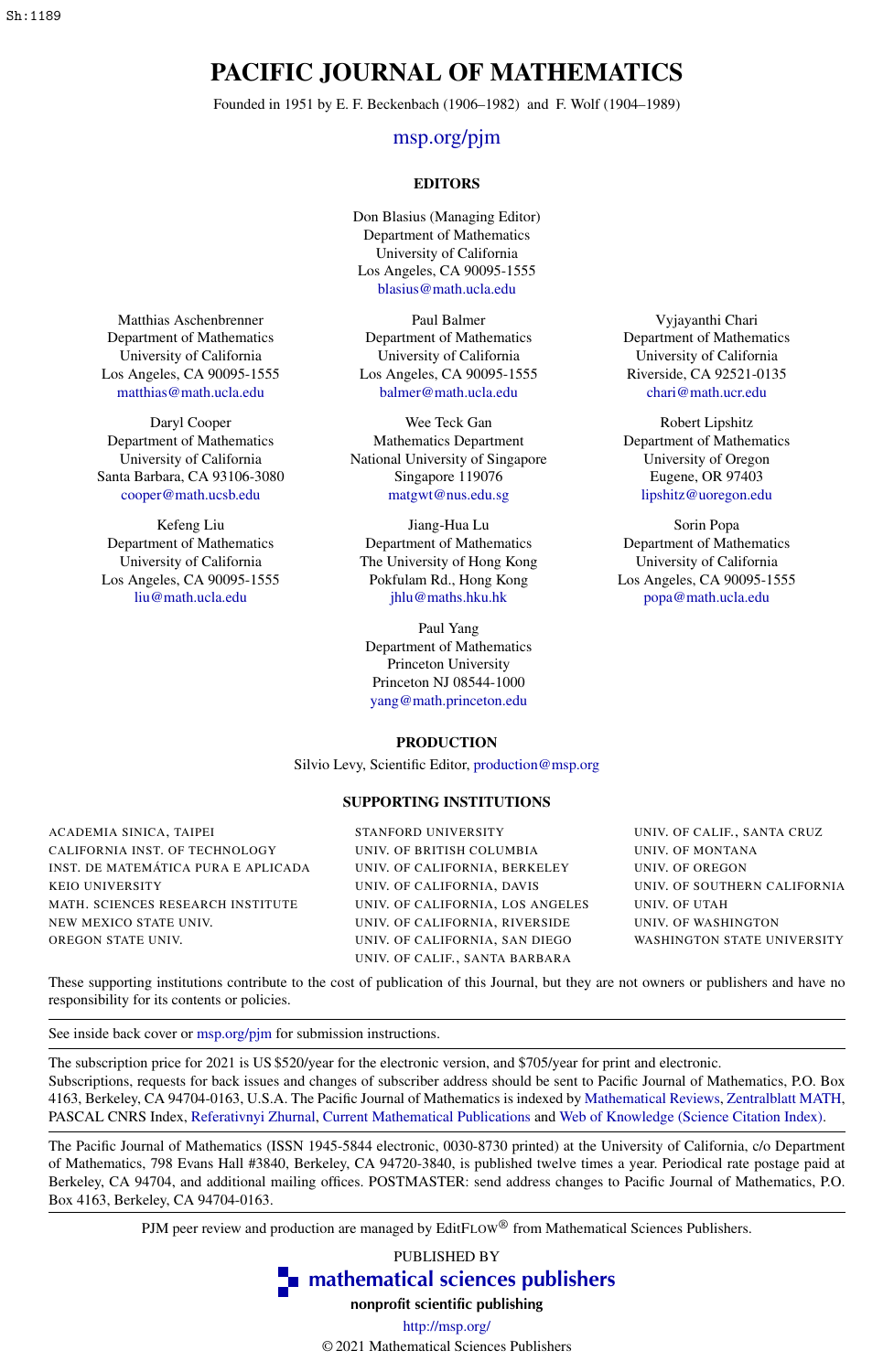## PACIFIC JOURNAL OF MATHEMATICS

Founded in 1951 by E. F. Beckenbach (1906–1982) and F. Wolf (1904–1989)

#### [msp.org/pjm](http://msp.org/pjm/)

#### EDITORS

Don Blasius (Managing Editor) Department of Mathematics University of California Los Angeles, CA 90095-1555 [blasius@math.ucla.edu](mailto:blasius@math.ucla.edu)

Paul Balmer Department of Mathematics University of California Los Angeles, CA 90095-1555 [balmer@math.ucla.edu](mailto:balmer@math.ucla.edu)

Wee Teck Gan Mathematics Department National University of Singapore Singapore 119076 [matgwt@nus.edu.sg](mailto:matgwt@nus.edu.sg)

Jiang-Hua Lu Department of Mathematics The University of Hong Kong Pokfulam Rd., Hong Kong [jhlu@maths.hku.hk](mailto:jhlu@maths.hku.hk)

Paul Yang Department of Mathematics Princeton University Princeton NJ 08544-1000 [yang@math.princeton.edu](mailto:yang@math.princeton.edu)

#### PRODUCTION

Silvio Levy, Scientific Editor, [production@msp.org](mailto:production@msp.org)

#### SUPPORTING INSTITUTIONS

ACADEMIA SINICA, TAIPEI CALIFORNIA INST. OF TECHNOLOGY INST. DE MATEMÁTICA PURA E APLICADA KEIO UNIVERSITY MATH. SCIENCES RESEARCH INSTITUTE NEW MEXICO STATE UNIV. OREGON STATE UNIV.

STANFORD UNIVERSITY UNIV. OF BRITISH COLUMBIA UNIV. OF CALIFORNIA, BERKELEY UNIV. OF CALIFORNIA, DAVIS UNIV. OF CALIFORNIA, LOS ANGELES UNIV. OF CALIFORNIA, RIVERSIDE UNIV. OF CALIFORNIA, SAN DIEGO UNIV. OF CALIF., SANTA BARBARA

Vyjayanthi Chari Department of Mathematics University of California Riverside, CA 92521-0135 [chari@math.ucr.edu](mailto:chari@math.ucr.edu)

Robert Lipshitz Department of Mathematics University of Oregon Eugene, OR 97403 [lipshitz@uoregon.edu](mailto:lipshitz@uoregon.edu)

Sorin Popa Department of Mathematics University of California Los Angeles, CA 90095-1555 [popa@math.ucla.edu](mailto:popa@math.ucla.edu)

UNIV. OF CALIF., SANTA CRUZ UNIV. OF MONTANA UNIV. OF OREGON UNIV. OF SOUTHERN CALIFORNIA UNIV. OF UTAH UNIV. OF WASHINGTON WASHINGTON STATE UNIVERSITY

These supporting institutions contribute to the cost of publication of this Journal, but they are not owners or publishers and have no responsibility for its contents or policies.

See inside back cover or [msp.org/pjm](http://msp.org/pjm/) for submission instructions.

The subscription price for 2021 is US \$520/year for the electronic version, and \$705/year for print and electronic.

Subscriptions, requests for back issues and changes of subscriber address should be sent to Pacific Journal of Mathematics, P.O. Box 4163, Berkeley, CA 94704-0163, U.S.A. The Pacific Journal of Mathematics is indexed by [Mathematical Reviews,](http://www.ams.org/mathscinet) [Zentralblatt MATH,](http://www.emis.de/ZMATH/) PASCAL CNRS Index, [Referativnyi Zhurnal,](http://www.viniti.ru/math_new.html) [Current Mathematical Publications](http://www.ams.org/bookstore-getitem/item=cmp) and [Web of Knowledge \(Science Citation Index\).](http://apps.isiknowledge.com)

The Pacific Journal of Mathematics (ISSN 1945-5844 electronic, 0030-8730 printed) at the University of California, c/o Department of Mathematics, 798 Evans Hall #3840, Berkeley, CA 94720-3840, is published twelve times a year. Periodical rate postage paid at Berkeley, CA 94704, and additional mailing offices. POSTMASTER: send address changes to Pacific Journal of Mathematics, P.O. Box 4163, Berkeley, CA 94704-0163.

PJM peer review and production are managed by EditFLOW® from Mathematical Sciences Publishers.

PUBLISHED BY

**To [mathematical sciences publishers](http://msp.org/)** 

nonprofit scientific publishing <http://msp.org/>

© 2021 Mathematical Sciences Publishers

Department of Mathematics University of California Los Angeles, CA 90095-1555 [matthias@math.ucla.edu](mailto:matthias@math.ucla.edu)

Matthias Aschenbrenner

Daryl Cooper Department of Mathematics University of California Santa Barbara, CA 93106-3080 [cooper@math.ucsb.edu](mailto:cooper@math.ucsb.edu)

Kefeng Liu Department of Mathematics University of California Los Angeles, CA 90095-1555 [liu@math.ucla.edu](mailto:liu@math.ucla.edu)